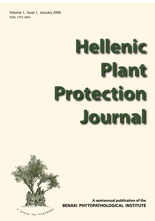Volume 1, Issue 1, January 2008 ISSN 1791-3691

# **Hellenic Plant Protection Journal**



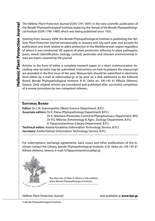The Hellenic Plant Protection Journal (ISSN 1791-3691) is the new scientific publication of the Benaki Phytopathological Institute replacing the Annals of the Benaki Phytopathological Institute (ISSN 1790-1480) which was being published since 1935.

Starting from January 2008, the Benaki Phytopathological Institute is publishing the Hellenic Plant Protection Journal semiannually, in January and July each year, and accepts for publication any work related to plant protection in the Mediterranean region regardless of where it was conducted. All aspects of plant protection referring to plant pathogens, pests, weeds (identification, biology, control), pesticides and relevant environmental issues are topics covered by the journal.

Articles in the form of either a complete research paper or a short communication (including new records) may be submitted. Instructions on how to prepare the manuscript are provided in the first issue of the year. Manuscripts should be submitted in electronic form either by e-mail at editors@bpi.gr or by post on a disk addressed to the Editorial Board, Benaki Phytopathological Institute, 8 St. Delta str., GR-145 61 Kifissia (Athens), Greece. Only original articles are considered and published after successful completion of a review procedure by two competent referees.

# **EDITORIAL BOARD**

**Editor:** Dr C.N. Giannopolitis (Weed Science Department, B.P.I.) **Associate editors:** Dr K. Elena (Phytopathology Department, B.P.I.) Dr K. Machera (Pesticides Control & Phytopharmacy Department, BPI) Dr P.G. Milonas (Entomology & Agric. Zoology Department, B.P.I.) V. Papaconstantinou (Library Department, B.P.I.) **Technical editor:** Asteria Karadima (Information Technology Service, B.P.I.) **Secretary:** Emilia Pantazi (Information Technology Service, B.P.I.)

For subscriptions, exchange agreements, back issues and other publications of the Institute contact the Library, Benaki Phytopathological Institute, 8 St. Delta str., GR-145 61 Kifissia (Athens), Greece, e-mail: V.Papaconstantinou@bpi.gr.



The olive tree of Plato in Athens is the emblem of the Benaki Phytopathological Institute

Hellenic Plant Protection Journal also available at **www.bpi.gr**

© Benaki Phytopathological Institute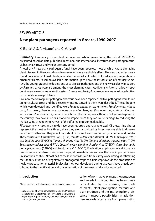# **REVIEW ARTICLE**

# **New plant pathogens reported in Greece, 1990-2007**

K. Elena<sup>1</sup>, A.S. Alivizatos<sup>1</sup> and C. Varveri<sup>1</sup>

**Summary** A summary of new plant pathogen records in Greece during the period 1990-2007 is presented based on data published in national and international literature. Plant pathogenic fungi, bacteria, viruses and viroids are considered.

A total of 47 new plant pathogenic fungi have been reported, most of which cause damaging plant diseases in Greece and only few seem to have a negligible effect. The new pathogens were found on a variety of host plants, annual or perennial, cultivated or forest species, vegetables or ornamentals etc. Based on available information up to now, the introduction of Ceratocystis platani, the young-grapevine decline and esca disease pathogens and the new vascular wilts caused by Fusarium oxysporum are among the most alarming cases. Additionally, Alternaria brown spot on Minneola mandarins in Northwestern Greece and Phytophthora boehmeriae in irrigated cotton crops create severe problems.

Five new records of plant pathogenic bacteria have been reported. All five pathogens were found on horticultural crops and the disease symptoms caused to them were described. The pathogens which were detected and identified were Pantoea ananas on watermelon, Pseudomonas syringae pv. apii on celery, Pseudomonas syringae pv. porri on leek, Χanthomonas campestris pv. vitians on lettuce and Χanthomonas cynarae on artichoke. The pathogens, although not yet widespread in the country, may have a serious economic impact since they can cause damage by reducing the market value or rendering harvest of the affected crops unmarketable.

Fifty-two new viruses and viroids have been reported and characterized. Of these, nine viruses represent the most serious threat, since they are transmitted by insect vectors able to disseminate them further and they affect important crops such as citrus, tomato, cucumber and potato. These viruses are: Citrus tristeza virus (CTV), Tomato yellow leaf curl virus (TYLCV), Tomato yellow leaf curl Sardinia virus (TYLCSV), Tomato chlorosis virus (ToCV), Tomato infectious chlorosis virus (TICV), Beet pseudo-yellows virus (BPYV), Cucurbit yellow stunting disorder virus (CYSDV), Cucumber aphid borne yellows virus (CABYV) and Potato virus  $Y^{\text{NTN}}(PVY^{\text{NTN}})$ . Eradication, application of strict quarantine procedures and use of virus-free propagation material are some of the most important measures for their control. Almost half of these reports derived from survey work aiming at estimating the sanitary situation of vegetatively propagated crops as a first step towards the production of healthy propagation material. Molecular methods developed during last years have greatly contributed to the identification and characterization of the viruses and viroids reported.

## **Introduction**

New records following accidental impor-

tation of non-native plant pathogens, pests and weeds into a country has been greatly facilitated by the icreasing free trade of plants, plant propagation material and plant products and the improving long-distance transport possibilities. In addition, new records often arise from pre-existing

<sup>1</sup> Laboratories of Mycology, Bacteriology and Virology, respectively, Department of Phytopathology, Benaki Phytopathological Institute, 8 St. Delta str., GR-145 61 Kifissia (Athens), Greece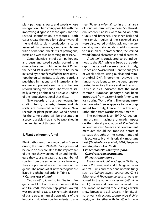plant pathogens, pests and weeds whose recognition is becoming possible with the improving diagnostic techniques and the revised identification procedures. Both cases create the need for a closer watch if the real risk to plant production is to be assessed. Furthermore, a more regular revision of national checklists of pathogens, pests and weeds is becoming necessary.

Comprehensive lists of plant pathogens and pests and weed species occurring in Greece have been published up to 1990. For the period 1990-2007 an attempt has been initiated by scientific staff of the Benaki Phytopathological Institute to elaborate on data published in national and international literarure and present a summary of the new records during this period. The attempt is finally aiming at obtaining a reliable update of the respective national checklists.

New records of plant pathogens, including fungi, bacteria, viruses and viroids, are presented in this article. New records of plant pests and weed species for the same period will be presented in a second article that is to be published in the next issue of this journal.

# **1. Plant pathogenic fungi**

Plant pathogenic fungi recorded in Greece during the period 1990–2007 are presented below in an order related to the importance of the host they were found on and the disease they cause. In cases that a number of species from the same genus are involved, they are presented under the name of the genus. The names of all new pathogens are listed in alphabetical order in Table 1.

# *Ceratocystis platani*

Ceratocystis platani (J.M. Walter) Engelbr. and T.C. Harr. [syn. C. fimbriata (Ellis and Halsted) Davidson f. sp. platani Walter] was reported to cause canker stain disease of plane tree, in natural populations of the important riparian species oriental plane

tree (Platanus orientalis L.), in a small area of Southwestern Peloponnese (Southwestern Greece). Cankers were found on both trunks and branches. The inner bark and the cambial region of the cankered area were discoloured bluish-black and the underlying wood stained dark reddish-brown to bluish-black. In cross section, the stained wood formed characteristic radial patterns.

C. platani is considered to be indigenous to the USA, while in Europe the pathogen has caused severe attacks in Italy, France and Switzerland. Genetic analyses of Greek isolates, using nuclear and mitochondrial DNA fingerprints, showed the fungus to be identical to the genotype reported from Italy, France and Switzerland. Earlier studies indicated that the most common European genotype had been introduced from eastern North America to Italy during World War II. The recent introduction into Greece appears to have originated from Italy, France, or Switzerland, rather than from Northeastern America.

The pathogen is an EPPO A2 quarantine organism having a dramatic impact on the natural population of P. orientalis in Southwestern Greece and containment measures should be imposed before it spreads throughout the natural range of this ecologically and historically important host (Ocasio-Morales et al., 2007; Tsopelas and Angelopoulos, 2004).

# *Phaeomoniella chlamydospora, Cylindrocarpon destructans, Phaeoacremonium* **sp.**

Phaeomoniella chlamydospora (W. Gams, Crous M.J. Wingfield and L. Mugnai) Crous and W. Gams and other anamorphic fungi such as Cylindrocarpon destructans (Zins.) Scholten and Phaeoacremonium sp. were involved in the young-grapevine (Vitis vinifera L.) decline and have been isolated from the wood of rooted vine cuttings which show brown to black streaks in longitudinal or vertical sections countrywide. P. chlamydospora together with Fomitiporia medi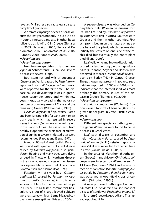terranea M. Fischer also cause esca disease complex of grapevine.

A dramatic upsurge of esca disease occurrs the last years, not only in old but also in young vineyards and also in other hosts (olive, citrus, kiwifruit) in Greece (Elena et al., 2003; Elena et al., 2006; Elena and Paplomatas, 2002; Paplomatas et al., 2006; Rumbos, 2001; Rumbos et al., 2006).

## *Fusarium* **spp.**

## *Fusarium oxysporum*

New formae speciales of Fusarium oxysporum Schlechtend.: Fr caused severe diseases to several crops.

Root-stem rot and wilt of cucumber (Cucumis sativus L.) caused by Fusarium oxysporum f. sp. radicis-cucumerinum Vakal. were reported for the first time. The disease caused devastating losses in greenhouse cucumber crops and within few years it gradually spread in the major cucumber producing areas of Crete and the remaining Greece (Vakalounakis, 1996).

Fusarium oxysporum f. sp. cumini Prasad and Patel is responsible for early pre-harvest plant death which has resulted in severe losses in cumin (Cuminum cyminum L.) yield in the island of Chios. The use of seeds from healthy crops and the avoidance of cultivation of cumin in severely infested sites were recommended (Pappas and Elena, 1997).

Mimosa [Albizia julibrissin (Willd.) Durazz.] was found with symptoms of a wilt disease caused by Fusarium oxysporum f. sp. perniciosum Hepting and many trees were dying or dead in Thessaloniki (Northern Greece). In the more advanced stages of the disease, dark sap exudations flowed out of bark cracks (Skarmoutsou and Skarmoutsos, 1999).

Fusarium wilt of sweet basil (Ocimum basilicum L.) caused by Fusarium oxysporum f. sp. basilici (Dridrariya) Armst. is now a serious problem for the commercial crops in Greece. Of 14 tested commercial basil cultivars 6 out of 8 large-leaved cultivars were resistant, while all 6 small-leaved cultivars were susceptible (Biris et al., 2004).

A severe disease was observed on Canary Island palm (Phoenix canariensis Hort. Ex Chab.) caused by Fusarium oxysporum f. sp. canariensis first in Attica (Southeastern Greece) and then in other counties. First symptoms began on the mature pinnae at the base of the plant, which became dry. Initially the leaflets on one side of the rachis died but eventually the entire plant died (Elena, 2005).

Leaf yellowing and brown discoloration caused by Fusarium oxysporum f. sp. nicotianae (J. Johnson) Snyder and Hansen, was observed in tobacco (Nicotiana tabacum L.) plants cv. Burley TN97 in Central Greece. The pathogen was present in tobacco seed batches imported in 2000 and 2001, which indicates that the infected seed was most probably the primary source of the disease in Greece (Tjamos et al., 2006).

# *Fusarium compactum*

Fusarium compactum (Wollenw.) Gordon caused foot rot of banana (Musa sp.), grown under glass in Crete (Frisullo et al., 1994).

## *Alternaria* **spp.**

Different new species or pathotypes of the genus Alternaria were found to cause diseases in Greek crops.

Leaf spot disease of cucumber and melon (Cucumis melo L.) caused by Alternaria alternata (Fr.: Fr.) Keissler f. sp. cucurbitae Vakal, was recorded for the first time in Crete (Vakalounakis, 1990a, b).

In the area of Marathon (Southeastern Greece) many chicory (Chichorium sp.) crops were infected by Alternaria sonchi J.J. Davis (Grigoriou, 1992b) and severe infection of carnation (Dianthus caryophyllus L.) petals by Alternaria dianthicola Neerg. was observed in open-field crops of carnation (Grigoriou, 1996b).

A new proposed pathotype Alternaria alternata f. sp. helianthina caused leaf spot disease of sunflower (Helianthus annuus L.) in Northern Greece (Lagopodi and Thanassoulopoulos, 1996).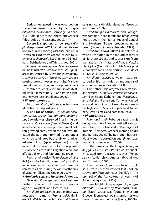Serious leaf spotting was observed on Dichondra repens L. caused by the fungus Alternaria dichondrae Gambogi, Vannacci & Triolo in Attica (Southeastern Greece) (Vloutoglou and Lascaris, 2000).

Severe leaf spotting on poinsettia (Euphorbia pulcherrima Willd. ex. Klotzsch) leaves occurred in red bract glasshouse culture in Thessaloniki (Northern Greece), caused by Alternaria euphorbiicola E.G. Simmons & Engelhard (Eleftheriadou and Tahmatsidou, 2001).

Alternaria brown spot on Minneola mandarins (Citrus reticulata Blanco x Citrus paradisi Macf.) caused by Alternaria alternata pv. citri, was observed in Northwestern Greece causing drop of leaves and fruits. Mandarins Minneola, Nova and Page were very susceptible to Greek Alternaria isolates tested while Clementine SRA and Poros Clementine were resistant (Elena, 2006a).

## *Phytophthora* **spp***.*

Two new Phytophthora species were identified during last years.

A boll rot of cotton (Gossypium hirsutum L.) caused by Phytophthora boehmeriae Sawada was observed first in the Larissa and Volos areas (Central Greece) and later became a severe problem in all cotton growing areas. When the soil was irrigated the pathogen formed its sporangia which disseminated by the rain or sprinkler irrigated drops (splash-dispersed) to the lower half to two-thirds of cotton plants. Usually fields with drip irrigation were not affected (Elena and Paplomatas, 1998).

Root rot of parsley [Petroselinum crispum (Mill.) Nym. Ex A.W. Hill] caused by Phytophthora primulae Tomlinson caused yield losses in commercial fields during the winter at the area of Marathon (Elena and Grigoriou, 2007).

#### *Armillaria* **spp.** and *Heterobasidion* **spp.**

New Armillaria species have been reported to cause root diseases of woody agricultural plants and forest trees.

Armillaria tabescens (Scopoli) Emel was detected in almond [Prunus dulcis (Miller) D.A. Webb] orchards in Central Greece causing considerable damage (Tsopelas and Tjamos, 1997).

Armillaria gallica Marxm. and Romagn. was common in coniferous and broadleaved forest trees in the high altitudes of Central and Northern Greece, predominating in beech (Fagus sp.) forests (Tsopelas, 1999).

Armillaria ostoyae (Rom.) Herink has a wide distribution in the mountain forests of Northern Greece and causes significant damage on fir (Abies borisii-regis Mattf.), black pine (Pinus nigra Arnold), Scots pine (Pinus sylvestris L.) and spruce [Picea abies (L.) Karst.] (Tsopelas, 1999).

Armillaria cepistipes Velen. was recorded at high altitudes on mountains of Northern Greece (Tsopelas, 1999).

Three other basidiomycetes: Heterobasidion annosum (Fr.) Bref., Heterobasidion parviporum Niemela and Korhonen and Heterobasidion abietinum Niemela and Korhonen caused root and butt rot on coniferous forest trees in the highlands of Greece (Tsopelas and Korhonen, 1996; Niemelä and Korhonen, 1998).

## *Phomopsis* **spp.**

Phomopsis mali Roberge causing fruit decay of apple (Malus domestica Borkh. cv. Red Chief) was observed in the region of Imathia (Northern Greece) (Karaoglanidis and Bardas, 2006). The pathogen has previously been reported on pear (Pyrus communis L.) (Holevas et al., 2000).

In the same area, the fungus Phomopsis amygdali (Del.) Tuset & Portilla was frequently isolated from decayed peaches [Prunus persica (L.) Batsch. cv. Andross) (Michailides and Thomidis, 2006).

The species Phomopsis obscurans (Ellis & Everh.) Sutton caused leaf spot on strawberry (Fragaria vesca Coville), in the orchard of the Agricultural University of Athens (Grigoriou, 1992a).

Stem blight of asparagus (Asparagus officinalis L.) caused by Phomopsis asparagi (Sacc.) Grove was found in Western Greece. Elongated, oval-shaped, lesions were formed on the stems (Elena, 2006b).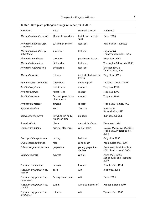| Pathogen                                   | Host                                   | Diseases caused                  | Reference                                                        |
|--------------------------------------------|----------------------------------------|----------------------------------|------------------------------------------------------------------|
| Alternaria alternata pv. citri             | Minneola mandarin                      | leaf & fruit necrotic<br>spot    | Elena, 2006                                                      |
| Alternaria alternata f. sp.<br>cucurbitae  | cucumber, melon                        | leaf spot                        | Vakalounakis, 1990a,b                                            |
| Alternaria alternata f. sp.<br>helianthina | sunflower                              | leaf spot                        | Lagopodi &<br>Thanassoulopoulos, 1996                            |
| Alternaria dianthicola                     | carnation                              | petal necrotic spot              | Grigoriou 1996b                                                  |
| Alternaria dichondrae                      | dichondra                              | leaf spot                        | Vloutoglou & Lascaris, 2000                                      |
| Alternaria euphorbiicola                   | poinsettia                             | leaf spot                        | Eleftheriadou &<br>Tahmatsidou, 2001                             |
| Alternaria sonchi                          | chicory                                | necrotic flecks of the<br>leaves | Grigoriou 1992b                                                  |
| Aphanomyces cochlioides                    | sugar beet                             | damping-off                      | Lascaris & Doulias, 2000                                         |
| Armillaria cepistipes                      | forest trees                           | root rot                         | Tsopelas, 1999                                                   |
| Armillaria gallica                         | forest trees                           | root rot                         | Tsopelas, 1999                                                   |
| Armillaria ostoyae                         | fir, black pine, Scots<br>pine, spruce | root rot                         | Tsopelas, 1999                                                   |
| Armillaria tabescens                       | almond                                 | root rot                         | Tsopelas & Tjamos, 1997                                          |
| Bipolaris spicifera                        | kiwi                                   | fruit rot                        | Bourbos &<br>Skoudridakis, 1992                                  |
| Botryosphaeria parva                       | kiwi, English holly,<br>American elm   | dieback                          | Rumbos, 2006a, b                                                 |
| Botrytis elliptica                         | lilium                                 | necrotic leaf spot               | Elena <i>et al</i> . 1996                                        |
| Ceratocystis platani                       | oriental plane tree                    | canker stain                     | Ocasio-Morales et al., 2007;<br>Tsopelas & Angelopoulos,<br>2004 |
| Cercosporidium punctum                     | parsley                                | leaf spot                        | Grigoriou, 1996                                                  |
| Cryptosporella umbrina                     | rose                                   | cane death                       | Paplomatas et al., 2001                                          |
| Cylindrocarpon destructans                 | grapevine                              | young grapevine<br>decline       | Elena <i>et al.,</i> 2003; Rumbos,<br>2001, Rumbos et al., 2006  |
| Diplodia cupressi                          | cypress                                | canker                           | Alves et al., 2006;<br>Xenopoulos and Tsopelas,<br>2000          |
| Fusarium compactum                         | banana                                 | foot rot                         | Frisullo et al., 1994                                            |
| Fusarium oxysporum f. sp.<br>basilici      | basil                                  | wilt                             | Biris et al., 2004                                               |
| Fusarium oxysporum f. sp.<br>canariensis   | Canary island palm                     | wilt                             | Elena, 2005                                                      |
| Fusarium oxysporum f. sp.<br>cumini        | cumin                                  | wilt & damping-off               | Pappas & Elena, 1997                                             |
| Fusarium oxysporum f. sp.<br>nicotianae    | tobacco                                | wilt                             | Tjamos et al., 2006                                              |

# **Table 1.** New plant pathogenic fungi in Greece, 1990-2007.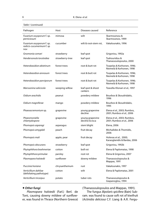| Pathogen                                                      | Host            | Diseases caused                   | Reference                                                |
|---------------------------------------------------------------|-----------------|-----------------------------------|----------------------------------------------------------|
| Fusarium oxysporum f. sp.<br>perniciosum                      | mimosa          | wilt                              | Skarmoutsou &<br>Skarmoutsos, 1999                       |
| Fusarium oxysporum f. sp.<br>radicis-cucumerinum f. sp<br>nov | cucumber        | wilt & root-stem rot,             | Vakalounakis, 1996                                       |
| Gnomonia comari                                               | strawberry      | leaf spot                         | Grigoriou, 1992a                                         |
| Hendersonula toruloidea                                       | strawberry-tree | leaf spot                         | Tsahouridou &<br>Thanassoulopoulos, 2000                 |
| Heterobasidion abietinum                                      | forest trees    | root & butt rot                   | Tsopelas & Korhonen, 1996;<br>Niemelä & Korhonen, 1998   |
| Heterobasidion annosum                                        | forest trees    | root & butt rot                   | Tsopelas & Korhonen, 1996;<br>Niemelä & Korhonen, 1998   |
| Heterobasidion parviporum                                     | forest trees    | root & butt rot                   | Tsopelas & Korhonen, 1996;<br>Niemelä & Korhonen, 1998   |
| Marssonina salicicola                                         | weeping willow  | leaf spot & shoot<br>cankers      | Tzavella-Klonari et al., 1997                            |
| Oidium arachidis                                              | peanut          | powdery mildew                    | Bourbos & Skoudridakis,<br>1996                          |
| Oidium magniferae                                             | mango           | powdery mildew                    | Bourbos & Skoudridakis,<br>1995                          |
| Phaeoacremonium sp.                                           | grapevine       | young grapevine<br>decline        | Elena et al., 2003; Rumbos,<br>2001; Rumbos et al., 2006 |
| Phaeomoniella<br>chlamydospora                                | grapevine       | young grapevine<br>decline & esca | Elena et al., 2003; Rumbos,<br>2001; Rumbos et al., 2006 |
| Phomopsis asparagi                                            | asparagus       | stem blight                       | Elena, 2006                                              |
| Phomopsis amygdali                                            | peach           | fruit decay                       | Michailides & Thomidis,<br>2006                          |
| Phomopsis mali                                                | apple, pear     | fruit decay                       | Holevas et al., 2000;<br>Karaoglanidis & Bardas, 2006    |
| Phomopsis obscurans                                           | strawberry      | leaf spot                         | Grigoriou, 1992b                                         |
| Phytophthora boehmeriae                                       | cotton          | boll rot                          | Elena & Paplomatas, 1998                                 |
| Phytophthora primulae                                         | parsley         | root rot                          | Elena & Grigoriou, 2007                                  |
| Plasmopara halstedii                                          | sunflower       | downy mildew                      | Thanassoulopoulos &<br>Mappas, 1991                      |
| Puccinia horiana                                              | chrysanthemum   | rust                              | Vakalounakis, 1997                                       |
| Verticillium dahliae<br>(defoliating pathotype)               | cotton          | wilt                              | Elena & Paplomatas, 2001                                 |
| Verticillium tricorpus                                        | potato          | tuber rots                        | Thanassoulopoulos &<br>Giapanoglou, 1994                 |

Table 1 (continued)

# *Other fungi*

Plasmopara halstedii (Farl.) Berl. de Toni, causing downy mildew of sunflower, was found in Thrace (Northern Greece)

(Thanassoulopoulos and Mappas, 1991).

The fungus Bipolaris spicifera (Bain) Subram. was found to cause soft rot of kiwifruit (Actinidia deliciosa C.F. Liang & A.R. Fergu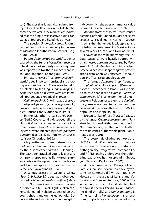son). The fact that it was also isolated from mycoflora of healthy fruits in the field but becomed active later in the marketplace indicated that the fungus was inactive during cool storage (Bourbos and Skoudridakis, 1992).

The species Gnomonia comari P. Karst. caused leaf spot on strawberry in the area of Marathon (Southeastern Greece) (Grigoriou, 1992a).

Potato (Solanum tuberosum L.) tuber rot caused by the fungus Verticillium tricorpus I. Isaak, as a not seriously damaging case, was reported in Northern Greece (Thanassoulopoulos and Giapanoglou, 1994).

Immature leaves of mango (Mangifera indica L.) trees, imported from Israel and growing in a greenhouse in Crete, were found to be infected by the fungus Oidium magniferae Berthet, while old leaves were not infected (Bourbos and Skoudridakis, 1995).

Oidium arachidis Chorin, was observed in irrigated peanut (Arachis hypogaea L.) crops in Crete, attacking leaves and petioles (Bourbos and Skoudridakis, 1996).

In the Marathon area Botrytis elliptica (Berk.) Cooke totally destroyed all the lilium (Lilium michiganense L.) plants in a greenhouse (Elena et al, 1996) while parsley crops were infected by Cercosporidium punctum (Lacroix) Deighton which causes leaf spot (Grigoriou, 1996a).

Chrysanthemum (Denranthema x morifolium) cv. Reagan in Crete was affected by the rust Puccinia horiana P. Hennings. The pathogen attacked young leaves and symptoms appeared as light-green sunken spots on the upper side of the leaves and bulbous spore pustules on the reverse side (Vakalounakis, 1997).

A serious disease of weeping willow (Salix babylonica L.) trees was observed, caused by Marssonina salicicola (Bres.) Magnus in Northern Greece. Leaves became distorted and fell. Small, light, sunken cankers, elongated in shape, appeared on the young shoots and on the leaf petioles. Severely affected shoots lost their weeping habit on which the trees ornamental value is based (Tzavella-Klonari et al., 1997).

Aphanomyces cochlioides Drechs. caused damping-off and stunting of sugar beet (Beta vulgaris L.) seedlings in Northern Greece. It seems that the fungus is widespread and probably has been present in Greek soils for several years (Lascaris and Doulias, 2000).

Leaves of the wild strawberry-tree (Arbutus unedo L.) were heavily spotted with small, necrotic brown spots caused by Hendersonula toruloidea Nattrass. in Northern Greece. When intense spotting was present, strong defoliation was observed (Tsahouridou and Thanassoulopoulos, 2000**)**.

The fungus Sphaeropsis sp. [identical to Diplodia pinea f.sp. cupressi (Desmar.) J. Kickx fil., described in Israel], was reported to cause cankers on cypress (Cupressus sempervirens L.] in an experimental plot in Western Peloponnese. Later the Diplodia of cypress was characterized as new species Diplodia cupressi (Alves et al., 2006; Xenopoulos and Tsopelas, 2000).

Brown canker of rose (Rosa sp.) caused by the fungus Cryptosporella umbrina (Jenkins) Jenkins and Wehm was recorded in Northern Greece, resulted in the death of the main canes or the whole plant (Paplomatas et al., 2001).

The cotton defoliating pathotype of Verticillium dahliae Kleb. was first reported in Central Greece during a study of pathogenicity, vegetative compatibility and RAPDs analysis. Moreover the defoliating pathotype has not spread in Greece yet (Elena and Paplomatas, 2001).

Botryosphaeria parva Pennycook and Samuels caused severe dieback symptoms on commercial kiwi plantations cv. Hayward in the areas of Larissa and Volos (Central Greece) (Rumbos, 2006a). The same fungus was also found later to infect the forest species Ilex aquifolium Withering (English holly) and Ulmus montana L. (American elm). Ilex aquifolium is of economic importance and is cultivated in the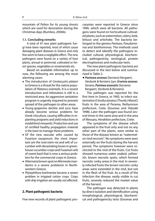which are used for decoration during the Christmas days (Rumbos, 2006b).

## **1.1. Concluding remarks**

A total of 47 new plant pathogenic fungi have been reported, most of which cause damaging plant diseases in Greece and only few seem to have a negligible effect. The new pathogens were found on a variety of host plants, annual or perennial, cultivated or forest species, vegetables or ornamentals etc.

Based on available information up to now, the following are among the most alarming cases:

- The introduction of Ceratocystis platani to Greece is a threat for the native population of Platanus orientalis. It is a recent introduction and infestation is still in a restricted area. An aggressive sanitation program is urgently required to prevent spread of the pathogen to other areas.
- Young-grapevine decline and esca have already become serious problems for Greek viticulture, causing difficulties in replanting programs and yield reductions in established vineyards. Production and use of certified healthy propagation material is the basis to manage these problems.
- Of the new vascular wilts caused by Fusarium oxysporum, the most important are the root-stem rot and wilt of cucumber with devastating losses in greenhouse cucumber crops and Fusarium wilt of sweet basil that is now a serious problem for the commercial crops in Greece.
- Alternaria brown spot on Minneola mandarins is a severe problenm in Northwestern Greece.
- Phytophthora boehmeriae became a severe problem in irrigated cotton crops. Crops with drip irrigation are usually not affected.

## **2. Plant pathogenic bacteria**

Five new records of plant pathogenic pro-

caryotes were reported in Greece since 1990, which were all bacteria. All pathogens were found on horticultural cultivated plants, such as watermelon, celery, leek, lettuce and artichoke. The bacteria belonged to the genera Pantoea, Pseudomonas and Xanthomonas. The methods used to detect and identify the pathogens included cultural, physiological, biochemical, pathogenicity, serological, protein electrophoresis and molecular tests.

The new plant pathogenic bacteria are discussed in the text below and summarized in Table 2.

# *Pantoea ananas* (Serrano) Kergaert, Verdonk & Kersters [syn. *Erwinia ananas*  Serano; *Pantoea ananatis* (Serrano) Kergaert, Verdonk & Kersters]

The pathogen was reported for the first time in Greece, in 1992, to infect watermelon (Citrullus lanatus (Thunb.) Mansf.) fruits in the area of Perama, Rethymnon prefecture, Crete (Goumas and Hatzaki 1998). Later the pathogen was found several times in the same area and in the area of Messara, Heraklion prefecture, Crete.

The symptoms of the disease which appeared in the fruit only and not on any other part of the plants, were similar to those of the disease known as "watermelon rind necrosis". No symptoms were seen externally on the fruits during the harvest period. The symptoms however were restricted to the rind of the fruits. Cut fruits showed numerous water soaked, yellowish, brown necrotic spots, which formed necrotic corky areas in the rind. In severely infected fruits the brown necrotic corky areas were extended in the rind, but not in the flesh of the fruit. As a result of the infection the disease, easily visible in cut fruits, severely reduced the market value of the harvest.

The pathogen was detected in plants by direct isolation and identification using morphological, physiological, biochemical and pathogenicity tests (Goumas and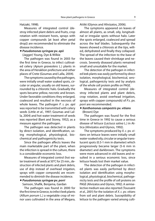Hatzaki, 1998).

Measures of integrated control (destroy infected plant debris and fruits, crop rotation with resistant hosts, sprays with copper compounds [at least after petal drop]) are recommended to eliminate the disease incidence.

# *Pseudomonas syringae* **pv.** *apii*

(Jagger) Young, Dye & Wilkie

The pathogen was found in 2003 for the first time in Greece, to infect cultivated celery (Apium graveolens L.) plants in the area of Heraklion prefecture and other places of Crete (Goumas and Lalla, 2004).

The symptoms caused by the pathogen, were initially small water soaked spots, circular or angular, usually on old leaves, surrounded by a chlorotic halo. Gradually the spots became yellow, necrotic and brown. Under favorable conditions they enlarged, coalesced and resulted in the necrosis of whole leaves. The pathogen P. s. pv. *apii* was reported to be transmitted with celery seeds (Little et al., 1997; Goumas and Lalla, 2004) and hot water treatment of seeds was reported (Bant and Storey, 1952), as a measure against the pathogen.

The pathogen was detected in plants by direct isolation, and identification, using morphological, physiological, biochemical and pathogenicity tests.

Since the pathogen affects leaves the main marketable part of the plant, when the infection is spread in the culture, there is a considerable economic loss.

Measures of integrated control (hot water treatment of seeds at 50°C for 25 min., destruction of infected plants and plant debris, use of drip instead of overhead irrigation, sprays with copper componds) are recommended to diminish the disease incidence.

## *Pseudomonas syringae* **pv.** *porri*

Samson, Shafik, Benjama, Gardan

The pathogen was found in 2000 for the first time in Greece, to infect leek plants (Allium porrum L.) a vegetable crop of minor uses cultivated in the area of Megara, Attiki (Glynos and Alivizatos, 2006).

The symptoms appeared on leaves of almost all plants, as small, oily, longitudinal or irregular spots without halo. Later the spots enlarged, coalesced and spread across the leaf blades. Subsequently the leaves showed a chlorosis at the tips, wilted, dehydrated and finally they collapsed. The spread of the infection to the base of the leaves caused their shrinkage and necrosis. Severely diseased plants remained small and unsuitable for the market.

The detection of the pathogen in infected leek plants was easily performed by direct isolation, morphological, biochemical, serological, pathogenicity tests and by analysis of the whole cell protein profile on PAGE.

Measures of integrated control (destroy infected plants and plant debris, crop rotation, avoid overhead irrigation, sprays with copper compounds) of P.s. pv. porri are recommended.

# *Xanthomonas campestris* **pv.** *vitians*  (Brown) Dye

The pathogen was found for the first time in Greece in 1992 to cause a serious disease of lettuce (Lactuca sativa L.) in Attica (Alivizatos and Glynos, 1992).

The symptoms produced by X. c. pv. vitians on lettuce leaves were initially small water-soaked oily, circular or angular translucent spots (0.5-1 mm in diameter) which progressively became larger (5-6 mm in diameter) and darkbrown. The symptoms were more advanced in old leaves and resulted in a serious economic loss, since lettuce heads lost their market value.

The detection of the pathogen in infected plants was easily performed by direct isolation and identification using morphological, physiological, biochemical, pathogenicity tests and the profile of cell proteins on PAGE (Alivizatos and Glynos, 1992). A semiselective medium was also reported (Toussaint et al., 2001) for the isolation of X. c. pv. vitians from soil and plant debris. Susceptibility of lettuce to the pathogen varied among culti-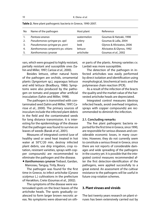| No | Name of the pathogen               | Host plant | Reference                 |
|----|------------------------------------|------------|---------------------------|
|    | Pantoea ananas                     | watermelon | Goumas & Hatzaki, 1998    |
| 2. | Pseudomonas syringae pv. apii      | celery     | Goumas & Lalla, 2004      |
| 3. | Pseudomonas syringae pv. porri     | leek       | Glynos & Alivizatos, 2006 |
| 4. | Xanthomonas campestris pv. vitians | lettuce    | Alivizatos & Glynos, 1992 |
|    | Xanthomonas cynarae                | artichoke  | Goumas et al., 2002       |

**Table 2.** New plant pathogenic bacteria in Greece, 1990-2007.

vars, which were grouped to highly resistant, partially resistant and susceptible ones (Sahin and Miller, 1997; Carisse et al., 2000).

Besides lettuce, other natural hosts of the pathogen are orchids, ornamental plants (Syngonium sp.), asparagus lettuce and wild lettuce (Bradbury, 1986). Symptoms were also produced by the pathogen on tomato and pepper after artificial inoculation (Sahin and Miller, 1998).

The pathogen is transmitted with contaminated seed (Sahin and Miller, 1997; Carisse et al., 2000). The primary sources of inoculum include the infected plant debris in the field and the contaminated seeds for long distance transmission. It is interesting for the epidemiology of the disease that the pathogen was found to survive on leaves of weeds (Barak et al., 2001).

Measures of integrated control (use of healthy seed or seed heat treated in hot water at 50°C/20 min, destroy infected plant debris, use drip irrigation, crop rotation, resistant varieties, sprays with copper compounds) are recommended to eliminate the pathogen and the disease.

# *Xanthomonas cynarae* Trebaol, Gardan, Manceau, Tanguy, Tirily, Boury

The pathogen was found for the first time in Greece, to infect artichoke (Cynara scolymus L.) cultivations in the prefecture of Heraklion, Crete (Goumas et al., 2002).

The symptoms of the disease were watersoaked spots on the bract leaves of the artichoke heads. The spots gradually coalesced to form larger brown necrotic areas. No symptoms were observed on oth-

er parts of the plants. Among varieties cv. Lardati was more susceptible.

The detection of the pathogen in infected artichokes was easily performed by direct isolation and identification using morphological, biochemical tests and the polymerase chain reaction (PCR).

As a result of the infection of the bracts the quality and the market value of the harvested artichoke heads are depreciated.

Integrated control measures (destroy infected heads, avoid overhead irrigation, sprays with copper compounds) are recommended to diminish the infection.

## **2.1. Concluding remarks**

The five plant pathogenic bacteria reported for the first time in Greece, since 1990, are responsible for serious diseases and considerable economic losses, in many countries. However, they do not currently seem to constitute a serious threat in Greece, since there are not reports of considerable damages and wide spreading of the pathogens in the country yet. It is possible that the integrated control measures recommended after the first detection-identification of the pathogens, were applied successfully to a great extend. An assessment of the cultivar resistance to the pathogens will be useful in future crop rotation schemes.

# **3. Plant viruses and viroids**

The last twenty years research on plant viruses has been extensively carried out by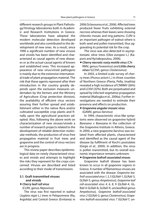different research groups in Plant Pathology/Virology laboratories both in Academic and Research Institutions in Greece. These laboratories have adopted the modern molecular detection developed worldwide and also contributed to the development of new ones. As a result, since 1990 a significant number of new viruses and viroids has been identified and characterized as causal agents of new diseases or as the actual causal agents of known and established ones. This increased appearance of new virus/viroid pathogens is mainly due to the extensive international trade of plant propagation material. The risk that these agents represent after their introduction in the country greatly depends upon the exclusion measures undertaken by the farmers and the Ministry of Agriculture (Crop protection division), the availability of efficient virus vectors assuring their further spread and establishment either in the native flora and/or cultivated susceptible crop plants and finally upon the agricultural practices adopted. Also, following the above work on characterization of new viruses/viroids a number of research projects related to the development of reliable detection molecular methods, the production of virus-free propagative material in fruit trees and grapevine and the control of virus-vectors are in progress.

This review paper describes epidemiological data on newly characterized viruses and viroids and attempts to highlight the risks they represent for the crops concerned. Viruses are described and listed according to their mode of transmission.

# **3.1. Graft transmitted viruses and viroids**

## *Cherry leaf roll virus*

## (CLRV, genus Nepovirus)

The virus was first reported in walnut (Juglans regia L.) trees in Peloponnese (Ilia, Argolida) and Central Greece (Evritania) in

2006 (Sclavounos et al., 2006). Affected trees produced fewer fruits exhibiting external necrosis whereas their leaves were showing chlorotic mosaic and ring patterns. CLRV is an important pathogen of walnut where is both seed and pollen transmitted, thus aggravating its potential risk for the crop.

The virus was also detected in asymptomatic olive trees (Olea europea L.) (Kaponi and Kyriakopoulou, 2006).

# *Cherry necrotic rusty mottle virus* (CN-RMV, genus Foveavirus) and *Little cherry virus I* (LChVI, genus Closterovirus)

In 2003, a limited scale survey of cherry trees (Prunus avium L.) in three counties of Northern Greece (Pieria, Pella, Imathia) revealed a high incidence of CNRMV (36%) and LChVI (32%). Both are perpetuated and spread by infected vegetative propagation material (Maliogka et al., 2006a). Further investigations are needed to estimate their presence and effects on production.

## *Grapevine angular mosaic virus*  (GAMV, genus Ilarvirus)

In 1994, characteristic virus-like symptoms were observed on grapevine hybrid Baresana  $\times$  Baresana in the collection of the Grapevine Institute in Athens, Greece. In 2000, a new grapevine ilarvirus was isolated from affected plants, characterized and identified as the causal agent of the disease by fulfilment of Koch's postulates (Girgis et al., 2000). In addition, the virus is pollen transmitted, but its overall economic importance remains unknown.

# *Grapevine leafroll-associated viruses*

Grapevine leafroll disease has been known to occur in all grapevine regions in Greece. A number of filamentous viruses are associated with the disease: Grapevine leafroll-associated virus 1, 3, 5 (GLRaV-1, GLRaV-3, GLRaV-5, genus Ampelovirus), Grapevine leaf roll-associated virus 4, 6, 8, 9 (GLRaV-4, GL-RaV-6 GLRaV-8, GLRaV-9, unclassified genus Ampelovirus), Grapevine leafroll-associated virus 2 (GLRaV-2, genus Closterovirus), Grapevine leafroll-associated virus 7 (GLRaV-7, un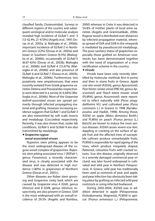classified family Closteroviridae). Surveys in different regions of the country and subsequent serological and/or molecular analysis revealed high incidence of GLRaV-1 and -3 (12-42.4%, 21-47.8%) (Avgelis et al., 1997; Dovas et al., 2003a, b; Maliogka et al., 2006b), important incidence of GLRaV-2 in Northern Greece (22%) (Dovas et al., 2003a) and lower in Southern Greece (9.3%) (Maliogka et al., 2006b), occasionally of GLRaV-5 (8.67-42%) (Dovas et al., 2003b; Maliogka et al., 2006b) and GLRaV-4 (12.67%) (Maliogka et al., 2006b) and also presence of GLRaV-6 and GLRaV-7 (Dovas et al., 2003b; Maliogka et al., 2006b). Furthermore, two putatively new ampeloviruses that were recently isolated from Greek grapevine varieties Debina and Prevezaniko respectively were detected in a survey (4-6.66%) (Maliogka et al., 2006b). Most of the Grapevine leafroll-associated viruses are spread primarily through infected propagating material and grafting. However increasing evidence suggests that GLRaV-1 and GLRaV-3 are also transmitted by soft scale insects and mealybugs (Coccoidea) respectively. Recently, it was also shown that, under lab conditions, GLRaV-5 and GLRaV-9 are also transmitted by mealybugs.

# *Grapevine rugose*

## *wood-associated viruses*

Rupestris stem pitting appears to be the most widespread disease of the rugose wood complex of grapevines. Rupestris stem pitting associated virus-1 (RSPaV-1, genus Foveavirus), a recently characterized virus, is closely associated with the disease and was detected in high incidence (>80%) in grapevines of Northern Greece (Dovas et al., 2001c).

Other diseases are Kober stem grooving and Grapevine corky bark which are caused by Grapevine virus A (GVA, genus Vitivirus) and B (GVB, genus Vitivirus), respectively, are also present in Greece. GVA is the most widespread with an overall incidence of 29.5% (Avgelis and Rumbos, 2000) whereas in Crete it was detected in 54.8% of mother plants of local wine varieties (Avgelis and Grammatikaki, 2006). Rugose wood is distributed over distances by infected propagation material, whereas spread of GVA and GVB in the vineyards is mediated by pseudococcid mealybugs. The poor sanitary status of grapevines especially those grafted on American rootstocks has been demonstrated together with the need of organization of a virus certification scheme in the country.

## *Viroids*

Viroids have been only recently identified by molecular methods first in pome and then in stone fruits in Greece. Apple scar skin viroid (ASSVd, genus Apscaviroid), Pear blister canker viroid (PBCVd, genus Apscaviroid) and Peach latent mosaic viroid (PLMVd, genus Avsunviroid) were reported to infect naturally wild (Pyrus amygdaliformis Vil.) and cultivated pear (Pyrus communis L.) in Greece in 1998 (Kyriakopoulou and Hadidi, 1998). Among those, ASSVd on apple (Malus domestica Borkh.) and PLMVd on peach (Prunus persica (L.) Batsch) are known to induce the most serious diseases. ASSVd causes severe scar skin, dappling or cracking on the surface of apple fruit and the affected trees of susceptible cultivars produce unmarketable fruits. PLMVd is responsible for rapid ageing of the trees, which produce irregularly shaped, flattened, colourless fruits with cracked sutures. Scar skin disease, originally observed in a severely damaged commercial pear orchard, was later found widespread in cultivated and wild pear in Northern Peloponnese. In Greece, wild pear has traditionally been used as rootstock of pear and apple, and pear infection has obviously been taking place by grafting on infected wild pear rootstock or using infected budwood.

During 2003-2004, ASSVd was in addition detected in apple (Peloponnese, Etoloakarnania, Magnesia), PLMVd in apricot (Prunus armeniaca L.) (Peloponnese,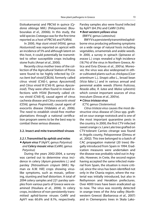Etoloakarnania) and PBCVd in quince (Cydonia oblonga Mill.) (Peloponnese) (Boubourakas et al., 2006b). In this study, the wild species Crataegus was for the first time reported as a host of PBCVd and PLMVd.

In 2000, Hop stunt viroid (HSVd, genus Hostuviroid) was reported on apricot with an incidence of 5% and although latent on this host, it could potentially be transmitted to other susceptible crops including stone fruits (Amari et al., 2000).

Recently citrus mother trees of the collection of the Agricultural Station of Poros were found to be highly infected by Citrus bent leaf viroid [CBLVd, formerly called citrus viroid (CVd)-I, genus Apscaviroid] and Citrus viroid III (CVd-III, genus Apscaviroid). They were often found in mixed infections with HSVd [formerly called citrus viroid (CVd)-II], causal agent of citrus cachexia disease and Citrus exocortis viroid (CEVd, genus Pospiviroid), causal agent of exocortis disease (Vidalakis et al., 2006). The need to establish viroid-free mother plantations through a national certification program seems to be the best way to combat these serious diseases.

## **3.2. Insect and mite transmitted viruses**

#### *3.2.1. Transmitted by aphids and mites*

# *Apium virus Y* (ApVY, genus Potyvirus) and *Celery mosaic virus* (CeMV, genus Potyvirus)

During the years 2002-2004, a survey was carried out to determine virus incidence in celery (Apium graveolens L.) and parsley [Petroselinum crispum (Mill.) Nyman ex A.W. Hill] crops showing viruslike symptoms, such as mosaic, yellowing, stunting and leaf distortion. A total of 2094 celery samples and 221 parsley samples from various parts of Greece were examined (Houliara et al., 2006). In celery crops, incidence of non-persistently transmitted aphid-borne viruses CeMV and ApVY was 60.6% and 8.1%, respectively.

Parsley samples also were found infected by ApVY (64.3%) and CeMV (3.6%).

## *Beet western yellows virus*  (BWYV, genus Luteovirus)

BWYV is a persistently transmitted aphidborne virus producing yellowing symptoms on a wide range of natural hosts including vegetables, ornamentals and arable weeds. In 2000, a survey in spinach (Spinacea oleracea L.) crops revealed a high incidence (18.7%) of the virus in Northern Greece, Attica and Evia (Dovas et al., 2001a). Moreover, the virus was also widespread in other cultivated plants such as chickpea (Cicer arientinum L.), Sinapis alba L., broad bean (Vicia faba L.) and in various annual and perennial arable weeds (Flomis fruticosa, Reseda alba, R. lutea and Malva sylvestris) which consist important sources of virus inoculum (Dovas et al., 2001e).

# *Citrus tristeza virus*

(CTV, genus Closterovirus)

Citrus tristeza virus causes the most destructive virus disease of Citrus spp. grafted on sour orange rootstock and is one of the most important quarantine pests in the country. In 2000, the first CTV-infected sweet orange cv. Lane Late tree grafted on CTV-tolerant Carrizo citrange was found in Argolis county, Peloponnese (Dimou et al., 2002). This tree belonged to a batch of CAC propagation material (20 trees) illegally introduced from Spain in 1994. Eradication measures were undertaken and the disease was probably ruled out in Argolis. However, in Crete, the second region having accepted the same infected material from Spain, the situation is more critical, since the virus has been identified not only in the Chania region, where the material was initially introduced, but also in Rethymnon and Heraklion prefectures. Over 4000 trees have been eradicated up to now. The virus was recently detected in orange trees of the Arta valley (Northwestern Greece) (Barbarossa et al., 2007) and in Clemenpons trees in Skala Lako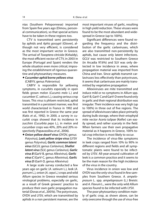nias (Southern Peloponnese) imported from Spain five years ago (Dimou, personal communication), so that special actions have to be taken in these regions too.

CTV is transmitted semi persistently by aphids and Aphis gossypii (Glover), although not very efficient, is considered as the most important vector in Greece. The arrival of Toxoptera citricida (Kirkaldy), the most efficient vector of CTV, in 2003 in Europe (Portugal and Spain) renders the whole situation even more critical, imposing the establishment of rigorous quarantine and phytosanitary measures.

# *Cucumber aphid borne yellows virus*  (CABYV, genus Polerovirus)

CABYV is responsible for yellowing symptoms, in cucurbits especially in open fields grown melon (Cucumis melo L.) and cucumber (C. sativus L.), causing serious crop losses. This virus is phloem restricted, aphid transmitted in a persistent manner, was first world characterized in France in 1992 and was first reported in Greece the same year (Katis et al., 1992). In 2000, a survey in cucurbit crops showed that its incidence in zucchini (Cucurbita pepo L.), in melon and cucumber crops was 40%, 20% and 20% respectively (Papavassiliou et al., 2006).

*Onion yellow dwarf virus*(OYDV, genus Potyvirus), *Leek yellow stripe virus* (LYSV genus Potyvirus), *Garlic common latent virus* (GCLV, genus Carlavirus), *Shallot latent virus* (SLV, genus Carlavirus), *Garlic virus B* (GarV-B, genus Allexivirus), *Garlic virus C* (GarV-C, genus Allexivirus), *Garlic virus D* (GarV-D, genus Allexivirus)

A large scale survey conducted a few years ago on garlic (A. sativum L.), leek (A. porrum L.), onion (A. cepa L.) crops and wild Allium species in Greece revealed serious virological problems, especially on garlic, as a result of Greek growers' practice to produce their own garlic propagation material (Dovas et al., 2001b). The potyviruses, OYDV and LYSV, which are transmitted by aphids in a non persistent manner, are the most important viruses of garlic, resulting in high yield reduction. These viruses were found to be the most abundant and widespread in Greece (up to 100%).

Significant differences were found regarding the frequency and the distribution of the garlic carlaviruses, which are also transmitted non-persistently by aphids, but cause only latent infections. GCLV was restricted to Southern Greece (in Arcadia 97.6%) and SLV was only detected in low incidence in areas, where propagation material was imported from China and Iran. Since aphids transmit carlaviruses less effectively than potyviruses, it seems that carlaviruses are mainly transmitted by vegetative propagation

Allexiviruses are mite transmitted and induce mild or no symptoms in Allium spp. GarV-B, GarV-C and GarV-D were found only in garlic and their regional distribution was irregular. Their incidence was very high (up to 100%) in three out of five regions. The spread of allexiviruses takes place primarily during bulb storage, where their eriophyid mite vector Aceria tulipae (Keifer) can easily spread, and rather scarcely in the field. When farmers use their own propagative material as it happens in Greece, 100% total crop infection is most likely to occur.

The incidence of virus-like symptoms in leek crops ranged from 10% to 90% in different regions and fields and all symptomatic plants were found to be infected by LYSV. All-year-around cultivation of leek is a common practice and it seems to be the main reason for the high incidence of the virus in the country.

Virus incidence in onion was low and OYDV was the only virus found in few samples from Southern Greece. A. ampeloprasum L. spp. ampeloprasum (L.) Breistr. and A. Flavum L., were the only wild Allium species found to be infected with LYSV.

The poor phytosanitary condition mainly of garlic crop, as shown above, can be only overcome through the use of virus-free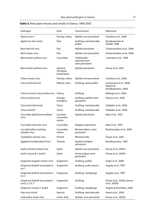| Pathogen                                              | Host                                 | Transmission                                            | Reference                                                   |
|-------------------------------------------------------|--------------------------------------|---------------------------------------------------------|-------------------------------------------------------------|
| Apium virus Y                                         | Parsley, celery                      | Aphids-non persistent                                   | Houliara et al., 2006                                       |
| Apple scar skin viroid                                | Pear                                 | Grafting, mechanically,<br>pollen                       | Kyriakopoulou &<br>Hadidi, 1998                             |
| Bean leaf roll virus                                  | Pea                                  | Aphids-persistent                                       | Chatzivassiliou et al., 2006                                |
| Beet mosaic virus                                     | Pea                                  | Aphids-non persistent                                   | Chatzivassiliou et al., 2006                                |
| Beet pseudo-yellows virus                             | Cucumber                             | <b>Trialeurodes</b><br>vaporariorum-<br>semi persistent | Livieratos et al., 1998                                     |
| Beet western yellows virus                            | Spinach,<br>chickpea,<br>broad bean, | Aphids-persistent                                       | Dovas et al., 2001                                          |
| Celery mosaic virus                                   | Parsley, celery                      | Aphids-non persistent                                   | Houliara et al., 2006                                       |
| Cherry leaf roll virus                                | Walnut, olive                        | Grafting, seed, pollen                                  | Sclavounos et al., 2006;<br>Kaponi &<br>Kyriakopoulou, 2006 |
| Cherry necrotic rusty mottle virus                    | Cherry                               | Grafting                                                | Malioga et al., 2006                                        |
| Citrus tristeza virus                                 | Orange,<br>mandarin                  | Grafting, aphids-semi<br>persistent                     | Dimou et al., 2002                                          |
| Citrus bent leaf viroid                               | Citrus                               | Grafting, mechanically                                  | Vidalakis et al., 2006                                      |
| Citrus viroid III                                     | Citrus                               | Grafting, mechanically                                  | Vidalakis et al., 2006                                      |
| Cucumber aphid borne yellows<br>virus                 | Zucchini,<br>cucumber,<br>melon      | Aphids-persistent                                       | Katis et al., 1992                                          |
| Cucumber toad-skin virus                              | Cucumber                             | Hoppers-persistent                                      | Katis et al., 1995                                          |
| Cucurbit yellow stunting<br>disorder virus            | Cucumber,<br>melon                   | Bemisia tabaci- semi<br>persistent                      | Boubourakas et al., 2006                                    |
| Cymbidium mosaic virus                                | Orchid                               | Mechanically                                            | Dovas et al., 2001                                          |
| Eggplant mottled dwarf virus                          | Tomato                               | Agallia vorobjevi-<br>persistent                        | Kyriakopoulou, 1995                                         |
| Garlic common latent virus                            | Garlic                               | Aphids-non persistent                                   | Dovas et al., 2001b                                         |
| Garlic viruses B, C and D                             | Garlic                               | Aceria tulipae-semi<br>persistent                       | Dovas et al., 2001b                                         |
| Grapevine angular mosaic virus                        | Grapevine                            | Grafting, pollen                                        | Girgis et al., 2000                                         |
| Grapevine leafroll-associated vi-                     | Grapevine                            | Grafting, scale insects                                 | Avgelis et al., 1997                                        |
| Grapevine leafroll-associated vi-<br>rus 3            | Grapevine                            | Grafting, mealybugs                                     | Avgelis et al., 1997                                        |
| Grapevine leafroll-associated vi-<br>ruses 2, 5, 6, 7 | Grapevine                            | Grafting                                                | Dovas et al., 2003a; Dovas<br>et al., 2003b                 |
| Grapevine viruses A and B                             | Grapevine                            | Grafting, mealybugs                                     | Avgelis & Roumbos, 2000                                     |
| Hop stunt viroid                                      | Apricot                              | Grafting, mechanically                                  | Amari et al., 2000                                          |
| Leek yellow stripe virus                              | Garlic, leek                         | Aphids-non persistent                                   | Dovas et al., 2001b                                         |

# **Table 3.** New plant viruses and viroids in Greece, 1990-2007.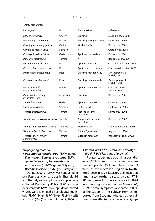| Pathogen                                           | Host          | Transmission                       | Reference                         |
|----------------------------------------------------|---------------|------------------------------------|-----------------------------------|
| Little cherry virus I                              | Cherry        | Grafting                           | Maliogka et al., 2006             |
| Maize rough dwarf virus                            | Maize         | Planthoppers-persistent            | Dovas et al., 2004                |
| Odontoglossum ringspot virus                       | Orchid        | Mechanically                       | Dovas et al., 2001d               |
| Olive mild mosaic virus                            | Spinach       | ?                                  | Gratsia et al., 2006              |
| Onion yellow dwarf virus                           | Garlic, onion | Aphids-non persistent              | Dovas et al., 2001b               |
| Parietaria mottle virus                            | Tomato        | ?                                  | Roggero et al., 2000              |
| Pea enation mosaic virus                           | Pea           | Aphids-persistent                  | Chatzivassiliou et al., 2006      |
| Pea seed-borne mosaic virus                        | Pea           | Aphids- non persistent             | Chatzivassiliou et al., 2006      |
| Peach latent mosaic viroid                         | Pear          | Grafting, mechanically             | Kyriakopoulou &<br>Hadidi, 1998   |
| Pear blister canker viroid                         | Pear          | Grafting, mechanically             | Kyriakopoulou &<br>Hadidi, 1998   |
| Potato virus YNTN<br>Potato virus Y <sup>N</sup> W | Potato        | Aphids-non persistent              | Bem et al., 1999<br>Varveri, 2006 |
| Rupestris stem pitting<br>associated virus-1       | Grapevine     | Grafting                           | Dovas et al., 2001c               |
| Shallot latent virus                               | Garlic        | Aphids-non persistent              | Dovas et al., 2001b               |
| Sowbane mosaic virus                               | Spinach       | Pollen, seed                       | Gratsia et al., 2006              |
| Tomato chlorosis virus                             | Tomato        | Aleurodes-semi<br>persistent       | Dovas et al., 2002                |
| Tomato infectious chlorosis virus                  | Tomato        | T. vaporariorum-semi<br>persistent | Dovas et al., 2002                |
| Tomato mild green mosaic virus                     | Tree tobacco  | Mechanically                       | Mathioudakis et al., 2006         |
| Tomato yellow leaf curl virus                      | Tomato        | B. tabaci-persistent               | Avgelis et al., 2001              |
| Tomato yellow leaf curl<br>Sardinia virus          | Tomato        | B. tabaci-persistent               | Papagiannis et al., 2007a         |

Table 3 (continued)

#### propagating material.

*Pea enation mosaic virus* (PEMV, genus Enamovirus), *Bean leaf roll virus* (BLRV, genus Luteovirus), *Pea seed-borne mosaic virus* (PSbMV, genus Potyvirus), *Beet mosaic virus* (BtMV, genus Potyvirus)

During 2000, a survey was conducted in pea (Pisum sativum L.) crops in Thessaloniki and Thessaly and symptomatic samples were collected. Persistently (PEMV, BLRV) and non persistently (PSbMV, BtMV) aphid transmitted viruses were identified by serological methods: PEMV (44%), BLRV (40%), PSbMV (12%) and BtMV (4%) (Chatzivassiliou et al., 2006).

# *Potato virus Y* **NTN***, Potato virus Y* **NWilga**  (PVYNTN, PVYNW, genus Potyvirus)

Potato tuber necrotic ringspot disease (PTNRD) was first observed in commercial potato (Solanum tuberosum L.) fields of the Nevrokopi region in Northern Greece in 1994. Measures taken at that time halted further disease spread. PTN-RD reappeared in the same area in 1998 in a more aggressive manner (Bem et al., 1999). Severe symptoms appeared in 80% of the tubers of the cultivar Hermes imported from Scotland whereas other cultivars were affected at a lower rate. Symp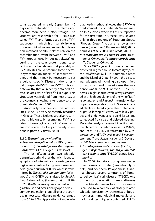toms appeared in early September, 40 days after defoliation of the plants and became more serious after storage. The virus variant responsible for PTNRD was called PVYNTN and formed a distinct PVYN subgroup, in which high variability was observed. Most recent molecular detection methods of NTN isolates rely on the recombination event between PVY<sup>o</sup> and  $PVY^N$  groups, usually (but not always) occurring on the coat protein gene. Lately, it was further shown that probably all PVY<sup>N</sup> isolates could produce some necrotic symptoms on tubers of sensitive varieties and that it may be necessary to set a cultivar-specific Disease Index threshold to separate PVY<sup>N</sup> from PVY<sup>NTN</sup>. It is also noteworthy that all recently obtained potato isolates were of PVYNTN-like type. This virus type was isolated from most areas of the country, showing a tendency to predominate (Varveri, 2006).

Another type of new virus variant isolates is the PVY<sup>N</sup>W type recently recorded in Greece. These isolates are also recombinant, biologically resembling PVY<sup>N</sup> isolates but serologically the PVY<sup>o</sup> ones, and are considered to be particularly infectious in potato (Varveri, 2006).

#### *3.2.2. Transmitted by whitefl ies*

# *Beet pseudo-yellows virus*(BPYV, genus Crinivirus), *Cucurbit yellow stunting disorder virus* (CYSDV, genus Crinivirus)

The last fifteen years, two whiteflytransmitted criniviruses that elicit identical symptoms of interveinal chlorosis (yellowing) were identified in greenhouse- and field-grown cucurbits: BPYV which is transmitted by Trialeurodes vaporariorum (Westwood) and CYSDV transmitted by Bemisia tabaci (Gennadius) (Livieratos et al., 1998). In 2000-2003 a survey was carried out in glasshouse and occasionally open field cucumber and melon crops all over the country. In most cases disease incidence ranged from 50 to 80%. Application of molecular

diagnostic methods showed that BPYV was predominant in cucumber (68%) and melon (80%) crops, whereas CYSDV, reported for the first time in Greece, was isolated only in three regions of Southern Greece (Rhodes, Crete, Arkadia) at a lower incidence (cucumber 32%; melon 20%) (Boubourakas et al., 2006a, Katis et al., 2006).

*Tomato infectious chlorosis virus* (TICV, genus Crinivirus), *Tomato chlorosis virus*  (ToCV, genus Crinivirus)

Since 1997, a yellowing disease has been observed in greenhouse tomato (Lycopersicon esculentum Mill.) in Southern Greece and the island of Crete. By 2001, the disease was widespread including also open field tomato crops and in most cases the incidence was 80 to 90% or even 100%. Epidemics in glasshouses were always associated with high populations of the whiteflies T. vaporariorum and B. tabaci, the major whitefly pests in vegetable crops in Greece. Affected plants exhibited a generalized interveinal bright yellowing of leaves, were less vigorous and underwent severe yield losses due to reduced fruit size and delayed ripening. Molecular analysis revealed infection with the phloem restricted criniviruses TICV (87%) and ToCV (16%). TICV is transmitted by T. vaporariorum and ToCV by B. tabaci, T. vaporariorum and T. abutilonea (Haldeman) (Dovas et al., 2002) in a semi-persistent manner.

# *Tomato yellow leaf curl virus* (TYLCV, genus Begomovirus), *Tomato yellow leaf curl Sardinia virus* (TYLCSV, genus Begomovirus)

In 2000, tomato crops grown under greenhouses in Crete (Ierapetra, Tympaki) and Southern Peloponnese (Lakonia) showed severe symptoms of Tomato yellow leaf curl disease (TYLCD), one of the most devastating tomato diseases in the Mediterranean basin. The disease is caused by a complex of closely related whitefly persistently transmitted begomoviruses. Immunological, molecular and biological techniques confirmed TYLCV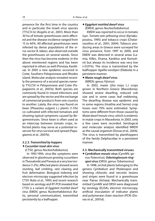presence for the first time in the country and in particular the Israeli virus species (TYLCV-Is) (Avgelis et al., 2001). More than 30 ha of tomato greenhouses were affected and the disease incidence ranged from 15 to 60%. All affected greenhouses were infested by dense populations of the virus vector B. tabaci, also observed outside the greenhouses on several weeds. Since then the virus has become endemic in the above mentioned regions and has been reported in others as well (Preveza, Karditsa). In 2005 a new epidemic occurred in Crete, Southern Peloponnese and Rhodes island. Molecular analysis revealed recently the presence of a second species namely TYLCSV in Peloponnese and Crete (Papagiannis et al., 2007a). Both species are commonly found in mixed infections and are spread by the vector and the exchange of commercial products from one country to another. Lately, the virus was found on bean (Phaseolus vulgaris L.) plants (1-5%) co-cultivated with infected tomatoes and showing typical symptoms caused by Begomoviruses. Since bean is often used as an intercrop between tomato crops, infected plants may serve as a potential reservoir for virus survival and spread (Papagiannis et al., 2007b).

# *3.2.3. Transmitted by hoppers Cucumber toad-skin virus*

(CTSV, genus Nucleorhabdovirus)

In 1993-1994, virus-like symptoms were observed in glasshouse growing cucumbers in Thessaloniki and Preveza at a very low incidence (1-2%). Affected plants showed severe stunting, leaf crinkling, vein clearing and fruit deformation. Biological indexing and electron microscopy suggested infection by CTSV (Katis et al., 1995) and recent research based on serology and RT-PCR revealed that CTSV is a variant of Eggplant mottled dwarf virus (EMDV, genus Nucleorhabdovirus) (Katis, personal communication), transmitted persistently by a leafhopper.

## *Eggplant mottled dwarf virus* (EMDV, genus Nucleorhabdovirus)

EMDV was reported to occur in tomato (syn. Tomato vein yellowing virus) (Kyriakopoulou, 1995) and tobacco crops (Chatzivassiliou et al., 2001; 2004). Tobacco producing areas in Greece were surveyed for virus presence, from 1997 to 2000, and EMDV was detected in several areas (Lamia, Kilkis, Drama, Karditsa and Komotini) but always its incidence was very low (<0.01%). The virus is transmitted by the leafhopper Agallia vorobjevi (Dlabola) in a persistent manner.

## *Maize rough dwarf virus* (MRDV, genus Fijivirus)

In 2002, maize (Zea mays L.) crops grown in Northern Greece (Macedonia), showed severe dwarfing, reduced cob size and in some cases leaf reddening. The dwarfing disease was epidemic and in some regions (Imathia and Serres) crop losses over 70% were estimated. Symptoms were different from those caused by Maize dwarf mosaic virus, which is endemic in maize crops in Macedonia. In 2003, only a few cases were recorded. Serological and molecular analysis identified MRDV as the causal organism (Dovas et al., 2004). The virus is transmitted by planthoppers of the family Delphacidae in a persistent manner.

## **3.3. Mechanically transmitted viruses**

# *Cymbidium mosaic virus* (CymMV, genus Potexvirus), *Odontoglossum ringspot virus* (ORSV, genus Tobamovirus)

In 1998, orchid plants belonging to the genera Cymbidium and Phalenopsis and showing chlorotic and necrotic lesions and stripes were found in a greenhouse near Patras (Achaia). Mechanically transmitted CymMV and ORSV were diagnosed by serology (ELISA), electron microscopy, artificial inoculation of indicator plants and polymerase chain reaction (PCR) (Dovas et al., 2001d).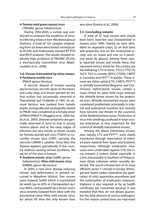# *Tomato mild green mosaic virus* (TMGMV, genus Tobamovirus)

During 2002-2003, a survey was conducted to estimate the incidence of viruses infecting tobacco tree (Nicotiana glauca Graham). A total of 125 samples originating from six areas were tested serologically (ELISA) and molecularly (nested RT-PCR and RFLP analysis). The results showed relatively high incidence of TMGMV (19.2%), a mechanically transmitted virus (Mathioudakis et al., 2006).

#### **3.4. Viruses transmitted by other means** *Parietaria mottle virus*

# (PMoV, genus Ilarvirus)

A necrotic disease of tomato causing apical necrosis, necrotic spots on the leaves, and corky rings and brown patches on the fruit surface was occasionally observed in Thessaloniki and Chalkidiki in 1997. An unusual ilarvirus was isolated from tomato plants, biologically and serologically related to PMoV, now considered as a tomato strain of PMoV (PMoV-T) (Roggero et al., 2000; Katis et al., 2001). Disease symptoms are generally observed in June to July in young tomato plants and at the early stages of infection are very similar to those caused by Tomato spotted wilt virus (TSWV) or Cucumber mosaic virus (CMV) carrying the necrotic CARNA 5 satellite. Since then the disease appears sporadically in the country without causing serious problems. No vector of the virus is known.

# *Sowbane mosaic virus*(SoMV, genus Sobemovirus), *Olive mild mosaic virus*  (OMMV, genus Necrovirus)

In 2004, a new virus disease inducing mosaic and deformation in spinach occurred in Marathon (Attica). Two viruses were isolated, SoMV, which is transmitted by seeds (up to 60% in Chenopodium quinoa Willd.) and probably by a vector, and a virus recently isolated from olive with the provisional name Olive mild mosaic virus, for which till then the only known host

was olive (Gratsia et al., 2006).

## **3.5. Concluding remarks**

A total of 52 new viruses and viroids have been reported and characterized in Greece since 1990. Twenty-six were identified on vegetable crops, 22 on fruit trees and grapevine, two on the ornamental orchid, one on maize and one on a perennial weed (N. glauca). Among these newly reported viruses and viroids those that represent serious threat for the country are the following: CTV in citrus, TYLCV, TYLCSV, ToCV, TICV in tomato, BPYV, CYSDV, CABYV in cucurbits and PVYNTN in potato. These viruses are either aphid (CTV, CABYV, PVYNTN) or whitefly transmitted (Begomo- and Criniviruses). Aphid-borne viruses consist a major threat for open field crops whereas the whitefly-borne viruses for the protected ones. Whitefly transmitted viruses were considered problematic principally in tropical and subtropical countries but recently have become real threats in the countries of the Meditterannean basin. Production of virus-free seedlings produced in large nursery enterprises is very important for the control of whitefly transmitted viruses.

Among the above mentioned viruses, two, namely CTV and PVYNTN, were clearly introduced through importation of infected plant material from Spain and Scotland, respectively. Although eradication measures were undertaken against CTV, the virus remains a serious threat especially in Crete and possibly in Southern of Peloponnese (Skala Lakonias) where recently detected. The recent introduction of its most efficient vector T. citricida in Europe (Portugal and Spain) makes imperative the application of strict quarantine procedures and the continuation of eradication measures. Vigilance is also required as far as health certificates are concerned because it was revealed that they do not always guarantee the total absence of serious pathogens. For this reason control tests are important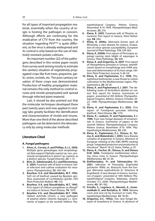for all types of imported propagation material, essentially when the country of origin is hosting the pathogen in concern. Although efforts are continuing for the eradication of CTV from the country, the situation regarding PVYNTN is quite different, as the virus is already widespread and its control is only based on the use of relatively resistant potato cultivars.

An important number (22) of the pathogens described in this review paper results from survey work aiming mostly to estimate the sanitary situation of vegetatively propagated crops like fruit trees, grapevine, garlic, onion, orchids, etc. The poor sanitary situation of these crops was demonstrated. Production of healthy propagation material remains the only method to control viruses and viroids perpetuated and spread through infected plant material.

Last, it should be also pointed out that the molecular techniques developed these past twenty years and now applied in virology labs greatly facilitate the identification and characterization of viroids and viruses. More than one third of the above described pathogens can be detected in the laboratory only by using molecular methods.

## **Literature Cited**

#### **A. Fungal pathogens**

- **1. Alves, A., Correia, A. and Phillips, A.J.L. 2006.** Multiple gene genealogies and morphological data support Diplodia cupressi sp. nov., previously recognized as D. pinea f. sp. cupressi, as a distinct species. Fungal Diversity, **23:** 1–15.
- **2. Biris, D., Vakalounakis, D.J. and Klironomou, E. 2004.** Fusarium wilt of basil in Greece: foliar infection and cultivar evaluation for resistance. Phytoparasitica, **32:** 160-166.
- **3. Bourbos, V.A. and Skoudridakis, M.T. 1992.**  Soft rot of kiwifruit caused by Bipolaris spicifera, anamorph of Cochliobolus spicifer*.* FAO Plant Protection Bulletin, **40:** 110.
- **4. Bourbos, V.A. and Skoudridakis, M.T. 1995.** First report of Oidium mangiferae on Mangifera indica in Greece**.** Plant Disease, **79:** 1075**.**
- **5. Bourbos V.A. and Skoudridakis M.T. 1996.** Oidium arachidis Chorin: a new pathogen of peanut plants (Arachis hypogea L.). Summaries of papers at the seventh Hellenic Phy-

topathological Congress, Athens Greece, November 8-10 1994. Phytopathologia Mediterranea, **35:** 214.

- **6. Elena, Κ. 2005.** Fusarium wilt of Phoenix canariensis: first report in Greece. Plant Pathology, **54**: 244.
- **7. Elena, K. 2006a.** Alternaria brown spot of Minneola, a new disease for Greece. Evaluation of citrus species susceptibility. European Journal of Plant Pathology, **115:** 259-262.
- **8. Elena, K. 2006b.** First report of Phomopsis asparagi causing stem blight of asparagus in Greece. Plant Pathology, **55:** 300.
- **9. Elena, K. and Grigoriou, A. 2007.** First report of Phytophthora primulae in Greece: identification based on morphology and rDNA analysis and determination of its host range. Hellenic Plant Protection Journal*,* **1:** 46-54.
- **10. Elena, K. and Paplomatas, E.J. 1998.** Phytophthora boehmeriae: a new threat to cotton cultivation in the Mediterranean region. Phytoparasitica, **26:** 20-26.
- **11. Elena, K. and Paplomatas E.J. 2001.** The defoliating strain of Verticillium dahliae on cotton: first report for Greece. Summaries of papers presented at 9th Hellenic Phytopathological Congress, Athens, Greece, October 20- 22, 1998. Phytopathologia Mediterranea, **40:** 70.
- **12. Elena, K. and Paplomatas E.J. 2002.** First report of Fomitiporia punctata infecting kiwifruit. Plant Disease, **86:** 1176
- **13. Elena, K., Laskaris, D. and Paplomatas, E.J. 1996.** Four new fungal diseases of ornamentals in Greece. Summaries of papers at the seventh Hellenic Phytopathological Congress, Athens Greece, November 8-10 1994. Phytopathologia Mediterranea, **35:** 230.
- **14. Elena, K., Paplomatas, E.J., Dimou, D., Tzima, A. and Malandraki, I. 2003.** Esca disease complex of grapevine in Greece. Abstracts of European meeting of the IOBC/WPRS working group "integrated protection and production in viticulture". March 18-22, Volos, Hellas, p. 97.
- **15. Elena, K., Fischer, M., Dimou, D. and Dimou D.M. 2006.** Fomitiporia mediterranea infecting citrus trees in Greece. Phytopathologia Mediterranea, **45:** 35-39.
- **16. Eleftheriadou, Fr. and Tahmatsidou V.I. 2001.** Infection of Poinsettia (Euphorbia pulcherim· Willd. ex. Klotzsch) from the fungus Alternaria euphorbiicola (E. Simmons & Engelhard). A new disease in Greece. Summaries of papers presented at 10th Hellenic Phytopathological Congress, Kalamata, Greece, October 3-5, 2000. Phytopathologia Mediterranea, **40:** 181-182.
- **17. Frisullo, S., Logrieco, A., Moretti, A., Grammatikaki G. and Bottalico, A. 1994.** Banana corm and root rot by Fusarium in Crete. Phytopathologia Mediterranea, **33:** 78-82.
- **18. Grigoriou, A.C. 1992a.** Two new fungal diseases of strawberry in Greece. In abstracts of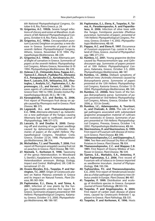6th National Phytopathological Congress, October 6-8, Rio, Patra Greece, p. 24.

- **19. Grigoriou, A.C. 1992b.** Severe fungal infections of chicory and onion at Marathon. In abstracts of 6th National Phytopathological Congress*,* October 6-8, Rio, Patra, Greece, p. 25.
- **20. Grigoriou, A.C. 1996a.** Cercosporidium punctum (Lacroix) Deighton on parsley: a new disease in Greece. Summaries of papers at the seventh Hellenic Phytopathological Congress, Athens, Greece, November 8-10 1994. Phytopathologia Mediterranea, **35:** 229.
- **21. Grigoriou A.C. 1996b.** A new Alternaria petal blight of carnation in Greece. Summaries of papers at the seventh Hellenic Phytopathological Congress, Athens Greece, November 8-10 1994. Phytopathologia Mediterranea, **35:** 229.
- **22. Holevas C.D., Chitzanidis Anna, Pappas A.C., Tjamos E.C., Elena K., Psallidas P.G., Alivizatos A.S., Panagopoulos C.G., Kyriakopoulou P.E., Bem F., Lascaris, D.N., Velissariou, D.E., Vloutoglou, I., Analytis, S.C., Paplomatas, E.J., Aspromougos, J.S., and Varveri, C., 2000.** Diseases agents of cultivated plants observed in Greece from 1981 to 1990. Annales Institut Phytopathologique Benaki, (N.S.), **19:** 1-96.
- **23. Karaoglanidis, G.S. and Bardas, G. 2006.**  First report of Phomopsis fruit decay on apple caused by Phomopsis mali in Greece. Plant Disease, **90:** 375.
- **24. Lagopodi, A.L. and Thanassoulopoulos, C.C. 1996.** Alternaria alternata f. sp. helianthina: a new pathotype of the fungus causing Alternaria leaf spot to sunflower. Journal of Phytopathology, **144:** 571-573.
- **25. Lascaris, D. and Doulias K. 2000.** Damping-off and stunting of sugar beet seedlings caused by Aphanomyces cochlioides. Summaries of papers at the eighth Hellenic Phytopathological Congress, Heraklion Crete, Greece, October 22-24, 1998. Phytopathologia Mediterranea, **39:** 314.
- **26. Michailides, T.J. and Thomidis, T. 2006.** First report of Phomopsis amygdali causing fruit rot on peaches in Greece. Plant Disease, **90:** 1551.
- **27. Niemelä, T., Korhonen K. 1998.** Taxonomy of the genus Heterobasidion. In: Woodward S, Stenlid J, Karjalainen R, Hüttermann A, eds. Heterobasidion annosum. Biology, Ecology, Impact and Control. Wallingford, UK: CAB International: 27–33.
- **28. Ocasio-Morales, R.G., Tsopelas, P. and Harrington, T.C. 2007.** Origin of Ceratocystis platani on Native Platanus orientalis in Greece and its impact on Natural Forests. Plant Disease, **91:** 901-904.
- **29. Paplomatas, E.J., Elena, K. and Tzima, A. 2001.** Infection of rose plants by the fungus Cryptosporella umbrina: first report for Greece. Summaries of papers presented at 10th Hellenic Phytopathological Congress, Kalamata, Greece, October 3-5, 2000. Phytopathologia Mediterranea, **40:** 186-187.
- **30. Paplomatas, E.J., Elena, K., Tsopelas, P., Tzima, A., Paraskevopoulos, A. and Papanikolaou, A. 2006.** Infection of olive trees with the fungus Fomitiporia punctata (Phellinus punctatus). Summaries of papers presented at 11th Hellenic Phytopathological Congress, Preveza, Greece, October 1-4, 2002. Phytopathologia Mediterranea, **45:** 69.
- **31. Pappas, A.C. and Elena K. 1997.** Occurrence of Fusarium oxysporum f.sp. cumini in the island of Chios, Greece. Journal of Phytopathology, **145:** 271-272.
- **32. Rumbos, I.C. 2001.** Young grapevine decline caused by Phaeoacremonium spp. and Cylindrocarpon spp. Summaries of papers presented at 10th Hellenic Phytopathological Congress, Kalamata, Greece, October 3-5, 2000. Phytopathologia Mediterranea, **40:** 187.
- **33. Rumbos, I.C. 2006a.** Dieback symptoms of kiwifruit trees (Actinidia chinensis) caused by Botryosphaeria parva. Summaries of papers presented at the 12th Hellenic Phytopathological Congress, Kastoria Greece, October 12-15 2004. Phytopathologia Mediterranea, **45:** 169.
- **34. Rumbos, I.C. 2006b.** New hosts of the fungus Botryosphaeria parva. Summaries of papers presented at 13rd Hellenic Phytopathological Congress, Athens, Greece, October 16-19, 2006, p. 153 (in Greek).
- **35. Rumbos, I.C., Adamopoulos, A, Tourtouri, A., and Chatzaki, A. 2006.** The role of fungal pathogens associated with substandard grapevine propagation material of cultivars and rootstocks in Greece. Summaries of papers presented at 11th Hellenic Phytopathological Congress, Preveza, Greece, October 1-4, 2002. Phytopathologia Mediterranea, **45:** 66.
- **36. Skarmoutsou, H. and Skarmoutsos, G. 1999.**  First report of Fusarium wilt disease of mimosa in Greece. Plant Disease, **83:** 590.
- **37. Thanassoulopoulos, C.C. and Giapanoglou, E. 1994.** Two New and Unusual Dry Rots of Stored Potatoes in Greece. Plant Disease, **78:** 924.
- **38. Thanassoulopoulos, C.C. and Mappas C.B. 1991.** First Report of Downy Mildew of Sunflower in Greece. Plant Disease, 76: 539.
- **39. Tjamos, S.E., Markakis, E.A., Antoniou, P. and Paplomatas, E.J. 2006.** First record of Fusarium wilt of tobacco in Greece imported as seedborne inoculum. Journal of Phytopathology, **154:** 193-196.
- **40. Tsahouridou, P.C. and Thanassoulopoulos, C.C.** 2000. First report of Hendersonula toruloidea as a foliar pathogen of strawberry-tree (Arbutus unedo) in Europe. Plant Disease, **84:** 487.
- **41. Tsopelas, P. 1999.** Distribution and ecology of Armillaria species in Greece. European Journal of Forest Pathology, **29:**103-116.
- **42. Tsopelas, P. and Angelopoulos, A. 2004.**  First report of canker stain disease of plane trees, caused by Ceratocystis fimbriata f. sp. platani in Greece. Plant Pathology, **53:** 531.
- **43. Tsopelas, P. and Korhonen, K. 1996.** Hosts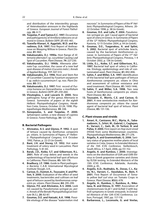and distribution of the intersterility groups of Heterobasidion annosum in the highlands of Greece. European Journal of Forest Pathology, **26:** 4-11.

- **44. Tsopelas, P. and Tjamos E.C. 1997.** Occurrence and pathogenicity of Armillaria tabescens on almond in Greece. Bulletin OEPP, **27:** 455-461.
- **45. Tzavella-Klonari, K. Aggelaki, M.D. and Karadimos, D.A. 1997.** First Report of Anthracnose on Weeping Willow in Greece. Plant Disease, **81:** 960.
- **46. Vakalounakis, D.J. 1990a.** Host Range of Alternaria alternata f. sp. cucurbitae Causing Leaf Spot of Cucumber. Plant Disease, **74:** 227-230.
- **47. Vakalounakis, D.J. 1990b.** Alternaria alternata f.sp. cucurbitae, the cause of a new leaf spot disease of melon (Cucumis melo ). Annals of Applied Biology, **117:** 507-513.
- **48. Vakalounakis, D.J. 1996.** Root and Stem Rot of Cucumber Caused by Fusarium oxysporum f. sp. radicis-cucumerinum f. sp. nov. Plant Disease, **80:** 313.
- **49. Vakalounakis, D.J. 1997.** First record of Puccinia horiana on Denranthema x morifolium in Greece. Bulletin OEPP, **27:** 259-260.
- **50. Vloutoglou, I. and Lascaris D. 2000.** New pathogenic fungi of the genus Alternaria in Greece. Summaries of papers at the eighth Hellenic Phytopathological Congress, Heraklion Crete, Greece, October 22-24, 1998. Phytopathologia Mediterranea, **39:** 338.
- **51. Xenopoulos, S. and Tsopelas, P. 2000.**  Sphaeropsis canker, a new disease of cypress in Greece. Forest Pathology, **30:** 121-126.

#### **B. Bacterial Pathogens**

- **1. Alivizatos, A.S. and Glynos, P. 1992.** A spot of lettuce caused by Xanthomas campestris pv. vitians. In Summaries of Papers, 6th Hellenic Phytopathological Congress, 6-8 October 1992, Patras, p. 22-23 (in Greek).
- **2. Bant, J.H. and Storey, I.F. 1952.** Hot water treatment of celery seed in Lancashire. Plant Pathology, **1:** 81-83.
- **3. Barak, J.D., Koike, S.T. and Gilbertson, R.L. 2001.** Role of crop debris and weeds in the epidemiology of bacterial leaf spot of lettuce in California. Plant Disease, **85:** 169-178.
- **4. Bradbury, J.F. 1986.** Guide to Plant pathogenic Bacteria. C.A.B. International Mycological Institute Slough, U.K..
- **5. Carisse, O., Ouimet, A., Toussaint, V. and Phi**lion, V. 2000. Evaluation of the effect of seed treatments, bactericides and cultivars on leaf spot of lettuce caused by Xanthomonas campestris pv. vitians. Plant Disease, **84:** 295-299.
- **6. Glynos, P.E. and Alivizatos, A.S. 2006.** Leek rot caused by Pseudomonas syringae pv. porri. Annals of the Benaki Phytopathological Institute (N.S.), **20:** 82-87.
- **7. Goumas, D.E. and Hatzaki, A.K. 1998.** Possible etiology of the disease "watermelon rind

necrosis". In Summaries of Papers of the 9th Hellenic Phytopathological Congress, Athens. 20- 22 October 1998, p. 38 (in Greek).

- **8. Goumas, D.E. and Lalla, P. 2004.** Pseudomonas syringae pv. apii: Causal agent of bacterial spot of celery in Greece. In Summaries of Papers of the 12th Hellenic Phytopathological Congress, Kastoria, 12-15 October 2004, p. 44 (in Greek).
- **9. Goumas, D.E., Tsagarakou, A. and Splini, S. 2002.** Bacterial spot of artichoke bracts, caused by the bacterium Xanthomonas cynarae. In Summaries of Papers of the 11<sup>th</sup> Hellenic Phytopathological Congress, Preveza, 1-4 October 2002, p. 138 (in Greek).
- **10. Little, E.L., Koike, S.T. and Gilbertson, R.L. 1997.** Bacterial leaf spot of celery in California. Etiology, epidemiology and role of contaminated seed. Plant Disease, **81:** 892-896.
- 11. Sahin, F. and Miller, S.A. 1997. Identification of the bacterial leaf spot pathogen of lettuce Xanthomonas campestris pv. vitians in Ohio and assessment of cultivar resistance and seed treatment. Plant Disease, **81:** 1443-1446.
- **12. Sahin, F. and Miller, S.A. 1998.** Two new hosts of Xanthomonas campestris pv. vitians. Plant Disease, **82:** 262.
- **13. Toussaint, V., Morris, C.E. and Carisse, O. 2001.** A new semiselective medium for Xanthomonas campestris pv. vitians the causal agent of bacterial leaf spot of lettuce. Plant Disease, **85:** 131-136.

#### **C. Plant viruses and viroids**

- **1. Amari, K., Canizares, M.C., Myrta, A., Sabanadzovic, S., Srhiri, M., Gabriel, I., Caglayan, K., Varveri, C., Gatt, M., Di Terlizzi, B. and Pallas, V. 2000.** First report on Hop stunt viroid (HSVd) from some Mediterranean countries. Phytopathologia Mediterranea, **39:** 271-276.
- **2. Avgelis, A. and Grammatikaki, G. 2006.** Sanitary status of grapevine mother plants of local varieties in Crete, Greece. In Extended Abstracts of the 15th ICVG Conference, Stellenbosch, South Africa, 3-7 April, 2006, pp.151-152.
- **3. Avgelis, A. and Rumbos, I. 2000.** Investigations on the distribution of GVA and GVB Vitivirus in Greek grapevine varieties and clones by ELISA testing. In Extended Abstracts of the 13th ICVG Conference, Adelaide, Australia, 2000, p. 45.
- **4. Avgelis, A.D., Roditakis, N., Dovas, C.I., Katis, N.I., Varveri, C., Vassilakos, N., Bem, F. 2001.** First Report of Occurrence of Tomato yellow leaf curl virus on Tomato Crops in Greece. Plant Disease, **85**(6)**:** 678.
- **5. Avgelis, A., Rumbos, I., Rumbou, A., Nikolaou, N. and Dimou, D. 1997.** Association of closteroviruses GLaV-1 and GLRaV-3 with leafroll symptoms in Greek vineyards. In Extended Abstracts of the 12th ICVG Conference, Lisbon, Portugal, 1997, pp. 117-118.
- **6. Barbarossa, L., Loconsole, G. and Vovlas,**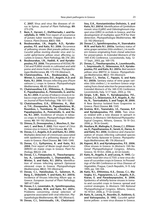**C. 2007.** Virus and virus like diseases of citrus in Epirus. Journal of Plant Pathology, **89:** 273-276.

- **7. Βem, F., Varveri, C., Eleftheriadis, I. and Karafyllidis, D. 1999.** First report of occurrence of potato tuber necrotic ringspot disease in Greece. Plant Disease, **83(**5): 488.
- **8. Boubourakas, I.N., Avgelis, A.D., Kyriakopoulou, P.E. and Katis, N.I. 2006.** Occurrence of yellowing viruses (Beet pseudo-yellows virus, Cucurbit yellow stunting disorder virus and Cucurbit aphid-borne yellows virus) affecting cucurbits in Greece. Plant Pathology, **55:** 276–283.
- **9. Boubourakas, I.N., Hadidi, A. and Kyriakopoulou, P.E. 2006.** The presence of ASSVd, PB-CVd and PLMVd viroids in cultivated and wild pome and stone fruits in Greece. Phytopathologia Mediterranea, **45:** 173-174 (Abstract).
- **10. Chatzivassiliou, E.K., Boubourakas, I.N., Winter, S., Lesemann, D.E., Avgelis, A.D. and Katis, N.I. 2006.** Viruses infecting pea (Pisum sativum L.) crops in Greece. Phytopathologia Mediterranea, **45:** 82 (Abstract).
- **11. Chatzivassiliou E.K., Efthimiou, K., Drossos, E., Papadopoulou, A., Poimenidis, G. and Katis, N.I. 2004.** A survey of tobacco viruses in tobacco crops and native flora in Greece. European Journal of Plant Pathology, **110:** 1011-1023.
- **12. Chatzivassiliou, E.K., Efthimiou, K., Matsi, T.H., Zissopoulos, N., Papadimitriou, M., Roumbos, I., Tsombana, M., Chouliara, M., Papadopoulou, A., Poimenidis, G. and Katis, N.I. 2001.** Incidence of viruses in tobacco crops in Greece. Phytopathologia Mediterranea, **40:** 191-192 (Abstract).
- **13. Dimou, D., Drossopoulou, J., Moschos, E., Varveri, C. and Bem, F. 2002.** First report of Citrus tristeza virus in Greece. Plant Disease, **86:** 329.
- **14. Dovas, C.I., Avgelis, A.D. and Katis, N.I. 2002.** Multiplex detection of criniviruses associated with epidemics of a yellowing disease of tomato in Greece. Plant Disease, **86:** 1345-1349.
- **15. Dovas, C.I., Eythymiou, K. and Katis, N.I. 2004.** First report of Maize rough dwarf virus (MRDV) on maize crops in Greece. Plant Pathology, **53**(22): 238.
- **16. Dovas, C.I., Fotopoulos, V., Theocharopoulos, A., Loumbourdis, I., Diamandidis, G.,**  Winter, S. and Katis, N.I. 2001a. Identification of viruses infecting spinach (Spinacea oleracea) crops in Greece. Phytopathologia Mediterranea, **40**(2): 193 (Abstract).
- **17. Dovas, C.I., Hatziloukas, E., Salomon, R., Barg, E., Shiboleth, Y. and Katis, N.I. 2001b.** Incidence of Viruses Infecting Allium spp. in Greece. European Journal of Plant Pathology, **107:** 677-684.
- **18. Dovas, C.I., Leventakis, N., Spinthiropoulou, H., Stavrakakis, M.N. and Katis, N.I. 2001c.** Problems concerning clonal selection of grapevine associated with viral infection. Phytopathologia Mediterranea, **45:** 192 (Abstract).
- **19. Dovas, C.I., Smirnioudis, I.N., Chatzivassi-**

**liou, E.K., Konstantinidou-Doltsinis, S. and**  Katis, N.I. 2001d. Identification of Cymbidium mosaic virus (CyMV) and Odontoglossum ringspot virus (ORV) in orchids in Greece, and the development of multiplex spot-PCR for their detection. Phytopathologia Mediterranea, **40**  (2): 192 (Abstract).

- **20. Dovas C.I., Spinthiropoulou, H., Stavrakakis M.N. and Katis N.I. 2003a.** Sanitary status of wine grape varieties (Vitis vinifera L.) in northern Greece originating from clonal selection for preservation. In Extended Abstracts of the 14th ICVG Conference, Locorotondo, Italy, 12- 17 Sept., 2003, pp. 169-170.
- **21. Dovas, C., Theoharopoulos, A., Loumbourdis, I., Smyrnioudis, E., Sklavounos, A.P., Kyriakopoulou, P.E. and Katis, N.I. 2001e.** Beet western yellows virus (BWYV) in Greece. Phytopathologia Mediterranea, **40**(2): 193 (Abstract).
- **22. Dovas C.I., Vovlas, C., Papazis, G. and Katis N.I. 2003b.** Sanitary status of wine grape varieties (Vitis vinifera L.) in northern Greece originating from clonal selection for preservation. In Extended Abstracts of the 14th ICVG Conference, Locorotondo, Italy, 12-17 Sept., 2003, p. 156.
- **23. Girgis, S.M., Bem, F., Kyriakopoulou, P.E., Dovas, C.I., Sklavounos, A.P., Avgelis, A., Katis, N., Tzortzakakis, S. and Tsagri, M. 2000.**  A New Ilarvirus Isolated from Grapevine in Greece. Plant Disease, **84:** 1345.
- **24. Gratsia, Μ.Ε., Tzanetakis, Ι.Ε., Fasseas, Κ.P. and Kyriakopoulou, P.E. 2006.** Two viruses related with a new disease in spinach in Greece. In Abstracts 13th National Phytopathological Congress, Athens, Greece, 16-19 Oct. 2006, p. 78 (in Greek).
- **25. Houliara, Μ., Maliogka, V., Dovas, C.I., Efthimiou, K., Papathanasiou, Κ., Sereti, A., Harou, Α. and Katis, Ν.I. 2006.** Incidence and characterization of viruses infecting cultivated species of the family Apiaceae in Greece. Phytopathologia Mediterranea, **45:** 176 (Abstract).
- **26. Kaponi, M.S. and Kyriakopoulou, P.E. 2006.**  Olive viruses in Greece. In Abstracts 13th National Phytopathological Congress, Athens, Greece, 16-19 Oct. 2006, p. 63 (in Greek).
- **27. Katis, N., Avgelis, A. and Lecoq, H. 1995.** Cucumber toad skin virus (CTSV): a new virus disease of cucumber crops in Greece. In Proceedings of the 8th Conference on Virus Diseases of Vegetables, Prague, Czech Republic, 9-15 July 1995, pp. 140-144.
- **28. Katis, N.I., Efthimiou, K.E., Dovas, C.I., Maliogka, V.I., Papayiannis, L.C., Avgelis, A.D., Kiaras, E. and Paraskeyopoulos, A. 2006.** Epidemics of whitefly-borne viruses in tomato and cucurbit crops in Greece: spread and control strategies. In Abstracts 13th National Phytopathological Congress, Athens, Greece, 16-19 Oct. 2006, p. 77 (in Greek).
- **29. Katis, N., Lecoq, H., Bourdin, D., Kokkinis, G. and Vaitsopoulos, D. 1992.** Cucurbit aphidborne yellows : a new virus disease in Greece.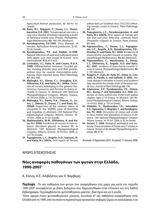Agriculture-Animal production, **6:** 40-43 (in Greek).

- **30. Katis, N.I., Roggero, P., Dovas, C.I., Chatzibassiliou, E.K. 2001.** Tomato apical necrosis: a new virus disease of tomato caused by a strain of Parietaria mottle virus (PmoV). Phytopathologia Mediterranea, **40:** 194-195 (Abstract).
- **31. Kyriakopoulou, P.E.1995.** Virus diseases of tomato. Agriculture-Animal production, **5:** 42- 53 (In Greek).
- **32. Kyriakopoulou, P.E. and Hadidi, A.1998.**  Natural infection of wild and cultivated pears with apple scar skin viroid in Greece. Acta Horticulturae, **472:** 617-625.
- **33. Livieratos, I.C., Katis, N. and Coutts, R.H.A.**  1998. Differentiation between Cucurbit yellow stunting disorder virus and Beet pseudoyellows virus by reverse transcription-polymerase chain reaction assay. Plant Pathology, **47:** 362-369.
- **34. Maliogka, V.I., Dovas, C.I., Drougkas, E.V., Efthimiou, K.E. and Katis, N.I. 2006a.** Detection of viruses belonging to the genera Closterovirus, Foveavirus and Ilarvirus in cherry orchards in Greece. In Abstracts 13th National Phytopathological Congress, Athens, Greece, 16-19 Oct. 2006, p. 131 (in Greek).
- **35. Maliogka, V.I., Sainis, P.A., Charou, A., Lotos, L., Dimou, D., Dovas, C.I. and Katis, N.I. 2006b.** Inspection of the sanitary status of vineyards in the VQPRD zone of Korinthia and Argolida. In Abstracts 13th National Phytopathological Congress, Athens, Greece, 16- 19 Oct. 2006, p. 61 (in Greek).
- **36. Mathioudakis, M.M., Efthimiou, K. and Katis, N.I. 2006**. Incidence of viruses in tree tobacco (Nicotiana glauca) in Greece PE. In Abstracts 13th National Phytopathological Congress, Athens, Greece, 16-19 Oct. 2006, p. 127 (in Greek).
- **37. Papagiannis, L.C., Avgelis, A.D., Ioannou, N. and Katis, N.I. 2007a.** First report of Tomato

yellow leaf curl Sardinia virus (TYLCSV) infecting tomato crops in Greece. Plant Pathology, **56:** 341.

- **38. Papagiannis, L.C., Paraskevopoulos, A. and Katis, N.I. 2007b.** First report of Tomato yellow leaf curl virus infecting common bean (Phaseolus vulgaris) in Greece. Plant Disease, **91:** 465.
- **39. Papavassiliou, C., Dovas, C.I., Papagiannis, L.C., Avgelis, A.D., Kyriakopoulou, P.E., Doulias, K. and Katis, N.I. 2006.** Incidence of insect-borne cucurbit viruses in Greece. Phytopathologia Mediterranea, **45:** 80 (Abstract).
- **40. Papavassiliou, C., Hatziloukas, E., Dovas, C.I., Efthimiou, K., Avgelis, A.D. and Katis, N.I. 2001.** Incidence of insect-borne cucurbit viruses in Greece. Phytopathologia Mediterranea, **40:**  2, 195 (Abstract).
- **41. Roggero, P., Ciufo, M., Katis, N.I., Alioto, D., Crescenti, A., Parella, G. and Gallitelli, D. 2000.** Necrotic disease in tomatoes in Greece and Southern Italy caused by the tomato strain of Parietaria mottle virus. Journal of Plant Pathology, **82:** 159.
- **42. Sclavounos, Α.P., Kyriakopoulou, P.E., Holeva, M.C., Kostas, P. and Voloudakis, A.E. 2006.** Detection of Cherry leafroll virus (CLRV) from walnut (Juglans regia L.) in Greece. In Abstracts 13th National Phytopathological Congress, Athens, Greece, 16-19 Oct. 2006, p. 155 (in Greek).
- **43. Vidalakis, G., Boubourakas, I.N., Voloudakis, A.E., Agorastou, T., Magripis, C. and Kyriakopoulou, P.E. 2006.** Occurrence of viruses and viroids in citrus mother tree plantations in Greece. In Abstracts 13th National Phytopathological Congress, Athens, Greece, 16-19 Oct. 2006, p. 62 (in Greek).
- **44. Varveri, C. 2006.** Biological, serological and molecular characterisation of Potato virus Y isolates in Greece. Annals of the Benaki Phytopathological Institute, **20:** 67-81.

Received: 14 September 2007; Accepted: 17 January 2008

# ΑΡΘΡΟ ΕΠΙΣΚΟΠΗΣΗΣ

# **Νέες αναφορές παθογόνων των φυτών στην Ελλάδα, 1990-2007**

Κ. Ελένα, Α.Σ. Αλιβιζάτος και Χ. Βαρβέρη

**Περίληψη** Τα νέα παθογόνα των φυτών που αναφέρθηκαν στη χώρα μας κατά την περίοδο 1990-2007 συνοψίζονται με βάση δεδομένα που δημοσιεύθηκαν στην ελληνική και στη διεθνή βιβλιογραφία. Περιλαμβάνονται φυτοπαθογόνοι μύκητες, βακτήρια και ιοί ή ιοειδή.

'Οσον αφορά στους φυτοπαθογόνους μύκητες, συνολικά 47 νέα παθογόνα αναφέρθηκαν στην Ελλάδα από το 1990, από τα οποία τα περισσότερα προκαλούν σοβαρές ζημιές σε καλλιέργειες ή σε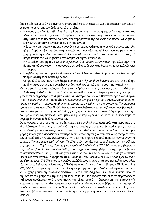δασικά είδη και μόνο λίγα φαίνεται να έχουν αμελητέες επιπτώσεις. Οι σοβαρότερες περιπτώσεις, με βάση τα μέχρι σήμερα δεδομένα, είναι οι εξής:

- − Η είσοδος του Ceratocystis platani στη χώρα μας και η εμφάνιση της ασθένειας «έλκος του πλατάνου», η οποία έγινε σχετικά πρόσφατα και βρίσκεται ακόμη σε περιορισμένη έκταση στη Νοτιοδυτική Πελοπόννησο. Λόγω της σοβαρότητας της ασθένειας θα πρέπει να ληφθούν επειγόντως μέτρα για τον περιορισμό της ασθένειας.
- − Η ίσκα των αμπελώνων, με νέα παθογόνα που απομονώθηκαν από νεαρά πρέμνα, αποτελεί ήδη σοβαρό πρόβλημα τόσο στην εγκατάσταση των νέων αμπελώνων όσο και μετέπειτα. Η χρησιμοποίηση πολλαπλασιαστικού υλικού απαλλαγμένου από την ασθένεια είναι πρωταρχικό μέτρο που πρέπει να ληφθεί για την αντιμετώπιση της ασθένειας.
- − Η νέα ειδική μορφή του Fusarium oxysporum f. sp. radicis-cucumerinum προκαλεί σήψη της βάσης και αδρομύκωση της αγγουριάς με σοβαρές ζημιές στις θερμοκηπιακές καλλιέργειες της χώρας.
- − Η κηλίδωση των μανταρινιών Minneola από τον Alternaria alternata pv. citri είναι ένα σοβαρό πρόβλημα στη Βορειοδυτική Ελλάδα.
- − Οι προσβολές των καψών του βαμβακιού από τον Phytophthora boehmeriae είναι ένα σοβαρό πρόβλημα σε φυτείες που συνήθως ποτίζονται διαφορετικά από το σύστημα «στάγδην».

΄Οσον αφορά στα φυτοπαθογόνα βακτήρια, υπήρξαν πέντε νέες αναφορές από το 1990 μέχρι το 2007 στην Ελλάδα. Όλα τα παθογόνα διαπιστώθηκαν επί καλλιεργούμενων λαχανοκομικών φυτών και περιγράφηκαν τα συμπτώματα. Τα βακτήρια που ανιχνεύθηκαν και προσδιορίσθηκαν ήταν: Pantoea ananas επί καρπουζιού, Pseudomonas syringae pv. apii επί σέλινου, Pseudomonas syringae pv. porri επί πράσου, Xanthomonas campestris pv. vitians επί μαρουλιού και Xanthomonas cynarae επί αγκινάρας. Σην Ελλάδα δεν έχει διαπιστωθεί ακόμα ευρεία εξάπλωση των βακτηρίων αυτών αλλά, με βάση στοιχεία από άλλες χώρες, η προκαλούμενη από αυτά ζημιά μπορεί να έχει σοβαρή οικονομική επίπτωση γιατί μειώνει την εμπορική αξία ή καθιστά μη εμπορεύσιμη τη συγκομιδή των προσβεβλημένων φυτών.

Όσον αφορά στους ιούς και τα ιοειδή, έγιναν 52 συνολικά νέες αναφορές στη χώρα μας στο ίδιο διάστημα. Από αυτές, τη σοβαρότερη νέα απειλή για σημαντικές καλλιέργειες όπως τα εσπεριδοειδή, η τομάτα, το αγγούρι και η πατάτα αποτελούν εννέα ιοί οι οποίοι διαθέτουν έντομαφορείς ικανούς να διασφαλίσουν την περαιτέρω μετάδοσή τους. Αυτοί είναι: ο ιός της τριστέτσας των εσπεριδοειδών (Citrus tristeza virus, CTV), ο ιός του κίτρινου καρουλιάσματος των φύλλων της τομάτας (Tomato yellow leaf curl virus, TYLCV), ο ιός του κίτρινου καρουλιάσματος των φύλλων της τομάτας της Σαρδηνίας (Tomato yellow leaf curl Sardinia virus, TYLCSV), ο ιός της χλώρωσης της τομάτας (Tomato chlorosis virus, ToCV), ο ιός της μολυσματικής χλώρωσης της τομάτας (Tomato infectious chlorosis virus, TICV), ο ιός του ψευδο-ίκτερου των τεύτλων (Beet pseudo-yellows virus, BPYV), ο ιός του κίτρινου παραμορφωτικού νανισμού των κολοκυνθοειδών (Cucurbit yellow stunting disorder virus, CYSDV), ο ιός του αφιδομεταδιδόμενου κίτρινου ίκτερου των κολοκυνθοειδών (Cucumber aphid borne yellows virus, CABYV) και ο ιός Υ της πατάτας στέλεχος ΝΤΝ (Potato virus YNTN, PVYNTN). Η εκρίζωση ασθενών φυτών, η εφαρμογή αυστηρών διαδικασιών φυτοκαραντίνας και η χρησιμοποίηση πολλαπλασιαστικού υλικού απαλλαγμένου ιών είναι κάποια από τα σημαντικότερα μέτρα για την αντιμετώπισή τους. Τα μισά σχεδόν από αυτά τα περιγραφέντα παθογόνα προέκυψαν από επισκοπήσεις που είχαν σκοπό τη διερεύνηση της φυτοϋγιεινής κατάστασης αγενώς πολλαπλασιαζόμενων καλλιεργειών, σαν πρώτο βήμα για την παραγωγή υγιούς πολλαπλασιαστικού υλικού. Οι μοριακές μέθοδοι που αναπτύχθηκαν τα τελευταία χρόνια έχουν συμβάλει σημαντικά στην ταυτοποίηση και τον χαρακτηρισμό των αναφερόμενων ιών και ιοειδών.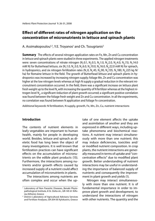# **Effect of different rates of nitrogen application on the concentration of micronutrients in lettuce and spinach plants**

A. Assimakopoulou<sup>1,2</sup>, Y.E. Troyanos<sup>1</sup> and Ch. Tsougrianis<sup>2</sup>

**Summary** The effects of several nitrogen application rates on Fe, Mn, Zn and Cu concentration in lettuce and spinach plants were studied in three experiments. The applied nitrogen treatments were: seven concentrations of nitrate nitrogen (N<sub>1</sub>:0.1, N<sub>2</sub>:0.5, N<sub>3</sub>:1.0, N<sub>4</sub>:2.0, N<sub>5</sub>:4.0, N<sub>6</sub>:7.0, N<sub>7</sub>:14.0 mM N) for Butterhead lettuce, six (N.:1.0, N.:3.0, N.:6.0, N.:10.0, N.:16.0, N.:22.0 mM N) for spinach, in hydroponics, and six nitrogen fertilization rates (N.:0, N.:45, N.:90, N.:135, N.:180, N.:225 kg N. $^{\prime}$ ha) for Romaine lettuce in the field. The growth of Butterhead lettuce and spinach plants in hydroponics was increased by increasing nitrogen supply; foliage Mn, Zn and Cu concentration was higher at the low nitrogen levels whereas at high N supply a gradual reduction in the relevant micronutrient concentration occurred. In the field, there was a significant increase on lettuce plant fresh weight up to the level N<sub><sub>c</sub> with increasing the quantity of N fertilizer whereas at the highest ni-</sub> trogen level  $\mathsf{N}_{_{6'}}$  a significant reduction of plant growth occurred; a significant positive correlation was found between the foliage fresh weight and Zn and Cu concentration. In all the experiments, no correlation was found between Ν application and foliage Fe concentration.

Additional keywords: N fertilization, N supply, growth, Fe, Mn, Zn, Cu, nutrient interactions

## **Introduction**

The contents of nutrient elements in leafy vegetables are important to human health, mainly for people in developing world. Besides, lettuce and spinach as dietetic food has long been the object of many investigations. It is well known that fertilization practices can have significant effects on the accumulation of micronutrients on the edible plant products (15). Furthermore, the interactions among nutrients and/or growth effects caused by increased supply of a nutrient could affect accumulation of micronutrients in plants.

The interactions among nutrients are often complex and occur when the uptake of one element affects the uptake and assimilation of another and they are expressed in different ways, including uptake phenomena and biochemical reactions. A nutrient may interact simultaneously with more than one nutrient; this may induce deficiencies, toxicities and/ or modified nutrient composition. In crop plants, the nutrient interactions are generally measured in terms of uptake and "concentration effects" due to modified plant growth. Better understanding of nutrient interactions may be useful in understanding the importance of balanced supply of nutrients and consequently the improvement in plant growth and yields (1).

Nitrogen may interact simultaneously with more than one nutrient. It is of fundamental importance in order to improve plant growth and development, to understand the interactions of nitrogen with other nutrients. The quantity and the

<sup>&</sup>lt;sup>1</sup> Laboratory of Non Parasitic Diseases, Benaki Phytopathological Institute, 8 St. Delta str., GR-145 61 Kifissia (Athens), Greece

<sup>2</sup> District Laboratory of Agricultural Advisory Services and Fertilizer Analyses, GR-204 00 Xylokastro, Greece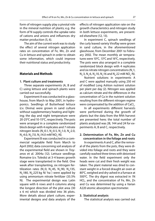form of nitrogen supply play a pivotal role in the mineral nutrition of plants; e.g. the form of N supply controls the uptake ratio of cations and anions and influences dry matter production (5, 6).

The aim of the current work was to study the effect of several nitrogen application rates on concentration of Fe, Mn, Zn and Cu in lettuce and spinach in order to obtain some information, which could improve their nutritional status and productivity.

## **Materials and Methods**

#### **1. Plant culture and treatments**

Three separate experiments (A, B and C) using lettuce and spinach plants were carried out successfully.

Experiment A was conducted in a glasshouse, from March to May 2001, in hydroponics. Seedlings of Butterhead lettuce (cv. Divina) were grown in sand culture without supplementary heating and lighting; the day and night temperature were 20-25°C and 10-15°C, respectively. The pots were arranged in a complete randomized block design with 4 replicates and 7 nitrate nitrogen levels (N<sub>1</sub>:0.1, N<sub>2</sub>:0.5, N<sub>3</sub>:1.0, N<sub>4</sub>:2.0,  $\mathsf{N}_5$ :4.0,  $\mathsf{N}_6$ :7.0,  $\mathsf{N}_7$ :14.0 mM  $\mathsf{NO}_3$ -N).

Experiment B was conducted in a commercial vegetable field from March to April 2002; data concerning soil analysis of the experimental field are shown in Troyanos et al. 2004a (12). Lettuce seedlings Romaine (cv. Toledo) at 3-4 leaves growth stage were transplanted in the field. One week after transplanting, six nitrogen fertilization rates (N<sub>1</sub>:0, N<sub>2</sub>:45, N<sub>3</sub>:90, N<sub>4</sub>:135, N<sub>5</sub>:180, N<sub>6</sub>:225 kg N/ ha ) were applied by using ammonium nitrate fertilizer (33.5% N). The experimental design was Latin square with 6 rows and 6 columns along the longest direction of the plot area (30 x 6 m) which was divided into 36 plots. More details about plant culture, experimental designs and data analysis of the

effects of nitrogen application rate on the growth characteristics and nitrogen study in both lettuce experiments, are presented elsewhere (12, 13).

In experiment C, spinach seedlings of the curly leaved variety Viroflay were grown in sand culture, in the aforementioned glasshouse, from December 2001 to February 2002. The mean monthly air temperatures were 10°C, 13°C and 16°C, respectively. The pots were also arranged in a complete randomized block design with 4 replicates and six nitrate nitrogen concentrations (N<sub>1</sub>:1,  $\mathsf{N}_2$ :3,  $\mathsf{N}_3$ :6,  $\mathsf{N}_4$ :10,  $\mathsf{N}_5$ :16 and  $\mathsf{N}_6$ :22 mM  $\mathsf{NO}_3$ -N).

Nutrient solutions in experiments A and C were applied manually using 250 ml of modified Long Ashton nutrient solution per plant per day (2). Nitrogen was applied as calcium nitrate and the differences in the concentration of Ca in the nutrient solution resulting from the different nitrogen regime were compensated by the addition of CaCl $_{\textrm{\tiny{2}}}$ .

In all experiments different harvests were performed during the growth of plants but the data from the fifth harvest are presented here; the total number of plants analyzed was 28, 144 and 24 for experiments A, B and C, respectively.

# **2. Determination of Fe, Mn, Zn and Cu concentration in the foliage and roots**

In experiments A and C, after the removal of the plants from the pots, they were divided into foliage and roots and they were carefully washed three times with deionised water. In the field experiment only the heads were cut and their fresh weight was taken. The plant material was dried to constant weight in a forced draught air oven at 80°C, weighed and dry-ashed in a furnace at 500°C. The dry digest was extracted in 1N HCL, and the concentration of Fe, Mn, Zn and Cu was determined by using a Varian A220 atomic absorption spectrometer.

#### **3. Statistical analysis**

The statistical analysis was carried out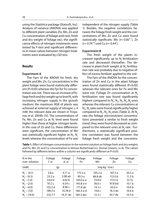using the Statistica package (Statsoft, Inc). Analysis of variance (ANOVA) was applied to different plant variables (Fe, Mn, Zn and Cu concentration of foliage and root, fresh and dry weight of foliage etc), the significance effects of nitrogen treatments were tested by F-test and significant differences in mean values between nitrogen treatments were evaluated by LSD test.

## **Results**

#### **Experiment A**

The Fprs of the ANOVA for fresh, dry weight and Mn, Zn, Cu concentration in the plant foliage were found statistically different (P<0.05) whereas the Fpr for Fe concentration was not. There was an increase of foliage fresh and dry weight up to level N<sub>2</sub> with increasing nitrogen supply in the growth medium; the maximum RGR of plants was achieved at external supply of nitrogen  $\geq 4$ mM; the relevant data are shown in Troyanos et al. 2004b (13). The concentrations of Fe, Mn, Zn and Cu at N<sub>1</sub> level were found higher than those at higher nitrogen levels. In the case of Zn and Cu, these differences were significant, the concentration of Mn was statistically significant higher at  $\mathsf{N}_{_{1}}$ ,  $\mathsf{N}_{_{2}}$ levels whereas the concentration of Fe was

independent of the nitrogen supply (Table 1). Besides, the negative correlations between the foliage fresh weight and the concentrations of Mn, Zn and Cu were found statistically significant; Mn (r=-0.85\*\*\*), Zn (r=-0.74\*\*\*) and Cu (r=-0.44\* ).

#### **Experiment B**

The fresh weight of the plants increased significantly up to  $N<sub>s</sub>$  fertilization rate and decreased thereafter. The decrease in plant fresh weight at  $\mathsf{N}_\epsilon$  fertilization rate was probably due to negative effect of excess fertilizer applied to the soil.

The Fprs of the ANOVA for the concentration of Zn and Cu in the plant foliage were found statistically different (P<0.05) whereas the relevant ones for Fe and Mn were not. Foliage Zn concentration at N<sub>-</sub> fertilization rate was found significantly highest compared to  $N_{1'}$ ,  $N_{2'}$ ,  $N_{3'}$ ,  $N_{4'}$ ,  $N_6$  ones whereas the relevant Cu concentrations at  $\mathsf{N}_{\scriptscriptstyle{A^\prime}}\mathsf{N}_{\scriptscriptstyle{5}}$ rates were found significantly higher compared to  $\mathsf{N}_{1}$ ,  $\mathsf{N}_{2}$ ,  $\mathsf{N}_{3}$ ones (Table 2). At  $\mathsf{N}_{\epsilon}$ rate the foliage micronutrient concentrations presented a similar to fresh weight trend; they were found decreased as compared to the relevant ones at N<sub>-</sub> rate . Furthermore, a statistically significant positive correlation was found between the foliage fresh weight and the concentra-

| N in the<br>nutr. solution | Foliage<br>f. w. | Foliage<br>d. w.  | Foliage<br>Fe | Foliage<br>Mn     | Foliage<br>Zn       | Foliage<br>Cu     |
|----------------------------|------------------|-------------------|---------------|-------------------|---------------------|-------------------|
| (mM)                       | (g)              |                   |               |                   | $(mq kq^{-1} d.w.)$ |                   |
| $N_1 - (0.1)$              | 5.8a             | 0.71a             | 175.3 a       | 103.2 a           | 167.3 a             | 20.5a             |
| $N_{2} - (0.5)$            | 23.2a            | 2.08ab            | 99.3 e        | 86.8 ab           | 112.0 <sub>b</sub>  | 11.2 <sub>b</sub> |
| $N2 - (1.0)$               | 54.6 b           | 4.02 <sub>b</sub> | $120.0a-e$    | 73.8 b            | 117.5 b             | 9.7 <sub>b</sub>  |
| $N_a - (2.0)$              | 97.2c            | 6.54c             | 145.8 a-e     | 36.0 <sub>c</sub> | 97.8 bd             | 10.1 <sub>b</sub> |
| $N_c - (4.0)$              | 153.2 d          | 8.96 с            | 171.8 ab      | 14.3 c            | 63.0e               | 10.0 <sub>b</sub> |
| $N_c - (7.0)$              | 198.5 e          | 10.78 d           | 160.3 a-d     | 19.8 c            | 76.3 de             | 10.6 <sub>b</sub> |
| $N_{7}$ – (14.0)           | 232.7f           | 14.21 de          | 160.3 abc     | 12.3c             | 65.7 de             | 10.3 <sub>b</sub> |

Table 1. Effect of nitrogen concentration in the nutrient solution on foliage fresh and dry weights and Fe, Mn, Zn and Cu concentration in lettuce Butterhead (cv. Divina) (means, n=4). The values followed by different letters within a column are significantly different at  $P<0.05$ .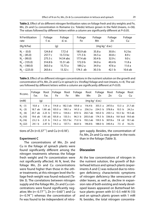| N Fertilization<br>rate | Foliage<br>f. w. | Foliage<br>d. w. | Foliage<br>Fe | Foliage<br>Mn     | Foliage<br>Zn       | Foliage<br>Cu     |
|-------------------------|------------------|------------------|---------------|-------------------|---------------------|-------------------|
| (Kg N/ha)               |                  | (g)              |               |                   | $(mq kq^{-1} d.w.)$ |                   |
| $N_1 - (0.0)$           | 124.8 d          | 7.72d            | 183.9 ab      | 35.8a             | 30.8 <sub>c</sub>   | 9.2 <sub>bc</sub> |
| $N_{2} - (45.0)$        | 257.7 c          | 13.72 bc         | 171.5 b       | 34.5 a            | 30.8 <sub>c</sub>   | 8.9c              |
| $N2 - (90.0)$           | 275.5c           | 14.54 abc        | 177.4 ab      | 30.4 <sub>b</sub> | 32.9c               | 9.0c              |
| $N_a - (135.0)$         | 314.8 b          | 15.51 ab         | 172.0 b       | 34.0 a            | 40.4 b              | 11.8a             |
| $N_c - (180.0)$         | 363.0a           | 15.73a           | 189.2 a       | 34.9a             | 47.6 a              | 11.6a             |
| $N_6 - (225.0)$         | 263.6c           | 13.32 c          | $174.5$ ab    | 30.3 <sub>b</sub> | 42.1 <sub>b</sub>   | 10.6ab            |

Table 2. Effect of six different nitrogen fertilization rates on foliage fresh and dry weights and Fe, Mn, Zn and Cu concentration in Romaine (cv. Toledo) lettuce grown in the field (means, n=36). The values followed by different letters within a column are significantly different at  $P<0.05$ .

**Table 3.** Effect of six different nitrogen concentrations in the nutrient solution on the growth and concentration of Fe, Mn, Zn and Cu in spinach (cv. Viroflay) foliage and root (means, n=4). The values followed by different letters within a column are significantly different at  $P<0.05$ .

| N conc.       | Foliage<br>f.w. | Root<br>f.w. | Fe a | Foliage Root Foliage<br>Fe Fe | Mn | Root<br>Mn                                                                       | Foliage Root Foliage<br>Zn | Zn | Cu | Root<br>Cu        |
|---------------|-----------------|--------------|------|-------------------------------|----|----------------------------------------------------------------------------------|----------------------------|----|----|-------------------|
| (mM)          | (q)             |              |      |                               |    | $(mq kq^{-1} d.w.)$                                                              |                            |    |    |                   |
| $N1 - (1)$    |                 |              |      |                               |    | 10.8 a 1.14 a   114.8 a 182.3 ab 159.8 a 116.4 b 355.5 a 247.0 a 13.3 a 21.7 ab  |                            |    |    |                   |
| $N_{2} - (3)$ |                 |              |      |                               |    | 18.7 ab 1.90 ab   105.0 a 190.1 a 141.0 a 256.3 a 234.5 b 378.8 a 10.5 b         |                            |    |    | 24.2 a            |
| $N2 - (6)$    |                 |              |      |                               |    | 20.7 ab 2.25 b   107.0 a 134.6 c 87.0 b 202.7 ab 165.0 b 250.1 a 10.3 bc 19.5 ab |                            |    |    |                   |
| $N_{a}$ -(10) |                 |              |      |                               |    | 19.6 ab 1.93 ab 105.8 a 133.5 c 96.3 b 205.0 ab 174.5 b 336.8 a 9.8 bcd 19.0 ab  |                            |    |    |                   |
| $N_c$ -(16)   |                 |              |      |                               |    | 23.2 b 2.31 b   114.5 a 155.7 bc 71.0 b 192.2 ab 159.5 b 307.8 a 7.8 cd 19.1 ab  |                            |    |    |                   |
| $N_c$ -(22)   |                 |              |      |                               |    | 24.1 b 2.47 b   114.3 a 137.7 c 66.8 b 146.8 b 188.0 b 340.4 a 7.5 d             |                            |    |    | 16.2 <sub>b</sub> |

tions of Zn (r=0.37\*\*\*) and Cu (r=0.18\* ).

#### **Experiment C**

The concentrations of Mn, Zn and Cu in the foliage of spinach plants were found significantly different among the nitrogen treatments whereas the foliage fresh weight and Fe concentration were not significantly affected. At  $N_{1}$  level, the foliage Mn, Zn and Cu concentrations were found higher than those in the other treatments; at this nitrogen level the foliage fresh weight was found reduced (Table 3). The correlations between nitrogen supply and the foliage Mn, Zn and Cu concentrations were found significantly negative; Mn (r=-0.77\*\*\*), Zn (r=-0.60\*\*) and Cu (r=-0.74\*\*\*) whereas the concentration of Fe was found to be independent of nitrogen supply. Besides, the concentration of Fe, Mn, Zn and Cu was greater in the roots than in the foliage (Table 3).

## **Discussion**

At the low concentrations of nitrogen in the nutrient solution, the growth of Butterhead lettuce and spinach plants (experiments A and C) was reduced due to nitrogen deficiency; characteristic symptoms of nitrogen deficiency like senescence of older leaves, as well as, decline in expansion rate of both existing and newly developed leaves appeared on Butterhead lettuce plants grown with 0.1-0.5 mM N (13) and on spinach plants grown with 1 mM N; besides, the total nitrogen concentra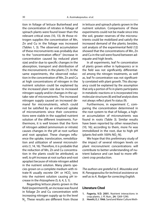tion in foliage of lettuce Butterhead and the concentration of nitrates in foliage of spinach plants were found lower than the relevant critical ones (10, 13). At those nitrogen supplies the concentration of Mn, Zn and Cu in the foliage was increased (Tables 1, 3). The observed accumulation of these micronutrients was probably due to the "concentration effect" (increase in concentration caused by reduced plant size) and/or due to specific changes in the absorption, transport and distribution of the micronutrients in the plants (7). In the same experiments, the observed reduction in the concentration of Mn, Zn and Cu at high concentrations of nitrogen in the nutrient solution could be explained by the increased plant size due to increased nitrogen supply and/or changes in the uptake rate of micronutrients. The increased nitrogen supply caused an increased demand for micronutrients, which could not be satisfied by an enhanced uptake of micronutrients since their concentrations were stable in the supplied nutrient solution of the different treatments. Furthermore, it is well known that the form of nitrogen added (ammonium or nitrate) causes changes in the pH at root surface and root apoplast. These changes influence the uptake, translocation, remobilization and utilization of several micronutrients (1, 14, 16). Therefore, it is probable that the reduction of Mn, Zn and Cu concentration in the plants could be attributed, as well, to pH increase at root surface and root apoplast because of nitrate nitrogen added in the nutrient solution. Many plants species grown on a complete medium with nitrate-N usually excrete OH $\degree$  or HCO<sub>3</sub> ions into the nutrient solution causing pH increase in the rhizosphere (5, 6, 4, 3, 1).

Regarding lettuce plants grown in the field (experiment B), an increase was found in foliage Zn and Cu concentration with increasing nitrogen supply up to the level  $\mathsf{N}_\mathsf{s}$ . These results are different from those in lettuce and spinach plants grown in the nutrient solution. Comparisons of these experiments could not be made since into the soil, greater reserves of the micronutrients could be mobilized and satisfy the increased demand of the plants; besides, soil analysis of the experimental field (12) showed that the concentrations of Mn, Zn and Cu in the soil were found between adequate and high levels.

In all experiments, leaf Fe concentration of plants grown either in hydroponics or in the field was not significantly differentiated among the nitrogen treatments, as well as, leaf Fe concentration was not significantly correlated with plant growth. This discrepancy could be explained by the assumption that only a portion of Fe in plants participates in metabolic reactions or is incorporated into molecular structures (8) and leaf analysis does not always reflect plant Fe status (9).

Furthermore, in experiment C, comparing the concentration determined in the root system to that of foliage, a higher accumulation of micronutrients was found in roots (Table 3). Similar results have been reported by other researchers (10, 16); according to them, more Fe was immobilized in the root, due to high pH (plants fed with 100%  $NO<sub>3</sub>$ -N).

We hope that this preliminary study of the impact of several nitrogen levels on plant micronutrient concentrations will contribute to better understanding of nutrient balance and can lead to more efficient crop production.

The authors are grateful to E. Moustaka and N. Panagopoulou for technical assistance as well as to A. Rodger for correcting English.

## **Literature Cited**

- **1. Fageria, V.D. 2001.** Nutrient interactions in crop plants. J. Pl. Nutr., **24:** 1269-1290.
- **2. Hewitt, E.J. 1966.** Sand and Water Culture Meth-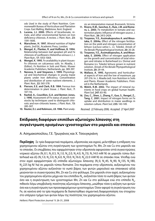ods Used in the study of Plant Nutrition. Commonwealth Bureau of Horticulture and Plantation Crops. East Malling, Maldstone. Kent. England.

- 3. Lucena, J.J. 2000. Effects of bicarbonate, nitrate, and other environmental factors on Iron deficiency chlorosis. A review. J. Plant. Nutr., 23: 1591-1606.
- **4. Marschner, H. 1997.** Mineral nutrition of higher plants, 2nd Ed., Αcademic Press, London.
- **5. Μengel, K., Planker, R. and Hoff man, B. 1994.** Relationship between leaf apoplast pH and Fe chlorosis of sunflowers (Helianthus annuus L.). J. Plant Nutr., **17:** 1053-1064.
- **6. Mengel, K. 1995.** Fe availability in plant tissues-Fe chlorosis on calcareous soils. In: Abadia, J. (Editor), Fe Nutrition in Soils and Plants. Kluwer Academic Publishers, Netherlands, pp. 389-397.
- **7. Nenova, V. and Stoyanov, I. 1999.** Physiological and biochemical changes in young maize plants under Iron deficiency. Concentration and distribution of some nutrient elements. J. Plant. Nutr., **22:** 565-578.
- **8. Pierson, E.E. and Clark, R.B. 1984.** Ferrous Iron determination in plant tissue. J. Plant. Nutr., **7:** 107-116.
- **9. Rashid, A., Couvillon, G.A. and Benton Jones, J. 1990.** Assessment of Fe status of peach rootstocks by techniques used to distinguish chlorotic and non-chlorotic leaves. J. Plant. Nutr., **13:** 285-307.
- **10. Reuter, D.J. and Robinson, J.B. 1986.** Plant analy-

sis: an interpretation manual, Brunswick, Victoria.

- **11. Rivero, R.M., Sanchez, E., Ruiz, J.M. and Romero, L. 2003.** Fe metabolism in tomato and watermelon plants: Influence of nitrogen source. *J.* Plant Nutr., **26:** 2413-2424.
- **12. Troyanos, Y.E., Assimakopoulou A. and Mous**taka, E. 2004a. Effect of the nitrogen fertilization on the yield and nitrogen concentration of lettuce (Lactuca sativa L. cv. Toledo). Annals of the Benaki Phytopathological Institute, **20:** 20-28.
- **13. Troyanos, Y.E., Assimakopoulou, A. and Mous**taka, E. 2004b. Effect of nitrogen application on the growth and concentration of total nitrogen and nitrates in Butterhead (cv. Divina) and Romaine (cv. Toledo) lettuce grown in nutrient solution. Annals of the Benaki Phytopathological Institute, **20:** 29-44.
- **14. Wallace, A. 1995.** Αgronomic and horticultural aspects of Iron and the low of maximum. pp 207-216. In: J. Abadia (ed). Iron Nutrition in Soils and Plants. Kluwer Academic Publishers. Printed in the Netherlands.
- **15. Welch, R.M. 2002.** The impact of mineral nutrients in food crops on global human health. Plant Soil, **247:** 83-90.
- **16. Zou, C., Shen, J., Zhang, F., Guo, S., Rengel, Z., Tang, C. 2001.** Impact of nitrogen forms on Fe uptake and distribution in maize seedlings in solution culture. Plant Soil, **235:** 143-149.

Received: 22 February 2006; Accepted: 27 April 2007

# **Επίδραση διαφόρων επιπέδων αζωτούχου λίπανσης στη συγκέντρωση ορισμένων ιχνοστοιχείων στο μαρούλι και σπανάκι**

Α. Aσημακοπούλου, Γ.Ε. Τρωγιάνος και Χ. Tσουγκριάνη

**Περίληψη** Σε τρία διαφορετικά πειράματα, υδροπονίας και αγρού, μελετήθηκε η επίδραση του χορηγούμενου αζώτου στη συγκέντρωση των ιχνοστοιχείων Fe, Mn, Zn και Cu στο μαρούλι και το σπανάκι. Οι επεμβάσεις που εφαρμόστηκαν στην υδροπονία αφορούσαν επτά συγκεντρώσεις νιτρικού αζώτου (Ν<sub>1</sub>:0.1, Ν<sub>2</sub>:0.5, Ν<sub>3</sub>:1.0, Ν<sub>4</sub>:2.0, Ν<sub>5</sub>:4.0, Ν<sub>6</sub>:7.0, Ν<sub>7</sub>:14.0 mM N) σε μαρούλι τύπου Butterhead και έξι (N<sub>1</sub>:1.0, N<sub>2</sub>:3.0, N<sub>3</sub>:6.0, N<sub>4</sub>:10.0, N<sub>5</sub>:16.0, N<sub>6</sub>:22.0 mM N) σε σπανάκι ποικ. Viroflay ενώ στον αγρό εφαρμόστηκαν έξι επίπεδα αζωτούχου λίπανσης (Ν<sub>i</sub>:0, N<sub>2</sub>:45, N<sub>3</sub>:90, N<sub>4</sub>:135, N<sub>5</sub>:180, N<sub>6</sub>:225 kg N/ ha) σε μαρούλι τύπου Romaine. Στα πειράματα στην υδροπονία, αυξανομένου του χορηγουμένου αζώτου αυξανόταν το νωπό βάρος των φυτών μαρουλιού και σπανακιού αλλά μειώνονταν οι συγκεντρώσεις Mn, Zn και Cu στο φύλλωμα. Στο μαρούλι στον αγρό, αυξανομένου του χορηγουμένου αζώτου μέχρι και του επιπέδου N<sub>5</sub>, αυξανόταν τόσο το νωπό βάρος των φυτών όσο και η συγκέντρωση των ιχνοστοιχείων Mn, Zn και Cu στο φύλλωμα ενώ στο επίπεδο N<sub>6</sub>, πιθανόν λόγω υπερβολικής ποσότητας αζωτούχου λίπανσης, μειώθηκε τόσο η αύξηση των φυτών όσο και η συγκέντρωση των προαναφερόμενων ιχνοστοιχείων. Όσον αφορά τη συγκέντρωση του Fe, σε κανένα από τα τρία πειράματα δε διαπιστώθηκε σημαντική διαφοροποίηση του στοιχείου στο υπέργειο τμήμα των φυτών λόγω της ποσότητας του χορηγουμένου αζώτου.

Hellenic Plant Protection Journal **1**: 26-31, 2008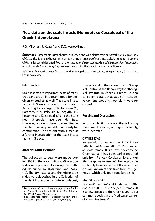# **New data on the scale insects (Homoptera: Coccoidea) of the Greek Entomofauna**

# P.G. Milonas<sup>1</sup>, F. Kozár<sup>2</sup> and D.C. Kontodimas<sup>1</sup>

**Summary** Ornamental, greenhouse, cultivated and wild plants were surveyed in 2005 in a study of Coccoidea fauna in Greece. In this study, thirteen species of scale insects belonging to 12 genera of 6 families were identified. Four of them, Newsteadia sussannae, Gueriniella serratulae, Antoninella inaudita, and Chionaspis lepineyi are new records for the scale insect fauna of Greece.

Additional keywords: insect fauna, Coccidae, Diaspididae, Kermesidae, Margarodidae, Ortheziidae, Pseudococcidae

# **Introduction**

Scale insects are important pests of many crops and are an important group for biodiversity studies as well. The scale insect fauna of Greece is poorly investigated. According to Lindinger (11), Koroneos (6), Borchsenius (5), Paloukis (12), Argyriou (1), Kozar (7), and Kozar et al. (9) and the Scale net. 143 species have been identified. However, certain of these species cited in the literature, require additional study for confirmation. The present study aimed at a further investigation of the scale insect fauna in Greece.

# **Materials and Methods**

The collection surveys were made during 2005 in the area of Attica. Microscope slides were prepared following the method described by Kosztarab and Kozar (10). The dry material and the microscope slides were deposited in the Collection of the Plant Protection Institute in Budapest, Hungary and in the Laboratory of Biological Control at the Benaki Phytopathological Institute in Athens, Greece. During collection, data such as stage of insect development, sex, and host plant were recorded.

# **Results and Discussion**

In this collection survey, the following scale insect species, arranged by family, were identified:

## ORTHEZIIDAE

Newsteadia sussannae Kozar & Foldi, Parnitha Mount Athens, 28.10.2005 Gramineae roots, female: It is a new species to the Greek fauna. It has been earlier reported only from France - Corsica on forest litter (8). The genus Newsteadia belongs to the subfamily Newsteadiinae. Fifty-seven species are known at this time from this genus, of which only four from Europe (8).

## MARGARODIDAE

Gueriniella serratulae (F.), Maroussi Athens, 27.07.2005, Pinus halepensis, female: It is a new species to the Greek fauna. It is a common species in the Mediterranean region on pine trees (2).

<sup>1</sup> Department of Entomology and Agricultural Zoology, Benaki Phytopathological Institute, 8 St. Delta str., GR-145 61 Kifissia (Athens), Greece

<sup>2</sup> Plant Protection Institute, Hungarian Academy of Sciences, Budapest P.O. Box 102, H-1525, Hungary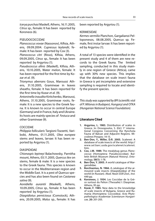Icerya purchasi Maskell, Athens, 16.11.2005, Citrus sp., female: It has been reported by Koroneos (6).

## PSEUDOCOCCIDAE

Planococcus vovae (Nassonov), Kifisia, Athens, 09.09.2004. Cupressus leylandii, female: It has been reported by Cox (3).

Planococcus citri (Risso), Kifisia, Athens, 09.09.2005, Citrus sp., female: It has been reported by Argyriou (1).

Pseudococcus afinis (Maskell), Kifisia, Athens, 10.10.2005, Water melon, female: It has been reported for the first time by Kozar et al. (9).

Trionymus aberrans Goux, Maroussi Athens, 31.10.2005, Gramineae in leaves sheaths, female: It has been reported for the first time by Kozar et al. (9).

Antoninella inaudita Kiritchenko, Maroussi, Athens, 31.10.2005, Gramineae roots, female: It is a new species to the Greek fauna. It is known to occur in central Europe (Germany) and in France, Italy and Ukraine. Its hosts are mainly species of Festuca and other Gramineae (9).

## COCCIDAE

Philippia follicularis Targioni-Tozzetti, Varibobi, Athens, 01.11.2005, Olea europea stems and leaves, larvae: It has been reported by Argyriou (1).

## DIASPIDIDAE

Chionaspis lepineyi Balachowsky, Parnitha mount, Athens, 03.11.2005, Quercus ilex on stems, female & male: It is a new species to the Greek fauna. This species is known to occur in the Mediterranean region and the Middle East. It is a pest of Quercus species and has also been found on Castanea sativa (9).

Aonidiella aurantii (Maskell), Athens, 10.09.2005, Citrus sp., female: It has been reported by Argyriou (1).

Diaspidiotus perniciosus (Comstock), Athens, 20.09.2005, Malus sp., female: It has been reported by Argyriou (1).

## KERMESIDAE

Kermes vermilio Planchon, Gargalianoi Pelloponesos, 08.08.2005, Quercus sp. Female, first instar larvae: It has been reported by Argyriou (1).

A total of 13 species were identified in the present study and 4 of them are new records to the Greek fauna. The limited sampling, conducted in this study mainly in one region of Greece (Attica), came up with 30% new species. This implies that the database on scale insect fauna in Greece is yet incomplete and extensive sampling is required to locate and identify the present species.

This study was supported by BPI (scientific visit of P. Milonas in Budapest, Hungary) and OTKA (Hungarian National Science Foundation).

# **Literature Cited**

- **1. Argyriou, L. 1983.** Distribution of scales in Greece. In: Drosopoulos, S. (Ed.) 1<sup>st</sup> international Congress Concerning the Rynchota Fauna of Balcan and Adjacent Regions. Microlimni Prespes: 14-15.
- **2. Ben-Dov, Y., Miller, D.R. 2005.** Scalenet: A database of scale insects of the world. http:// www.sel.barc.usda.gov/scalenet/scalenet. htm.
- **3. Cox, J.M. 1989.** The mealybug genus Planococcus (Homoptera: Pseudococcidae). Bulletin British Museum (Natural History). Entomology, **58(1):** 1-78.
- **4. Ben-Dov, Y. 2005.** A world catalogue of Margarodidae.
- **5. Borchsenius, N. 1966.** A catalogue of the armoured scale insects (Diaspidoidea) of the world (in Russian). Akad. Nauk SSSR Zool., Inst. 449 pp.
- **6. Koroneos, J. 1934.** Les Coccidae de la Grèce surtout du Pelion (Thessalie) I: Diaspinae. Athens, 95 pp.
- **7. Kozár, F. 1985.** New data to the knowledge of scale insects of Bulgaria, Greece and Rumania (Homoptera: Coccoidea). Acta Phytopathologica Academiae Scientiarum Hungaricae, **20:** 201-205.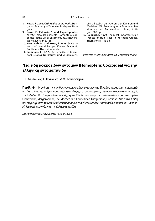- **8. Kozár, F. 2004.** Ortheziidae of the World. Hungarian Academy of Sciences, Budapest, Hungary.
- **9. Kozár, F., Paloukis, S. and Papadopoulos, N. 1991.** New scale insects (Homoptera: Coccoidea) in the Greek Entomofauna. Entomologia Hellenica, **9:** 63-68.
- **10. Kozstarab, M. and Kozár, F. 1988.** Scale insects of central Europe. Kluwer Academic Publishers, The Netherlands.
- **11. Lindinger, L. 1912.** Die Schildläuse (Coccidae) Europas, Nordafricas und Vorderasiens,

einschliesslich der Azoren, den Kanaren und Madeiras. Mit Anleitung zum Sammeln, Bestimmen und Aufbewahren. Ulmer, Stuttgart, 388 pp.

**12. Paloukis, S. 1979.** The most important scale insects of fruit trees in northern Greece. Thessaloniki, 148 pp.

Received: 17 July 2006; Accepted: 29 December 2006

# **Νέα είδη κοκκοειδών εντόμων (Homoptera: Coccoidea) για την ελληνική εντομοπανίδα**

Π.Γ. Mυλωνάς, F. Kozár και Δ.Χ. Κοντοδήμας

**Περίληψη** Η γνώση της πανίδας των κοκκοειδών εντόμων της Ελλάδος παραμένει περιορισμένη. Για το λόγο αυτό έγινε προσπάθεια συλλογής και αναγνώρισης τέτοιων εντόμων από περιοχές της Ελλάδος. Κατά τη συλλογή συλλέχθησαν 13 είδη που ανήκουν σε 6 οικογένειες, συγκεκριμένα Ortheziidae, Margarodidae, Pseudococcidae, Kermesidae, Diaspididae, Coccidae. Από αυτά, 4 είδη και συγκεκριμένα τα Newsteadia sussannae, Gueriniella serratulae, Antoninella inaudita και Chionaspis lepineyi, ήταν νέα για την ελληνική πανίδα.

Hellenic Plant Protection Journal **1**: 32-34, 2008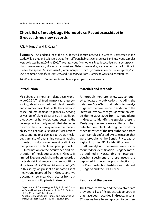# **Check list of mealybugs (Homoptera: Pseudococcidae) in Greece: three new records**

# P.G. Milonas<sup>1</sup> and F. Kozár<sup>2</sup>

**Summary** An updated list of the pseudococcid species observed in Greece is presented in this study. Wild plants and cultivated crops from different habitats were surveyed and mealybug samples were collected from 2005 to 2006. Three mealybug (Homoptera: Pseudococcidae) plant pest species, Heliococcus bohemicus, Phenacoccus hordei, and Heterococcus nudus, are recorded for the first time in Greece. The species Planococcus citri, a common pest of citrus, P. ficus a major pest of vineyards, P. vovae, a common pest of cypress trees, and Puto tauricus from Gramineae were also encountered.

Additional keywords: Coccoidea, insect fauna, plant pests, scale insects

# **Introduction**

Mealybugs are important plant pests worldwide (20,21). Their feeding may cause leaf yellowing, defoliation, reduced plant growth, and in some cases plant death. They may also cause indirect damage to plants by serving as vectors of plant diseases (13). In addition, production of honeydew contributes to the development of sooty mould that decreases photosynthesis and may reduce the marketability of plant products such as fruits. Besides direct and indirect damage to crops, mealybugs are also of quarantine concern, adding to costs of production to prevent or eliminate their presence on plants and plant products.

Information on the occurrence and distribution of mealybug species in Greece is limited. Eleven species have been recorded by ScaleNet in Greece and a few additional by Kozar et al. (19) and Milonas et al. (22). In this study we present an updated list of mealybugs recorded from Greece and we document new mealybug records from agricultural and wild plants in Greece.

## **Materials and Methods**

A thorough literature review was conducted to locate any publication, including the database ScaleNet, that refers to mealybugs recorded in Greece. In addition to the literature review, mealybugs were collected during 2005-2006 from various plants in Greece to identify the species present. Mealybug specimens were collected when detected on plants during fieldwork or other activities of the first author and from plant samples infested by scale insects that were brought to the Benaki Phytopathological Institute (BPI) for identification.

All mealybug specimens were slidemounted for identification using the method outlined in Kosztarab and Kozar (15). Voucher specimens of these insects are deposited in the arthropod collections of the Plant Protection Institute in Budapest (Hungary) and the BPI (Greece).

# **Results and Discussion**

The literature review and the ScaleNet data provided a list of Pseudococcidae species that have been recorded in Greece. In total, 32 species have been reported to be pres-

<sup>&</sup>lt;sup>1</sup> Department of Entomology and Agricultural Zoology, Benaki Phytopathological Institute, 8 St. Delta str., GR-145 61 Kifissia (Athens), Greece

<sup>2</sup> Plant Protection Institute, Hungarian Academy of Sciences, Budapest, P.O. Box 102, H-1525, Hungary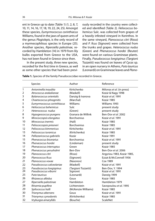ent in Greece up to date (Table 1) (1, 2, 8, 7, 10, 11, 14, 16, 17, 18, 19, 22, 24, 25). Amongst these species, Eumyrmococcus corinthiacus Williams, found in the jaws of queen ants of the genus Plagiolepis, is the only record of a myrmecophilous species in Europe (25). Another species, Ripersiella palestinae, recorded by Hambleton (14) in 1979 from lily bulbs exported from Greece to the USA, has not been found in Greece since then.

In the present study, three new species, recorded for the first time in Greece, as well as some other species that had been previously recorded in the country were collected and identified (Table 2). Heliococcus bohemicus Sulc. was collected from grapes of a heavily infested vineyard in Korinthos. In the same vineyard, Planococcus citri (Risso) and P. ficus (Signoret) were collected from the trunks and grapes. Heterococcus nudus (Green) and Phenacoccus hordei (Reuter) were found on various Gramineae plants. Finally, Pseudococcus longispinus (Targioni Tozzetti) was found on leaves of Cycas sp. in an open nursery in Athens, Puto tauricus (Leonardi) on Gramineae leaves and Plano-

|                | <b>Species</b>                                   | Author                 | Reference                             |
|----------------|--------------------------------------------------|------------------------|---------------------------------------|
| 1              | Antoninella inaudita                             | Kiritchenko            | Milonas et al. (in press)             |
| $\overline{2}$ | Atrococcus arakalianae                           | (Maskell)              | Kozár & Nagy 1998                     |
| 3              | Balanococcus orientalis                          | Danzig & Ivanova       | Kozár et al. 1991                     |
| 4              | Chaetococcus phragmitis                          | (Marchal)              | Kozár 1985                            |
| 5              | Eumyrmococcus corinthiacus                       | Williams               | Williams 1993                         |
| 6              | Heliococcus bohemicus                            | Sulc                   | present study                         |
| 7              | Heterococcus nudus                               | (Green)                | present study                         |
| 8              | Hypogeococcus pungens                            | Granara de Willink     | Ben-Dov et al. 2002                   |
| 9              | Mirococcopsis elongatus                          | <b>Borchsenius</b>     | Kozár et al. 1991                     |
| 10             | Mirococcus inermis                               | (Hall)                 | Kozár 1985                            |
| 11             | Peliococcopsis priesneri                         | <b>Borchsenius</b>     | Kozár 1985                            |
| 12             | Peliococcus kimmericus                           | Kiritchenko            | Kozár et al. 1991                     |
| 13             | Peliococcus turanicus                            | (Kiritchenko)          | Kozár 1985                            |
| 14             | Pellizzaricoccus gabrielis                       | Kozár                  | Kozár 1991                            |
| 15             | Phenacoccus bicerarius                           | <b>Borchsenius</b>     | Kozár et al. 1991                     |
| 16             | Phenacoccus hordei                               | (Lindeman)             | present study                         |
| 17             | Phenacoccus interruptus                          | Green                  | Kozár 1985                            |
| 18             | Phenacoccus yerushalmi                           | Ben-Dov                | Ben-Dov et al. 2006                   |
| 19             | Planococcus citri                                | (Risso)                | Argyriou 1983, Kozár 1985,            |
| 20             | Planococcus ficus                                | (Signoret)             | Ezzat & McConnell 1956                |
| 21             | Planococcus vovae                                | (Nasonov)              | Cox 1989                              |
| 22             | Pseudococcus calceolariae                        | (Maskell)              | Kozár et al. 1991                     |
| 23<br>24       | Pseudococcus longispinus<br>Pseudococcus viburni | (Targioni Tozzetti)    | Ben-Dov, Y. 1994<br>Kozár et al. 1991 |
| 25             | Puto tauricus                                    | Signoret<br>(Leonardi) |                                       |
| 26             | Rhizoecus albidus                                | Goux                   | Danzig 1999<br>Kozár 1985             |
| 27             |                                                  | Hambleton              | Hambleton 1979                        |
| 28             | Ripersiella palestinae                           | Lichtenstein           |                                       |
| 29             | Ritsemia pupifera                                |                        | Savopoulou et al. 1995                |
|                | Spilococcus halli                                | (McKenzie Williams)    | Kozár 1985                            |
| 30             | Trionymus aberrans                               | Goux                   | Kozár et al. 1991                     |
| 31             | Trionymus cynodontis                             | (Kiritshenko)          | Kozár 1985                            |
| 32             | Vryburgia amarylldis                             | (Bouche)               | <b>ScaleNet</b>                       |

**Table 1.** Species of the family Pseudococcidae recorded in Greece.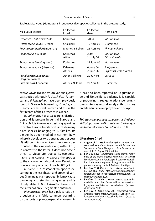| Mealybug species                                | Collection<br>location | Collection<br>date     | Host plant                              |  |
|-------------------------------------------------|------------------------|------------------------|-----------------------------------------|--|
| Heliococcus bohemicus Sulc                      | Korinthos              | 2004                   | Vitis vinifera                          |  |
| Heterococcus nudus (Green)                      | Chalkidiki             | 10 April 06            | Gramineae                               |  |
| Phenacoccus hordei (Lindeman)                   | Magnesia, Pelion       | 25 April 06            | Thymus vulgaris                         |  |
| Planococcus citri (Risso)                       | Korinthos<br>Attika    | 2004<br>11 July 06     | Vitis vinifera<br>Citrus sinensis       |  |
| <i>Planococcus ficus</i> (Signoret)             | Korinthos              | 29 June 06             | Vitis vinifera                          |  |
| Planococcus vovae (Nasonov)                     | Kalamata<br>Athens     | 6 June 06<br>2 June 06 | Juniperus sp.<br>Cypressus sempervirens |  |
| Pseudococcus longispinus<br>(Targioni Tozzetti) | Athens, Elliniko       | 22 July 06             | Cycas sp.                               |  |
| Puto tauricus (Leonardi)                        | Athens, N. Ionia       | 27 April 06            | Gramineae                               |  |

#### **Table 2.** Mealybug (Homoptera: Pseudococcidae) species collected in the present study.

coccus vovae (Nasonov) on various Cypressus species. Although P. citri, P. ficus, P. tauricus and P. longispinus have been previously found in Greece, H. bohemicus, H. nudus, and P. hordei are less well known and this is the first record of their presence in Greece.

H. bohemicus has a palaearctic distribution and is present in central Europe and China (3). It is known as a pest of grapevines in central Europe, but its hosts include many plant species belonging to 12 families. Its biology has been studied in northern Italy, where it develops two generations per year (9). Although H. bohemicus is uniformly distributed in the vineyards along with P. ficus, in contrast to the latter, it does not pose a threat to viticulture, due to its ecological habits that constantly expose the species to the environmental conditions. Parasitization in some years might reach 60% (23).

H. nudus is a cosmopolitan species occurring in the leaf sheath and crown of various Gramineae plant species (4). It may cause browning and stunting of grasses and is closely related to H. abludens Borchsenius but the latter has only 6-segmented antennae.

Phenacoccus hordei has a palaearctic distribution and is fairly common, occurring on the roots of plants, especially grasses (5).

It has also been reported on Leguminoseae and Umbellifereae plants. It is capable of producing three generations per year. It overwinters as second, rarely as third instars and its adults develop by the end of April.

This study was partially supported by the Benaki Phytopathological Institute and the Hungarian National Science Foundation (OTKA).

## **Literature Cited**

- **1. Argyriou, L.C. 1983.** Faunal analysis of some scale insects in Greece. Proceedings of the 10th International Symposium of Central European Entomofaunistics, Budapest, 15-20 August 1983 364-367.
- **2. Ben-Dov, Y. 1994.** A systematic catalogue of the mealybugs of the world (Insecta: Homoptera: Coccoidea: Pseudococcidae and Putoidae) with data on geographical distribution, host plants, biology and economic importance. Intercept Limited, Andover, UK. 686 pp.
- **3. Ben-Dov, Y. 2006a.** ScaleNet, Heliococcus bohemicus, Available from: http://www.sel.barc.usda.gov/ catalogs/pseudoco/Heliococcusbohemicus.htm (accessed 20 October 2006).
- **4. Ben-Dov, Y. 2006b.** ScaleNet, Heterococcus nudus. Available from: http://www.sel.barc.usda.gov/catalogs/pseudoco/Heterococcusnudus.htm (accessed 20 October 2006).
- **5. Ben-Dov, Y. 2006c.** ScaleNet, Phenacoccus hordei. Available from: http://www.sel.barc.usda.gov/catalogs/pseudoco/Phenacoccushordei.htm (accessed 20 October 2006).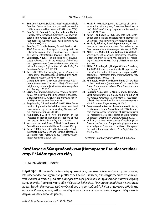- **6. Ben-Dov, Y. 2006d.** ScaleNet, Metadenopus. Available from: http://www.sel.barc.usda.gov/catalogs/pseudoco/MetadenopusAll.htm (accessed 20 October 2006).
- **7. Ben-Dov, Y., Gounari, S., Kaydan, M.B. and Hadina, F. 2006.** Phenacoccus yerushalmi Ben-Dov newly recorded from Greece and Turkey (Hem., Coccoidea, Pseudococcidae). Bulletin de la Societe Entomologique de France, **111(1):** 42.
- **8. Ben-Dov, Y., Matile Ferrero, D. and Stathas, G.J. 2002.** New records of Hypogeococcus pungens in the Palaearctic region (Hem., Pseudococcidae). Bulletin de la Societe Entomologique de France, **107(2):** 186.
- **9. Camporese, P. 1993.** First biological notes on Heliococcus bohemicus Sulc in the vineyards of the Veneto (Italy) (Homoptera Coccoidea Pseudococcidae). (In Italian; Summary In English). Memorie della Society Entomologica Italiana, **72:** 195-200.
- **10. Cox, J.M. 1989.** The mealybug genus Planococcus (Homoptera: Pseudococcidae). Bulletin British Museum (Natural History). Entomology, **58(1):** 1-78.
- **11. Danzig, E.M. 1999.** [Mealybugs of the genus Puto Signoret (Homoptera, Pseudococcidae) of Russia and neighboring countries.] (In Russian). Entomologicheskoe Obozrenye, **78:** 79-91.
- 12. Ezzat, Y.M. and McConnell, H.S. 1956. A classification of the mealybug tribe Planococcini (Pseudococcidae: Homoptera). Bulletin of the Maryland Agriculture Experiment Station, **A-e84:** 1-108.
- **13. Engelbrecht, D.J. and Kasdorf, G.G.F. 1990.** Transmission of grapevine leafroll disease and associated closteroviruses by the vine mealybug, Planococcus ficus. Phytophylactica, **22:** 341-346.
- **14. Hambleton, E.J. 1979.** New information on the Rhizoecus of Florida including descriptions of four new species. Florida Entomologist, **62:** 140-149.
- **15. Kosztarab, M. and Kozár, F. 1988.** Scale Insects of Central Europe. Akademiai Kiado, Budapest. 456 pp.
- **16. Kozár, F. 1985.** New data to the knowledge of scaleinsects of Bulgaria, Greece, and Rumania (Homoptera: Coccoidea). Acta Phytopathologica Academiae Scientiarum Hungaricae, **20:** 201-205.
- **17. Kozár, F. 1991.** New genus and species of scale insects in Italy (Homoptera; Coccoidea; Pseudococcidae). Bollettino di Zoologia Agraria e di Bachicoltura Ser. II, **23(1):** 39-44.
- **18. Kozár, F. and Nagy, B. 1998.** New data to the distribution of some Palaearctic scale insects (Homoptera: Coccoidea). Folia Entomologica Hungarica, **59:** 53-56.
- **19. Kozár, F., Paloukis, S. and Papadopoulos, N. 1991.** New scale insects (Homoptera: Coccoidea) in the Greek entomofauna. Entomologia Hellenica, **9:** 63-68.
- **20. Miller, D.R., Miller, G.L. and Watson, G.W. 2002.** Invasive species of mealybugs (Hemiptera: Pseudococcidae) and their threat to U.S. agriculture. Proceedings of the Entomological Society of Washington, **104:**  825–836.
- **21. Miller, D.R., Miller, G.L., Hodges, G.S. and Davidson, J.A. 2005.** Introduced scale insects (Hemiptera: Coccoidea) of the United States and their impact on U.S. agriculture. Proceedings of the Entomological Society of Washington, **107:** 123–158.
- **22. Milonas, P., Kozár, F. and Kontodimas, D.** New data to the scale insects (Homoptera: Coccoidea) in the Greek Entomofauna. Hellenic Plant Protection Journal, (in press).
- **23. Reggiani, A., Cornale, R., Maini, S. and Pellizzari, G., 2003.** Observations on biology and distribution of Heliococcus bohemicus Sulc (Rhynchota, Pseudococcidae) in the vineyards of Emilia-Romagna region (Italy). Informatore Fitopatologico, **53:** 42-45.
- **24. Savopoulou-Soultani, M., Papadopoulos N., Kozar, F., Skoulakis, G. and Sarakatsanis, I. 1997.** First record and seasonal development of Ritsemia pupifera in Thessaloniki area. Proceedings of Sixth National Congress of Entomology, Chania, Greece, pp 32-35.
- **25. Williams, D.J. 1993.** A new species of mealybug from Greece, the first from Europe belonging to the antattended genus Eumyrmococcus Silvestri (Hemiptera: Coccoidea: Pseudococcidae). Entomologist's Gazette, **44:** 216-220.

Received: 16 January 2007; Accepted: 6 July 2007

# **Κατάλογος ειδών ψευδοκόκκων (Homoptera: Pseudococcidae) στην Ελλάδα: τρία νέα είδη**

# Π.Γ. Μυλωνάς και F. Kozár

**Περίληψη** Παρουσιάζεται ένας πλήρης κατάλογος των κοκκοειδών εντόμων της οικογένειας Pseudococcidae που έχουν αναφερθεί στην Ελλάδα. Επιπλέον, από δειγματοληψίες σε καλλιεργούμενα και αυτοφυή φυτά από διάφορες περιοχές βρέθηκαν και τρία νέα είδη για την ελληνική εντομοπανίδα. Πρόκειται για τα είδη Heliococcus bohemicus, Phenacoccus hordei και Heterococcus nudus. Τα είδη Planococcus citri, κοινός εχθρός στα εσπεριδοειδή, P. ficus σημαντικός εχθρός της αμπέλου, P. vovae, κοινός εχθρός σε είδη κυπαρισσιού, και Puto tauricus σε αγρωστώδη, εντοπίστηκαν και στην παρούσα μελέτη.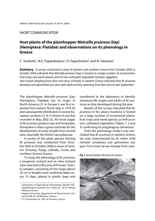# SHORT COMMUNICATION

# **Host plants of the planthopper** *Metcalfa pruinosa* **(Say) (Hemiptera: Flatidae) and observations on its phenology in Greece**

C. Souliotis<sup>1</sup>, N.E. Papanikolaou<sup>2</sup>, D. Papachristos<sup>1</sup> and N. Fatouros<sup>3</sup>

**Summary** A survey conducted in areas of western and northern Greece from October 2005 to October 2006 indicated that Metcalfa pruinosa (Say) is hosted on a large number of ornamentals, fruit crops and weed species and on two cultivated vegetables (tomato, eggplant). Year-round sampling from olive and citrus orchards in western Greece indicated that M. pruinosa develops one generation per year with adult activity spanning from late June to late September.

The planthopper Metcalfa pruinosa (Say) (Hemiptera, Flatidae) has its origin in North America (1). In Europe it was first reported from eastern North Italy in 1979 (5) and subsequently distributed in several European countries (3, 4). In Greece it was first recorded in May 2002 (2). All larval stages of M. pruinosa produce wax and honeydew. Honeydew is often a good substrate for the development of sooty moulds from several taxa, especially the family Capnodiaceae.

A survey of the plant species hosting M. pruinosa was conducted from October 2005 to October 2006 in areas of western (Preveza, Parga, Lefkada, Corfu) and northern (Serres) Greece.

To study the phenology of M. pruinosa, a tangerine orchard and an olive orchard were selected in the area of Preveza. Twenty samples, consisting of tree twigs (about 25 cm in length) were randomly taken every 15 days, placed in plastic bags and transferred to the laboratory to identify immature life stages and adults of M. pruinosa as they developed during the year.

Results of the survey indicated that M. pruinosa in the above locations is hosted on a large number of ornamental plants, fruit crops and weed species, as well as on two cultivated vegetables (Tables 1, 2 and 3) confirming its polyphagous behaviour.

From the phenology study it was concluded that M. pruinosa in western Greece (an area characterized by its rather mild climate) completes one generation per year. First instar larvae emerge from over-

**Fig. 1.** Nerium oleander infested by M. pruinosa.



<sup>1</sup> Laboratory of Agricultural Entomology, Benaki Phytopathological Institute, 8 St. Delta str., 145 61 Kifissia (Athens), Greece

<sup>2</sup> Aegean University, Department of Environment, University Hill, 811 00 Mitilene, Greece

<sup>&</sup>lt;sup>3</sup> 3 G. Gennimata str., 481 00 Preveza, Greece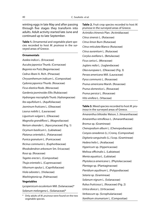winting eggs in late May and after passing through five stages they transform into adults. Adult activity started late June and continued up to late September.

**Table 1.** Ornamental and vegetable plant species recorded to host M. pruinosa in the surveyed areas of Greece.

## **Ornamentals**

Azalea indica L. (Ericaceae) Aucuba japonica Thunb. (Cornaceae) Begonia rex Putz.(Begoniaceae) Cedrus libani A. Rich. (Pinaceae) Chrysanthemum indicum L. (Compositae) Cydonia japonica Thunb. (Rosaceae) Ficus elastica Roxb. (Moraceae) Gardenia jasminoides Ellis (Rubiaceae) Hydrangea macrophylla Thunb. (Hydrangeaceae) Ilex aquifolium L. (Aquifoliaceae) Jasminum fruticans L. (Oleaceae) Laurus nobilis L. (Lauraceae) Ligustrum vulgare L. (Oleaceae) Magnolia grandiflora L. (Magnoliaceae) Nerium oleander L. (Apocynaceae) (Fig. 1) Ocymum basilicum L. (Labiateae) Platanus orientalis L. (Patanaceae) Punica granatum L. (Punicaceae) Ricinus communis L. (Euphorbiaceae) Rhododendron arboreum Sm. Ericaceae) Rosa sp. (Rosaceae) Tagetes erecta L. (Compositae) Thuja orientalis L. (Cupressaceae) Viburnum opulus L. (Caprifoliaceae) Viola odorata L. (Violaceae) Washingtonia sp. (Palmaceae) **Vegetables** Lycopersicum esculentum Mill. (Solanaceae)\* Solanum melongena L. (Solanaceae)\*

Only adults of M. pruinosa were found on the two vegetable species.

**Table 2.** Fruit crop species recorded to host M. pruinosa in the surveyed areas of Greece.

Actinidia chinensis Plan. (Actinidiaceae) Citrus sinensis L. (Rutaceae) Citrus limon Burn (Rutaceae) Citrus reticulata Blanco (Rutaceae) Citrus aurantium L. (Rutaceae) Corylus avellana L. (Betulaceae) Ficus carica L. (Moraceae) Juglans redia L. (Juglandaceae) Olea europaea L. (Oleaceae) (Fig. 3) Persea americana Mill. (Lauraceae) Pyrus communis L. (Rosaceae) Prunus americana Marsh. (Rosaceae) Prunus domestica L. (Rosaceae) Prunus persica L. (Rosaceae) Vitis vinifera L. (Vitaceae)

#### **Table 3.** Weed species recorded to host M. pruinosa in the surveyed areas of Greece.

Amaranthus blitoides Watson, S. (Amaranthaceae) Amaranthus retroflexus L. (Amaranthaceae) Bromus sp. (Gramineae) Chenopodium album L. (Chenopodiaceae) Conyza canadensis (L.) Cronq. (Compositae) Digitaria sanguinalis (L.) Scop. (Gramineae) Hedera helix L. (Araliaceae) Hypericum sp. (Hypericaceae) Melissa officinalis L. (Labiateae) Menta aquatica L. (Labiatae) Phytolacca americana L. (Phytolaccaceae) Plantago sp. (Plantaginaceae) Pteridium aquilinum L. (Polypodiaceae) Setaria sp. (Gramineae) Solanum nigrum L. (Solanaceae) Rubus fruticosus L. (Rosaceae) (Fig. 2) Urtica dioica L. (Urticaceae) Verbascum sp. (Scrophulariaceae) Xanthium strumarium L. (Compositae)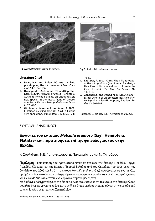

**Fig. 2.**Rubus fruticosus, hosting M. pruinosa. **Fig. 3.** Adults of M. pruinosa on olive tree.

# **Literature Cited**

- 1. Dean, H.A. and Bailay, J.C. 1961. A flatid planthopper, Metcalfa pruinosa. J. Econ. Entomol., **54:** 1104-1106.
- **2. Drosopoulos, A., Broumas, Th. and Kapothanasi, V. 2004.** Metcalfa pruinosa (Hemiptera, Auchenorryncha-Flatidae) an undesiderable new species in the insect fauna of Greece. Annales de l'Institut Phytopathologique Benaki, **20:** 49-51.
- **3. Girolami, V., Mazzon, L. and Alma, A. 2002.** Il flatidae Metcalfa pruinosa (Say) in Europa vent΄anni dopo. Informatore Fitopatol., **7-8:**



10-13.

- **4. Lauterer, P. 2002.** Citrus Flatid Planthopper – Metcalfa pruinosa (Hemiptera: Flatidae), a New Pest of Ornamental Horticulture in the Czech Republic. Plant Protection Science, **38:**  145-148.
- **5. Zangheri, S. and Donadini, P. 1980.** Comparsa nel Veneto di un omottero neartico: Metcalfa pruinosa Say (Homoptera, Flatidae). Redia, **63:** 301-305.

Received: 23 January 2007; Accepted: 14 May 2007

# ΣΥΝΤΟΜΗ ΑΝΑΚΟΙΝΩΣΗ

# **Ξενιστές του εντόμου** *Metcalfa pruinosa* **(Say) (Hemiptera: Flatidae) και παρατηρήσεις επί της φαινολογίας του στην Ελλάδα**

Κ. Σουλιώτης, N.E. Παπανικολάου, Δ. Παπαχρήστος και N. Φατούρος

**Περίληψη** Επισκόπηση που πραγματοποιήθηκε σε περιοχές της δυτικής (Πρέβεζα, Πάργα, Λευκάδα, Κέρκυρα) και της βόρειας (Σέρρες) Ελλάδας από τον Οκτώβριο του 2005 μέχρι τον Οκτώβριο του 2006 έδειξε ότι το έντομο Metcalfa pruinosa (Say) φιλοξενείται σε ένα μεγάλο αριθμό καλλωπιστικών και καλλιεργούμενων καρποφόρων φυτών, σε πολλά αυτοφυή ζιζάνια, καθώς και σε δύο καλλιεργούμενα λαχανικά (τομάτα, μελιτζάνα).

Με διαδοχικές δειγματοληψίες στη διάρκεια ενός έτους φάνηκε ότι το έντομο στη δυτική Ελλάδα συμπληρώνει μια γενεά το χρόνο, με τα ενήλικα άτομα να δραστηριοποιούνται στην περίοδο από τα τέλη Ιουνίου μέχρι τα τέλη Σεπτεμβρίου.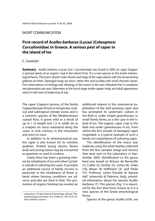# SHORT COMMUNICATION

# **First record of** *Αcalles barbarus* **(Lucas) (Coleoptera: Curculionidae) in Greece. A serious pest of caper in the island of Ios**

## C. Souliotis<sup>1</sup>

**Summary** Acalles barbarus (Lucas) (Col.: Curculionidae) was found in 2005 on caper (Capparis spinosa) plants of an organic crop in the island of Ios. It is a new species to the Greek entomological fauna. The insect attacks main shoots and twigs of the caper plants with the larvae boring galleries on them. Damaged twigs are short, rather thin and scrubby with small chlorotic leaves. First observations on biology and ethology of the insect in the area indicated that it completes one generation per year, hibernates at the larval stage inside capper twigs and adult appearance starts in mid-June to beginning of July.

The caper (Capparis spinosa, of the family Capparidaceae) thrives in temperate, tropical and subtropical climate zones and is a common species of the Mediterranean coastal flora. It grows wild as a shrub of up to 1 m height and 1.5 m width (or as a creeper) on stony wasteland along the coast, in rock crevices, in the mountains and even on ruins.

In addition to its pharmaceutical use, the caper is also known for its nutritive qualities. Pickled young shoots, flower buds and young leaves may be consumed as appetizer or used in cookery.

Lately there has been a growing interest by inhabitants of Ios and other Cycladic islands in culturing the caper. It provides an additional source of family income in particular to the inhabitants of those islands where farming conditions are adverse and jobs are hard to find. The promotion of organic farming has evoked an additional interest in the commercial exploitation of the wild growing caper and has prompted its systematic culture in the field or under simple greenhouses, in small family farms, as is the case in the island of Ios. The organic caper crop in the field and under greenhouses in los, from where the first sample of damaged caper originated, is a typical example of such a family run exploitation of culturing caper.

The identification of the insect was made by using the adult beetles collected from the first samples (twigs and shoots) that were sent to the Laboratory in September 2005. Identification to the genus level was based on Brisout de Barneville (1), Caillol (2), Κocher (5), Liotta (6), Solari  $(10)$ , Meyer  $(9)$  Hoffmann  $(3)$ , and Vitale (11). Professor Liotta (Facoltà di Agraria dell' Università di Palermo, Italy), provided information about the species Αcalles barbarus (7). This species (Fig. 1) is reported for the first time from Greece as it is a new species of the Greek entomological fauna.

Species of the genus Acalles Schh. are

<sup>1</sup> Laboratory of Agricultural Entomology, Benaki Phytopathological Institute, 8 St. Delta str., GR-145 61 Kifissia (Athens), Greece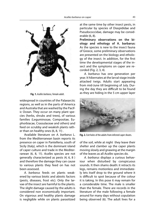

**Fig. 1.** Acalles barbarus, female adult.

widespread in countries of the Palaearctic regions, as well as in the parts of America and Australia that are washed by the Pacific Ocean. They occur on many plant species (herbs, shrubs and trees), of various families (Leguminosae, Compositae, Euphorbiacae, Crassulaceae and others) and feed on scrubby and weakish plants rather than on healthy ones (6, 8, 11) .

Available literature on A. barbarus L. from the Mediterranean basin reports its presence on caper in Pantelleria, south of Sicily (Italy), which is the dominant island of caper culture and trade in the Mediterranean (6, 8, 11). Αcalles species are not generally characterized as pests (4, 6, 8 ) and therefore the damage they can cause to various plants they feed on has not been assessed.

A. barbarus feeds on plants weakened by various biotic and abiotic factors (pests, diseases, frost etc). Only the larvae of the insect are harmful to the plants. The slight damage caused by the adults is considered non economically important. On vigorous and healthy plants damage is negligible while on plants parasitized

at the same time by other insect pests, in particular by species of Diaspididae and Pseudococcidae, damage may be considerable (6, 8).

**Preliminary observations on the biology and ethology of A. barbarus:**  As the species is new to the insect fauna of Greece, some preliminary observations are presented on the biology and ethology of the insect. In addition, for the first time the developmental stages of the insect and the symptoms on caper are recorded (Fig. 2, 3, 4).

A. barbarus has one generation per year. It hibernates at the larval stage inside attacked twigs. Adults start appearing from mid-June till beginning of July. During the day they are difficult to be found as they are hiding in the 5 cm upper layer



**Fig. 2.** Exit holes of the adults from infested caper shoots.

of the soil, while at night they leave their shelter and clamber up the caper plants moving slowly and gnawing at the margin of the leaves as all Acalles species do.

A. barbarus displays a curious behaviour when disturbed by conspicuous sounds. It then shams death: it retracts its legs, remains motionless and immediately lets itself drop to the ground where it is difficult to spot because of the colour it is taking. In this pose it may remain for a considerable time. The male is smaller than the female. There are records in the literature of the male following a female around for many days without copulation being observed (6). The adult lives for a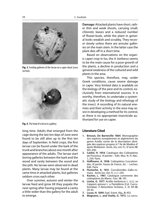

**Fig. 3.** Feeding galleries of the larvae on a caper shoot (cross section).



**Fig. 4.** The head of a larva in a gallery.

long time. Adults that emerged from the cage during the last ten days of June were found to be still alive up to the first ten days of September. In field crops, the first larvae can be found under the bark of the trunk and branches about one month after appearance of the adults. The larvae start boring galleries between the bark and the wood and rarely between the wood and the pith. No larvae were observed in dead plants. Many larvae may be found at the same time in attacked plants, but galleries seldom cross each other.

Over summer, autumn and winter the larvae feed and grow till they pupate the next spring after having prepared a cavity a little wider than the gallery for the adult to emerge.

**Damage:** Attacked plants have short, rather thin and weak shoots, carrying small, chlorotic leaves and a reduced number of flower-buds, while the plant in general looks weakish and scrubby. They recover slowly unless there are annular galleries on the main stem. In the latter case the plant dies off in a short time.

Based on observations on the organic caper crop in Ios, the A. barbarus seems to be the main cause for a poor growth of the plants, a decline in production and a general weakness of the cultured and wild plants in the area.

This species, therefore, may, under Greek conditions, cause severe damage in caper. Very limited data is available on the biology of the pest and its control, exclusively from international sources. It is worthy, therefore, to undertake a systematic study of the biology and ethology of the insect. A recording of its natural enemies and their activity in the area may assist in developing a method for its control, as there is no appropriate insecticide authorized for use on caper.

# **Literature Cited**

- **1. Brisout, De Barneville 1864**. Monographie des espèces européennes et algériennes du genre Acalles suivie de la description abrégée des espèces propres à l' île de Madère d' après Wollaston. Annls, Soc, ent. Fr., IV serie, **IV:** 441-442.
- **2. Caillol, H. 1954**. Catalogue des Coléoptères de Provence. IV parties – Edit. Mus. N. H. Nat., 1, 234. Paris.
- **3. Hoff mann, A. 1958**. Coléoptères Curculionides, III partie. Faune de France, 62. – Lechev. Edit. Paris.
- **4. Hustache, A. 1931**. Curculionides Gallo-romans . Annls Soc. Ent. Fr. ( c ) **:** 201.
- **5. Kocher, L. 1961**. Catalogue commente des coléoptères du Maroc. Fasc. **IX:** 191.
- **6. Liotta, G. 1977**. Acalles barbaricus L. (s.l.), su Capparis spinosa L. a Pantelleria (Col. Curculionidae). Il Naturalista Siciliano, S. IV, **I(1-4):**  39-45.
- **7. Lucas, H. 1849**. Expl. Scient. Alg*.,* **II:** 453.
- **8. Magnano, L. and Osella, G. 1972**. La curcu-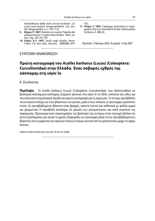lionidofauna delle isole circum-siciliane : alcune osservazioni zoogeografiche. Lav. Soc. Ital. Biogeografia, n. s., 111: 1-31.

- **9. Meyer, P. 1897**. Notizen zu meiner Tabelle der palearctischen Cryptorrhynchiden. Wien entom. Ztg., **27:** 167-197.
- **10. Solari, A.F. 1907**. Studi sugli Acalles. Annali Mus. Civ. Stor. Nat., Genova, **ΙΙΙ(XLIII):** 479-

551.

**11. Vitale, F. 1893**. Catalogo sinonimico e topografico die Curculionidi di Sicilia. Il Naturalista Siciliano, A. **XII:** 65.

Received: 2 February 2007; Accepted: 4 July 2007

# ΣΥΝΤΟΜΗ ΑΝΑΚΟΙΝΩΣΗ

# **Πρώτη καταγραφή του** *Acalles barbarus* **(Lucas) (Coleoptera: Curculionidae) στην Ελλάδα. Ένας σοβαρός εχθρός της κάππαρης στη νήσο Ίο**

Κ. Σουλιώτης

**Περίληψη** Το Αcalles barbarus (Lucas) (Coleoptera: Curculionidae), που διαπιστώθηκε σε βιολογική καλλιέργεια κάππαρης (Capparis spinosa) στη νήσο Ίο το 2005, αποτελεί νέο είδος για την ελληνική εντομολογική πανίδα και πρώτη καταγραφή για τη xώρα μας. Το έντομο προσβάλλει τα κεντρικά στελέχη και τους βλαστούς των φυτών, μέσα στους οποίους οι προνύμφες ορύσσουν στοές. Οι προσβεβλημένοι βλαστοί είναι βραχείς, αρκετά λεπτοί και ασθενικοί με φύλλα μικρά και χλωρωτικά. Η προσβολή καταλήγει σε μείωση των μπουμπουκιών και κατά συνέπεια της παραγωγής. Προκαταρκτικές παρατηρήσεις της βιολογίας του εντόμου στην περιοχή έδειξαν ότι αυτό συμπληρώνει μία γενεά το χρόνο, διαχειμάζει ως προνύμφη μέσα στους προσβεβλημένους βλαστούς και η εμφάνιση των πρώτων τέλειων ατόμων γίνεται από τα μέσα Ιουνίου μέχρι τις αρχές Ιουλίου.

Hellenic Plant Protection Journal **1:** 42-45, 2008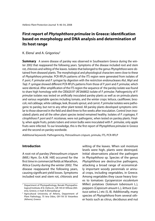# **First report of Phytophthora primulae in Greece: identification based on morphology and DNA analysis and determination of its host range**

# K. Elena $^1$  and A. Grigoriou $^2$

**Summary** A severe disease of parsley was observed in Southeastern Greece during the winter 2002 that reappeared the following years. Symptoms of the disease included root and stem rot, chlorosis and wilting of the leaves. Isolates that belonged to the genus Phytophthora were obtained from diseased plants. The morphological and physiological characters were close to these of Phytophthora primulae. PCR-RFLPs patterns of the ITS region were generated from isolates of P. porri, P. primulae and P. syringae by digestion with the restriction endonucleases Alul, MspI and TaqI. P. syringae showed different PCR-RFLPs patterns from those of P. porri and P. primulae, which were identical. After amplification of the ITS region the sequence of the parsley isolate was found to share high homology with the CBS620.97 (AF266802) isolate of P. primulae. Pathogenicity of P. primulae isolates was tested on artificially inoculated parsley plants as well as on primula plants and various vegetable species including tomato, and the winter crops: lettuce, cauliflower, broccoli, red cabbage, white cabbage, leek, Brussels sprout, and carrot. P. primulae isolates were pathogenic to parsley, but not to any other plant tested. All parsley plants developed symptoms similar to those observed in the field and died three to five weeks after inoculation. Control (non inoculated) plants and all the other plant species tested remained healthy. Isolates of P. cryptogea, P. citrophthora P. porri and P. nicotianae, were not pathogenic, when tested on parsley plants. Finally, when apple fruits, potato tubers and onion bulbs were inoculated with P. primulae, only apple fruits were infected. To our knowledge, this is the first report of Phytophthora primulae in Greece and the second on parsley wordwide.

Additional keywords: Pathogenicity, Petroselinum crispum, primula, ITS, PCR-RFLP

## **Introduction**

A root rot of parsley [Petroselinum crispum (Mill.) Nym. Ex A.W. Hill] occurred for the first time in commercial fields at Marathon, Attica County during the winter 2002. The disease reappeared the following years, causing significant yield losses. Symptoms included root and stem rot, chlorosis and wilting of the leaves. When soil moisture levels were high, plants were destroyed. Initial observations placed the pathogen in Phytophthora sp. Species of the genus Phytophthora are destructive pathogens, attacking a broad range of economically important woody perennials or annual crops, including vegetables, in Greece. Among vegetables they cause heavy losses to tomatoes (Lycopersicon esculentum Miller) potatoes (Solanum tuberosum L.), peppers (Capsicum anuum L.), lettuce (Lactuca sativa L.) etc (5, 8). Additionally, many species of Phytophthora from several other hosts such as citrus, deciduous and nut

<sup>&</sup>lt;sup>1</sup> Department of Phytopathology, Benaki Phytopathological Institute, 8 St. Delta str., GR-145 61 Kifissia (Athens), Greece, e-mail: K.Elena@bpi.gr

<sup>2</sup> Agricultural University of Athens, Department of Plant Pathology, 75 Iera Odos, GR-118 55 Votanikos (Athens), Greece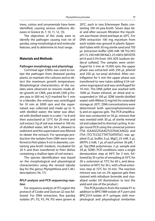trees, cotton and ornamentals have been identified, causing serious soilborne diseases in Greece (6, 7, 10, 11, 12, 13).

The objectives of this study were to identify the pathogen causing root rot of parsley, using morphological and molecular features, and to determine its host range.

## **Materials and Methods**

#### **Pathogen morphology and physiology**

Cornmeal agar (CMA) was used to isolate the pathogen from diseased parsley plants, to maintain the cultures and to detect the maximum growth temperature. Morphological characteristics of the isolates were observed on mounts made after growth on CMA, pea-broth (200 g frozen pea in 500 mL H $_{\rm 2}$ O mashed for 5 min in a blender, the mixture was centrifuged for 10 min at 3000 rpm and the supernatant was collected and made up to 1L with distilled water; the latter was diluted with distilled water in a ratio 1 to 8 and then autoclaved at 121 $\mathrm{^oC}$  for 20 min) and soil extract (1g of soil was mixed in 100 mL of distilled water, left for 24 h, allowed to sediment and the supernatant was filtered to obtain the extract). For sporangia production the isolates from CMA were transferred to Petri plates 9 cm in diameter, containing pea-broth medium, incubated for 24 h and then transferred to Petri dishes containing a shallow layer of soil extract.

The species identification was based on the morphological and physiological characteristics using the revised tabular key for the genus Phytophthora and C.M.I. descriptions (16, 17).

## **RFLP analysis and PCR sequencing reaction**

For sequence analysis of ITS region the protocol of Cooke and Duncan (2) was followed. For DNA extraction, five parsley isolates (P1, P2, P3, P4, P5) were grown at

20ºC, each in two Erlenmeyer flasks containing 100 ml pea-broth. Seven days later and after vacuum filtration the mycelium was freeze-dried and kept at -20°C. For DNA extraction 100 mg mycelium from each isolate was ground in plastic Eppendorf tubes with 50 mg sterile sand and 750 μL extraction buffer [200 mM 1M Tris-HCl] pH 7.5, 250 mM 5M NaCl, 25 mM 0.5M EDTA pH 8 and 0.5% from 10% SDS (sodium dodecyl sulfate)]. The samples were centrifuged for 5 min at 13.000 rpm; the upper phase was extracted with 250 μL phenol and 250 μL iso-amyl alchohol. After centrifigation for 5 min the upper phase was transferred to new tubes adding 0.54 volumes isopropanol and was centrifuged for 10 min. The DNA pellet was washed with 1000 μL frozen ethanol, air dried and resuspended in 100 μL SDW (sterile distilled water) with RNAse (5 mg/ml) for extended storage at -20 $\mathrm{^oC}$ . DNA concentrations were determined both spectrophotometrically and on agarose gels. The PCR amplification was conducted on 50 μL mixture that was overlaid with 30 μL of sterile mineral oil and subjected to thermal cycling. A single round PCR using the universal primers ITS6 (GAAGGTGAAGTCGTAACAAGG) and ITS4 (TCCTCCGCTTATTGATATGC) was applied (5 μL buffer, 6 μL MgCl, 25 mM, 5 μL dNTPs 2 mM, 1 μL of each primer 30 pM, 1 μL Taq DNA polymerase, 2 μL sample and 29 μL SDW). PCR conditions were a single denaturation step at 940 C for 3 min, followed by 35 cycles of annealing at 55 $^{\circ}$ C for 30 s, extension at 72 $\degree$ C for 60 s, and denaturation at 94ºC for 30 s, with a final extension step at 72<sup>o</sup>C for 10 min. The reaction mixture was run on 2% agarose gels then stained with ethidium bromide and visualized under UV illumination to test the yield and size of the product.

The PCR products from the isolate P1 in addition to BPIC1989 isolate of P. porri and BPIC2514 isolate of P. syringae, with morphological and physiological similarities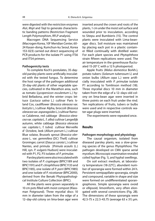were digested with the restriction enzymes Alul, Mspl and Tagl to generate characteristic banding patterns (Restriction Fragment Length Polymorphism, RFLP analysis).

Macrogen DNA Sequencing Service (Macrogen Korea, 10F Meridian Center, 60- 24 Kasan-dong, Kumchun-ku Seoul, Korea 153-023) carried out direct sequencing of PCR products for the isolate P1 using ITS6 and ITS4 primers.

## **Pathogenicity tests**

To complete Koch's postulates, 35-dayold parsley plants were artificially inoculated with the tested fungus. To determine the host range of the pathogen additional 35-day-old plants of other vegetable species, cultivated in the Marathon area, such as tomato (Lycopersicon esculentum L.) hybrid Belladona, and the winter crops: lettuce (Lactuca sativa L.) cultivar Paris Island Cos, cauliflower (Brassica oleracea var. botrytis L.) cultivar Alpha, broccoli (Brassica oleracea var. asparagoides L.) cultivar Ramoso Calabrese, red cabbage (Brassica oleracea var. capitata L. f. alba) cultivar Langedijk autumn, white cabbage (Brassica oleracea var. capitata L. f. tubra) cultivar Merveille d' Octobre, leek (Allium porrum L.) cultivar Blue solaise, Brussels sprout [Brassica oleracea L. var. gemmifera (DC) Thell] cultivar Groninger, carrot (Daucus carota L.) cultivar Nantes, and primula [Primula acaulis (L.) Hill, syn. P. vulgaris Hudson] were inoculated with P1, P2, P3 isolates of P. primulae.

Parsley plants were also inoculated with two isolates of P. cryptogea (BPIC1189 and BPIC1191) and P. citrophthora (BPIC1133 and BPIC1185), one isolate of P. porri (BPIC1985) and one isolate of P. nicotianae (BPIC2000), derived from the Benaki Phytopathological Institute Culture Collection (BPIC).

All the plants were grown separately in 10 cm pots filled with moist compost (Klassman Potground). Three mycelial discs 10 mm in diameter taken from the edge of a 12–day-old colony on lima-bean agar were inserted around the crown and roots of the plants, 1 cm under the moist soil surface and wounded prior to inoculation, according to Sitepu and Bumbieris (15). The control plants were inoculated with Lima-beanagar discs. Soil moisture was maintained by placing each pot in a plastic container filled continually with distilled water. For each plant species and Phytophthora strain fifteen replications were used. The air temperature in the greenhouse fluctuated 15-20 $^{\circ}$  C with a 12 h photoperiod.

Apple fruits (Malus domestica Borkh.), potato tubers (Solanum tuberosum L) and onion bulbs (Allium cepa L.) were artificially inoculated with P. primulae isolate P1 according to Tomlinson method (18). Three mycelial discs 10 mm in diameter taken from the edge of a 12–days-old colony on lima-bean agar were inserted in three points on each fruit under the rind. Ten replications of fruits, tubers or bulbs were used and in respective controls water-agar plugs were inserted.

The experiments were repeated once.

## **Results**

## **Pathogen morphology and physiology**

The causal organism, isolated from diseased parsley plants, was a slow-growing species of the genus Phytophthora. The pathogen developed on CMA sparse aerial mycelium. Microscopic examination revealed coiled hyphae (Fig. 1), and hyphal swellings.

On soil extract medium, at laboratory temperature (18-22<sup>o</sup>C), abundant number of sporangia were formed within 24 h. Persistent semipapillate sporangia, simple and compound, variable in shape and size were formed on undifferentiated sporangiophores. Simple sporangia were ovoid or ellipsoid, limoniform, very often elongated with several constrictions (Fig. 2B). The dimensions of these sporangia were 42.5-75 x 22.5-43.75 (average 63 x 31) μm.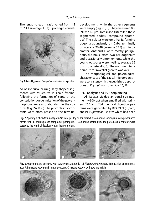The length-breadth ratio varied from 1.3 to 2.4:1 (average 1.8:1). Sporangia consist-



**Fig. 1.** Coiled hyphae of Phytophthora primulae from parsley.

ed of spherical or irregularly shaped segments with structures in chain fashion, following the formation of septa at the constrictions or delimitation of the sporangiophore, were also abundant in the cultures (Fig. 2A, B, C). The protoplasmic contents were often passed to the terminal development, while the other segments were empty (Fig. 2B, C). They measured 85- 390 x 7-45 μm. Tomlinson (18) called these segmented bodies "compound sporangia". The isolates were omothallic, forming oogonia abundantly on CMA, terminally or laterally, 27-48 (average 37.5) μm in diameter. Antheridia were mostly paragynous, diclinous, often two per oogonium and occasionally amphigynous, while the young oospores were hyaline, average 32 μm in diameter (Fig.3). The maximum temperature for mycelial growth was 26°C.

The morphological and physiological characteristics of the causal microorganism were consistent with the published descriptions of Phytophthora primulae (16, 18).

## **RFLP analysis and PCR sequencing**

All isolates yielded an equal size fragment  $(\sim)900$  bp) when amplified with primers ITS6 and ITS4. Identical digestion patterns were generated by BPIC1989 (P. porri) and P1 (P. primulae) isolates which had been

**Fig. 2.** Sporangia of Phytophthora primulae from parsley on soil extract A: compound sporangium with pronounced constrictions B: sporangia and compound sporangium. C: compound sporangium, the protoplasmic contents were passed to the terminal development of the sporangium.



**Fig. 3.** Oogonium and oospores with paragynous antheridia, of Phytophthora primulae, from parsley on corn meal agar A: immature oogonium B: mature oospore. C: mature oospore with two antheridia.

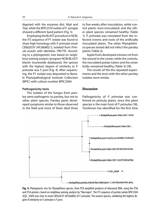digested with the enzymes AluI, MspI and TaqI, while the BPIC2514 isolate of P. syringae showed a different band pattern (Fig. 5).

Employing the BLAST procedure in NCBI, the ITS sequence of P1 isolate was found to share high homology with P. primulae strain CBS620.97 (AF266802.1), isolated from Primula acaulis with identities 790/791. According to a phylogenetic tree based on neighbour-joining analysis [program NCBI/BLAST/ blastin (nucleotide databases)], the species with the highest degree of similarity to P. primulae was P. porri (Fig. 4). After sequencing, the P1 isolate was deposited to Benaki Phytopathological Institute Collection (BPIC) with culture number BPIC2584.

## **Pathogenicity tests**

The isolates of the fungus from parsley were pathogenic to parsley, but not to other plant species. Parsley pants developed symptoms similar to those observed in the field and most of them died three to five weeks after inoculation, while control plants (non-inoculated) and the other plant species remained healthy (Table 1). P. primulae was reisolated from the infected crowns and roots of the artificially inoculated plants. The other Phytophthora species tested did not infect the parsley plants (Table 2).

Apple fruits developed a brown rot from the wound to the center, while the controls, the inoculated potato tubers and the onion bulbs remained healthy (Table 3) (18).

The results of the the repeated experiments and the tests with the other parsley isolates were similar.

# **Discussion**

Pathogenicity of P. primulae was confirmed on primula plants, since this plant species is the main host of P. primulae (18). Tomlinson has identified for the first time



Fig. 4. Phylogenetic tree for *Phytophthora* species, from PCR amplified products of ribosomal DNA, using the ITS6 and ITS4 primers, based on neighbour-joining analysis by "Macrogen". The ITS sequence of parsley isolate BPIC2584 (Ic||1 9269) was close to strain CBS620.97 (AF266802) of P. primulae. The nearest species, exhibiting the highest degree of similarity to P. primulae is P. porri.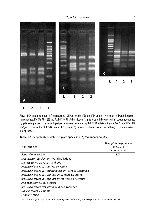Phytophthora primulae 51



Fig. 5. PCR amplified products from ribosomal DNA, using the ITS6 and ITS4 primers, were digested with the restriction enzymes AluI (A), MspI (B) and TaqI (C) for RFLP (Restriction Fragment Length Polymorphism) patterns, obtained by gel electrophoresis. The same digest patterns were generated by BPIC2584 isolate of P. primulae (2) and BPIC1989 of P. porri (3) while the BPIC2514 isolate of P. syringae (1) showed a different distinctive pattern, L: the size marker is

100 bp ladder.

| Plant species                                               | Phytophthora primulae<br><b>BPIC2584</b><br>Disease index |
|-------------------------------------------------------------|-----------------------------------------------------------|
| Petroselinum crispum                                        | 3.93                                                      |
| Lycopersicon esculentum hybrid Belladona                    |                                                           |
| Lactuca sativa cv. Paris Island Cos                         |                                                           |
| <i>Brassica oleracea</i> var. botrytis cv. Alpha            |                                                           |
| Brassica oleracea var. asparagoides cv. Ramoso Calabrese    |                                                           |
| <i>Brassica oleracea var. capitata cv.</i> Langedijk autumn |                                                           |
| Brassica oleracea var. capitata cv. Merveille d'Octobre     |                                                           |
| Allium porrum cv. Blue solaise                              |                                                           |
| Brassica oleracea var. gemmifera cv. Groninger              |                                                           |
| Daucus carota cv. Nantes                                    |                                                           |
| Primula acaulis                                             |                                                           |

Table 1. Susceptibility of different plant species to *Phytophthora primulae*.

Disease index (average of 15 replications), 1: no infection, 5: 100% plants dead or almost dead.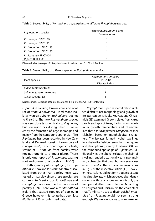| Phytophthora species     | Petroselinum crispum plants<br>Disease index |
|--------------------------|----------------------------------------------|
| P. cryptogea BPIC1189    |                                              |
| P. cryptogea BPIC1191    |                                              |
| P. citrophthora BPIC1133 |                                              |
| P. citrophthora BPIC1185 |                                              |
| P. nicotianae BPIC2000   |                                              |
| P. porri BPIC1985        |                                              |

Table 2. Susceptibility of Petroselinum crispum plants to different Phytophthora species.

Disease index (average of 15 replications), 1: no infection, 5: 100% infection.

| <b>Table 3.</b> Susceptibility of different species to <i>Phytophthora primulae</i> . |  |
|---------------------------------------------------------------------------------------|--|
|---------------------------------------------------------------------------------------|--|

| Plant species            | Phytophthora primulae<br><b>BPIC2584</b> |
|--------------------------|------------------------------------------|
|                          | Disease index                            |
| Malus domestica fruits   |                                          |
| Solanum tuberosum tubers |                                          |
| Allium cepa bulbs        |                                          |

Disease index (average of ten replications), 1: no infection, 5: 100% infection.

P. primulae causing brown core and root rot of Primula polyantha. Tomlinson's isolates were also virulent to P. vulgaris, but not to P. veris L. The new Phytophthora species was very close taxonomically to P. syringae, but Tomlinson has distinguished P. primulae by the formation of large sporangia and mainly from the compound sporangia. Also P. primulae has been recorded in New Zealand and Denmark, causing brown core of P. polyantha (1). In our pathogenicity tests, strains of P. primulae from parsley were not pathogenic to primula plants. There is only one report of P. primulae, causing root and crown rot of parsley in UK (16).

Pathogenicity of P. cryptogea, P. citrophthora, P. porri and P. nicotianae strains isolated from other than parsley hosts was tested on parsley since these species are common to Greek crops. P. nicotianae and P. cryptogea are described as parasites of parsley (3, 9). There was a P. citrophthora isolate that caused root rot of parsley in Greece; however this isolate has been lost (K. Elena 1993, unpublished data).

Phytophthora species identification is often difficult since morphology and growth of isolates can be variable. Kouyeas and Chitzanidis (13) examined Greek isolates from citrus peach and apricot trees, having a low maximum growth temperature and characterized these as Phytophthora syringae (Klebahn) Klebahn, based on morphological characters. The isolates formed hyphal swellings in a chain-like fashion reminding the figures and descriptions given by Tomlinson (18) for the compound sporangia of P. primulae. Additionally, in the above isolates the chain of swellings ended occasionally to a sporangium, a character that brought them even closer to P. primulae. These characters are obvious in Fig. 2 of the respective article (13). However these isolates did not form oogonia except the citrus isolate, which produced abundantly oogonia with paragynous antheridia only the first period after their isolation. According to Kouyeas and Chitzanidis the characters that Tomlinson used to distinguish P. primulae from P. syringae did not seem strong enough. We were not able to compare our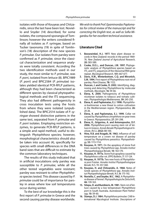isolates with those of Kouyeas and Chitzanidis, since the last have been lost. Noviello and Snyder (14) described, for some isolates, the compound sporangia of Tomlinson; however the writers considered finally all isolates as P. syringae, based on Tucker taxonomy (19) in spite of Tomlinson's (18) description of the new species P. primulae. Our isolates from parsley were confirmed as P. primulae, since the classical characterization and sequence analysis were totally consistent. According the two identification methods used in our study, the most similar to P. primulae, was P. porri, isolated from lettuce (8). BPIC1989 (P. porri) and BPIC2584 (P. primulae) isolates yielded identical PCR-RFLP patterns, although they had been characterized as different species by classical phytopathological methods and the ITS sequencing. They also had different pathogenicity in cross inoculation tests using the hosts from where they were isolated (unpublished data). The BPIC2514 isolate of P. syringae showed distinctive patterns in the same test, separated from P. primulae and P. porri isolates. Employing restriction enzymes, to generate PCR-RFLP patterns, is a simple and rapid method, useful to distinguish Phytophthora species; however, morphological characteristics should also be taken into account (4), specifically for species with small differences in the DNA band sizes that are difficult to estimate by the common laboratory techniques.

The results of this study indicated that in artificial inoculations only parsley was susceptible to P. primulae, while all the other tested vegetables were resistant; parsley was resistant to other Phytophthora species tested. This disease caused by P. primulae could be of importance for parsley in areas where low soil temperatures occur during winter.

To the best of our knowledge this is the first report of P. primulae in Greece and the second causing parsley disease worldwide.

We wish to thank Prof. Epaminondas Paplomatas for critical review of the manuscript and for correcting the English text, as well as Sofia Migardou for her excellent technical assistance.

## **Literature Cited**

- **1. Beosewinkel, H.J. 1977.** New plant disease records in New Zealand: records in the period 1969- 76. New Zealand Journal of Agricultural Research, **20:** 583-589.
- **2. Cooke, D.E.L., and Duncan, J.M. 1997.** Phylogenetic analysis of Phytophthora species based on  $ITS<sub>1</sub>$  and ITS<sub>2</sub> sequences of the ribosomal RNA gene repeat. Mycological Research, **101:** 667-677.
- **3. Davis, R.M., Winterbottom, C.Q. and Mircetich, S.M. 1994.** First report of Phytophthora root rot of parsley. Plant Disease, **78:** 1122.
- **4. Duncan, J. and Cooke, D. 2002.** Identifying, diagnosing and detecting Phytophthora by molecular methods. Mycologist, **16:** 59-66.
- **5. Elena, K, 2000.** Pathogenicity of Phytophthora nicotianae isolates to tobacco and tomato cultivars. Phytopathologia Mediterranea, **39:** 245-250.
- **6. Elena, K. and Paplomatas, E.J. 1998.** Phytophthora boehmeriae: a new threat to cotton cultivation in the Mediterranean region. Phytoparasitica, **26:**  20-26.
- **7. Elena, K. and Paplomatas, E.J. 1999.** Collar rot caused by Phytophthora citrophthora on pear trees in Greece. Phytoparasitica, **27:** 291-298.
- **8. Elena, K., Grigoriou, A. and Antonopoulos, D.F. 2006.** Phytophthora porri causing stem rot of lettuce in Greece. Annals Benaki Phytopathological Institute, (N.S.), **20(2):** 88-100.
- 9. Hine, R.B. and Aragaki, M. 1963. Influence of soil temperature on a crown rot disease of parsley caused by Phytophthora parasitica. Phytopathology, **53:** 1113-1114.
- **10. Kouyeas, H. 1971.** On the apoplexy of stone fruit trees caused by Phytophthora spp. Annales Institut Phytopathologique Benaki, **10:** 163-170.
- **11. Kouyeas, H. 1977a.** Stone fruit apoplexy caused by Phytophthora collar rot. EPPO Bulletin, **7:** 117-124.
- **12. Kouyeas, H. 1977b.** Two new hosts of Phytophthora porri Foister. Annales Institut Phytopathologique Benaki, N.S. **11:** 357-360.
- **13. Kouyeas, H. and Chitzanidis, A. 1968.** Notes of Greek species of Phytophthora spp. Annales Institut Phytopathologique Benaki, N.S. **8:** 175-192.
- **14. Noviello, C. and Snyder, W.C. 1962.** A Phytophthora disease of fennel. Phytopathologische Zeitschrift, **46:** 139-163.
- **15. Sitepu, D. and Bumbieris, M. 1981.** Stem rot of lettuce caused by a low temperature Phytophthora porri in South Australia. Australasian Plant Pathology, **10:** 59-60.
- **16. Stamps, D.J. 1984.** Phytophthora primulae. CAB International Mycological Institute. Descriptions of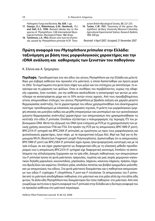Pathogenic Fungi and Bacteria, **No. 839.** 1 pp.

- **17. Stamps, D.J., Waterhouse, G.M., Newhook, F.J. and Hall, G.S. 1990.** Revised tabular key to the species of Phytophthora. CAB International Mycological Institute. Mycological Paper, **162** 28 pp.
- **18. Tomlinson, J.A. 1952.** Brown core root rot of primula caused by Phytophthora primulae N.SP. Trans-

action British Mycological Society, **35:** 221-235.

**19. Tucker, C.M. 1931.** Taxonomy of the genus Phytophthora de Bary. University Missouri-Columbia, Agricultural Experimental Station, Research Bulletin, **153:** 208 pp.

Received: 4 April 2007; Accepted: 21 November 2007

# **Πρώτη αναφορά του** *Phytophthora primulae* **στην Ελλάδα: ταξινόμηση με βάση τους μορφολογικούς χαρακτήρες και την rDNA ανάλυση και καθορισμός των ξενιστών του παθογόνου**

Κ. Ελένα και Α. Γρηγορίου

**Περίληψη** Προσδιορίστηκε ένα νέο είδος του γένους Phytophthora για την Ελλάδα και μελετήθηκε μια σοβαρή ασθένεια που προκαλεί στο μαϊντανό, η οποία διαπιστώθηκε για πρώτη φορά το 2002. Τα συμπτώματα στα φυτά ήταν σήψη των ριζών και του στελέχους με αποτέλεσμα το κιτρίνισμα και τη μάρανση των φύλλων. Όταν οι συνθήκες του περιβάλλοντος, κυρίως της εδαφικής υγρασίας, ήταν ευνοϊκές για την ασθένεια ακολουθούσε η καταστροφή των φυτών με αποτέλεσμα να καταστρέφεται μέχρι και το 50% αυτών στους αγρούς. Από τους προσβεβλημένους ιστούς απομονώθηκε στέλεχος του γένους Phytophthora με βραδεία αύξηση και χαμηλό μέγιστο θερμοκρασίας ανάπτυξης. Για το χαρακτηρισμό του είδους χρησιμοποιήθηκε ένα ολοκληρωμένο σύστημα προσδιορισμού με κλασσικές και μοριακές τεχνικές. Η μελέτη των μορφολογικών (μορφή αποικίας και μυκηλίου καθώς και μεγέθη σποριαγγείων και ωοσπορίων) και των φυσιολογικών (μέγιστο θερμοκρασίας ανάπτυξης) χαρακτήρων των απομονώσεων που χρησιμοποιήθηκαν τις κατέταξε στο είδος P. primulae. Επιπλέον εξετάστηκε ο πολυμορφισμός της περιοχής ITS του ριβοσωμικού DNA. Μετά την εξαγωγή του DNA έγινε ενίσχυση με PCR με τη χρησιμοποίηση των γενικής χρήσης εκκινητών ITS6 και ITS4. Στο προϊόν της PCR για τις απομονώσεις BPIC1989 (P. porri), BPIC2514 (P. syringae) και BPIC2584 (P. primulae), με ομοιότητες ως προς τους μορφολογικούς και φυσιολογικούς χαρακτήρες, έγινε πέψη με τα περιοριστικά ένζυμα AluI, MspI και TaqI για τη δημιουργία RFLPs (Restriction Fragment Length Polymorphisms). Διαπιστώθηκε ότι οι απομονώσεις BPIC1989 (P. porri) και BPIC2584 (P. primulae) είχαν όμοιες ηλεκτροφορητικές κατατομές και με τα τρία ένζυμα, αν και είχαν χαρακτηριστεί ως διαφορετικά είδη με τη κλασσική μέθοδο προσδιορισμού ενώ η απομόνωση BPIC2514 (P. syringae) είχε διαφορετική κατατομή. Επιπλέον τα αποτελέσματα της αλληλούχησης ξεχώρισαν και τα τρία είδη. Δοκιμές παθογένειας των απομονώσεων του P. primulae έγιναν σε φυτά μαϊντανού, πρίμουλας, τομάτας και μιας σειράς χειμερινών κηπευτικών δηλαδή μαρουλιού, κουνουπιδιού, μπρόκολου, λάχανου, κόκκινου λάχανου, πράσου, λάχανου Βρυξελλών και καρώτου. Επιπλέον μήλα, κόνδυλοι πατάτας και βολβοί κρεμμυδιού μολύνθηκαν με απομονώσεις του είδους. Στα φυτά μαϊντανού δοκιμάστηκε και η παθογένεια απομονώσεων των ειδών P. cryptogea, P. citrophthora, P. porri και P. nicotianae. Οι απομονώσεις του P. primulae από το μαϊντανό αποδείχθηκαν παθογόνες στο μαϊντανό και στα μήλα αλλά όχι στα άλλα είδη φυτών. Τα άλλα είδη Phytophthora που δοκιμάστηκαν δεν ήταν παθογόνα στο μαϊντανό. Από όσο γνωρίζουμε αυτή είναι η πρώτη αναφορά του P. primulae στην Ελλάδα και η δεύτερη αναφορά του να προκαλεί ασθένεια στο μαϊντανό παγκόσμια.

Hellenic Plant Protection Journal **1:** 46-54, 2008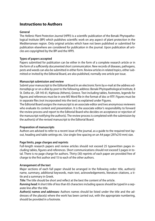# **Instructions to Authors**

# **General**

The Hellenic Plant Protection Journal (HPPJ) is a scientific publication of the Benaki Phytopathological Institute (BPI) which publishes scientific work on any aspect of plant protection in the Mediterranean region. Only original articles which have not been published or submitted for publication elsewhere are considered for publication in the journal. Upon publication all articles are copyrighted by the BPI and the HPPJ.

# **Types of papers accepted**

Papers submitted for publication can be either in the form of a complete research article or in the form of a sufficiently documented short communication. New records of diseases, pathogens, pests and weeds can also be submitted in either form. Review articles in related topics, either submitted or invited by the Editorial Board, are also published, normally one article per issue.

# **Manuscript submission and review**

Submit your manuscript to the Editorial Board in an electronic form by e-mail at the address editors@bpi.gr or on a disk by post to the following address: Benaki Phytopathological Institute, 8 St. Delta str., GR-145 61, Kiphissia (Athens), Greece. Text including tables, footnotes, legends for figures and references must be in one MS Word file in the format of doc or RTF. Figures must be in separate files (not incorporated into the text) as explained under Figures.

The Editorial Board assigns the manuscript to an associate editor and two anonymous reviewers who evaluate its content and presentation. It is the associate editor's responsibility to forward the review process and report to the Editorial Board who decides on acceptance or rejection of the manuscript notifying the author(s). The review process is completed with the submission by the author(s) of the revised manuscript to the Editorial Board.

# **Preparation of manuscripts**

Authors are advised to refer to a recent issue of the journal, as a guide to the required text layout, heading and table settings etc. Use single-line spacing on an A4 page (297x210 mm) size.

# **Page limits, page charges and reprints**

Full-length research papers and review articles should not exceed 25 typewritten pages including tables, figures and references. Short communications should not exceed 5 pages in total. There is no page charge for authors. Thirty (30) reprints of each paper are provided free of charge to the first author and 15 to each of the other authors.

# **Arrangement of the text**

Major sections of each full paper should be arranged in the following order: title, author(s) name, summary, additional keywords, main text, acknowledgements, literature citations, a title and a summary in Greek.

**Title:** The title should be short and reflect at the best the content of the article.

*Running head:* A short title of less than 65 characters including spaces should be typed in a separate line after the title.

*Author(s) names and addresses:* Authors names should be listed under the title and the addresses of the place(s) where the work has been carried out, with the appropriate numbering, should be provided in a footnote.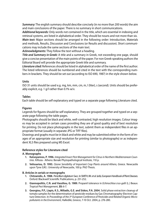*Summary:* The english summary should describe concisely (in no more than 200 words) the aim and main conclusions of the paper. There is no summary in short communications.

*Additional keywords:* Only words not contained in the title, which are essential in indexing and retrieval systems, are listed in alphabetical order. They should be nouns and not more than six. *Main text:* Major sections should be arranged in the following order: Introduction, Materials and methods, Results, Discussion and Conclusions (or Results and discussion). Short communications may include the same sections of the main text.

*Acknowledgments:* They follow the text without a heading.

*Title and Summary in Greek:* A title and a summary in Greek, not exceeding one page, should give a concise presentation of the main points of the paper. For non Greek-speaking authors the Editorial Board will provide the appropriate Greek title and summary.

Literature cited: References should be listed in alphabetical order of the name of the first author. The listed references should be numbered and cited in the text with the corresponding numbers in brackets. They should be set out (according to ISO 690, 1987) in the style shown below.

# **Units**

ISO 31 units should be used e.g. mg, km, mm, cm, m, l (liter), s (second). Units should be preferably explicit, e.g. 1 g/l rather than 0.1% w/v.

# **Tables**

Each table should be self explanatory and typed on a separate page following Literature cited.

# **Figures**

Legends for figures should be self explanatory. They are grouped together and typed on a separate page following the table pages.

Photographs should be black and white, well-contrasted, high resolution images. Colour images may be accepted in certain cases providing they are of good quality and of best resolution for printing. Do not place photographs in the text, submit them as independent files in an appropriate format (usually in separate JPG or TIFF files).

Drawings and graphs must be in black and white and may be submitted either in the form of images of an appropriate size and resolution for printing (similar to photographs) or as independent XLS files prepared using MS Excel.

# **Reference styles for Literature cited**

# **A. Monographs**

- **1. Katsoyannos, P. 1996.** Integrated Insect Pest Management for Citrus in Northern Mediterranean Countries. Kifissia - Athens: Benaki Phytopathological Institute, 110 p.
- **2. Velissariou, D. 1993.** Ozone Sensibility of Important Crop Plants around Athens, Greece. Newcastle upon Tyne (UK) : University of Newcastle, 100 p. PhD Thesis.

## **B. Articles in serials or monographs**

- **1. Chitzanidis, A. 1988.** Penicillium digitatum Sacc. In SMITH, IM. et al. (eds). European Handbook of Plant Diseases. Oxford: Blackwell Scientific Publications, p. 251-252.
- **2. Giannopolitis, C.N. and Vassiliou, G. 1989.** Propanil tolerance in Echinochloa crus-galli (L.) Beauv. Tropical Pest Management, **35:** 6-7.
- **3. Georgiou, P.P., Liapis, K.S., Miliadis, G.E. and Siskos, P.A. 2004.** Solid phase extraction cleanup of tomato samples for the determination of pesticide residues by Gas Chromatography-Electron Capture Detection. In Proceedings of the 3<sup>rd</sup> European Conference of Pesticides and Related Organic Micropollutants in the Environment, Halkidiki, Greece, 7-10 Oct. 2004, p. 276-280.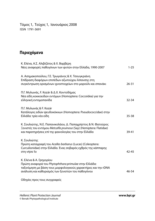Τόμος 1, Τεύχος 1, Ιανουάριος 2008 ISSN 1791-3691

# **Περιεχόμενα**

| Κ. Ελένα, Α.Σ. Αλιβιζάτος & Χ. Βαρβέρη<br>Νέες αναφορές παθογόνων των φυτών στην Ελλάδα, 1990-2007                                                                                                    | $1 - 25$  |
|-------------------------------------------------------------------------------------------------------------------------------------------------------------------------------------------------------|-----------|
| Α. Ασημακοπούλου, Γ.Ε. Τρωγιάνος & Χ. Τσουγκριάνη<br>Επίδραση διαφόρων επιπέδων αζωτούχου λίπανσης στη<br>συγκέντρωση ορισμένων ιχνοστοιχείων στο μαρούλι και σπανάκι                                 | $26 - 31$ |
| Π.Γ. Μυλωνάς, F. Kozár & Δ.Χ. Κοντοδήμας<br>Νέα είδη κοκκοειδών εντόμων (Homoptera: Coccoidea) για την<br>ελληνική εντομοπανίδα                                                                       | $32 - 34$ |
| Π.Γ. Μυλωνάς & F. Kozár<br>Κατάλογος ειδών ψευδοκόκκων (Homoptera: Pseudococcidae) στην<br>Ελλάδα: τρία νέα είδη                                                                                      | 35-38     |
| Κ. Σουλιώτης, Ν.Ε. Παπανικολάου, Δ. Παπαχρήστος & Ν. Φατούρος<br>Ξενιστές του εντόμου Metcalfa pruinosa (Say) (Hemiptera: Flatidae)<br>και παρατηρήσεις επί της φαινολογίας του στην Ελλάδα           | 39-41     |
| Κ. Σουλιώτης<br>Πρώτη καταγραφή του Acalles barbarus (Lucas) (Coleoptera:<br>Curculionidae) στην Ελλάδα. Ένας σοβαρός εχθρός της κάππαρης<br>στη νήσο Ίο                                              | $42 - 45$ |
| Κ. Ελένα & Α. Γρηγορίου<br>Πρώτη αναφορά του Phytophthora primulae στην Ελλάδα:<br>ταξινόμηση με βάση τους μορφολογικούς χαρακτήρες και την rDNA<br>ανάλυση και καθορισμός των ξενιστών του παθογόνου | 46-54     |

Οδηγίες προς τους συγγραφείς